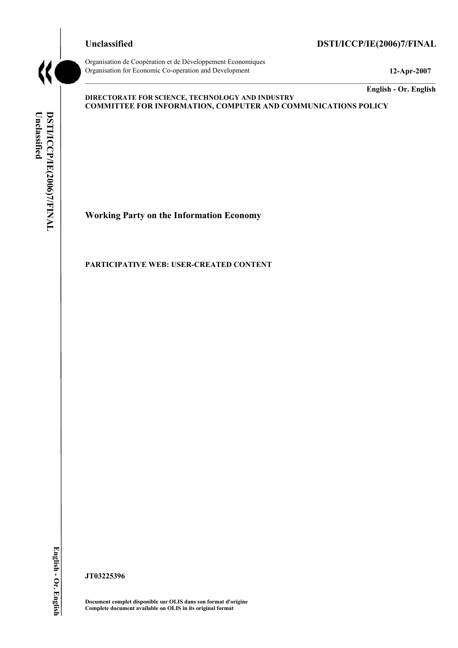

Organisation de CoopÈration et de DÈveloppement Economiques Organisation for Economic Co-operation and Development **12-Apr-2007** 

# **Unclassified DSTI/ICCP/IE(2006)7/FINAL**

**English - Or. English** 

# **DIRECTORATE FOR SCIENCE, TECHNOLOGY AND INDUSTRY COMMITTEE FOR INFORMATION, COMPUTER AND COMMUNICATIONS POLICY**

**Working Party on the Information Economy** 

# **PARTICIPATIVE WEB: USER-CREATED CONTENT**

**JT03225396** 

**Document complet disponible sur OLIS dans son format d'origine Complete document available on OLIS in its original format**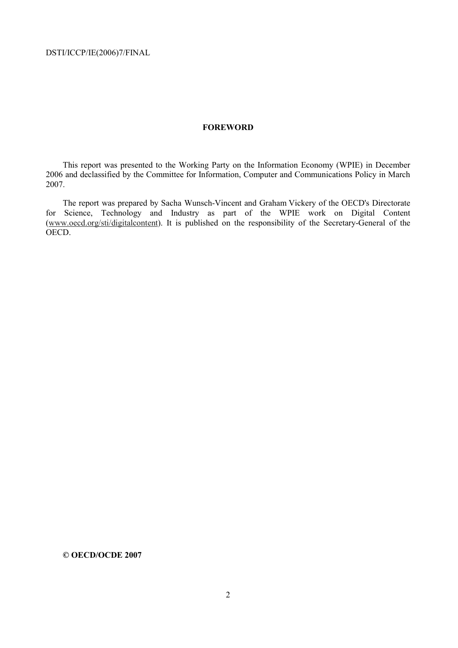# **FOREWORD**

This report was presented to the Working Party on the Information Economy (WPIE) in December 2006 and declassified by the Committee for Information, Computer and Communications Policy in March 2007.

The report was prepared by Sacha Wunsch-Vincent and Graham Vickery of the OECD's Directorate for Science, Technology and Industry as part of the WPIE work on Digital Content (www.oecd.org/sti/digitalcontent). It is published on the responsibility of the Secretary-General of the OECD.

**© OECD/OCDE 2007**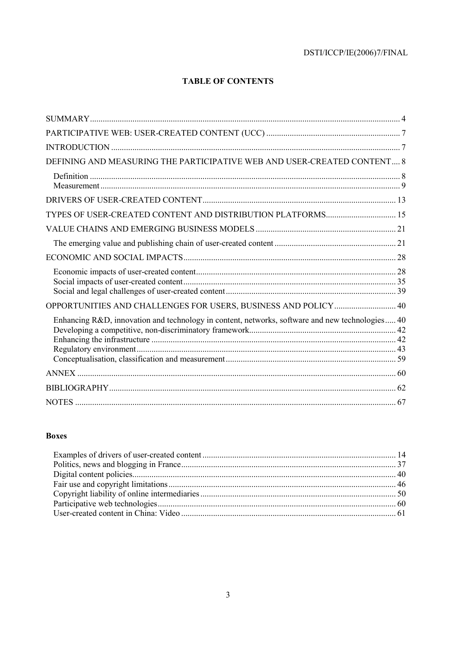# **TABLE OF CONTENTS**

| DEFINING AND MEASURING THE PARTICIPATIVE WEB AND USER-CREATED CONTENT 8                         |  |
|-------------------------------------------------------------------------------------------------|--|
|                                                                                                 |  |
|                                                                                                 |  |
|                                                                                                 |  |
|                                                                                                 |  |
|                                                                                                 |  |
|                                                                                                 |  |
|                                                                                                 |  |
| OPPORTUNITIES AND CHALLENGES FOR USERS, BUSINESS AND POLICY  40                                 |  |
| Enhancing R&D, innovation and technology in content, networks, software and new technologies 40 |  |
|                                                                                                 |  |
|                                                                                                 |  |
|                                                                                                 |  |

# **Boxes**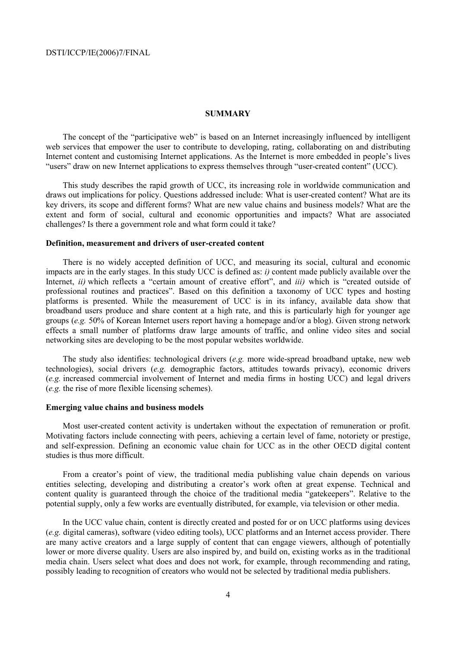# **SUMMARY**

The concept of the "participative web" is based on an Internet increasingly influenced by intelligent web services that empower the user to contribute to developing, rating, collaborating on and distributing Internet content and customising Internet applications. As the Internet is more embedded in people's lives "users" draw on new Internet applications to express themselves through "user-created content" (UCC).

This study describes the rapid growth of UCC, its increasing role in worldwide communication and draws out implications for policy. Questions addressed include: What is user-created content? What are its key drivers, its scope and different forms? What are new value chains and business models? What are the extent and form of social, cultural and economic opportunities and impacts? What are associated challenges? Is there a government role and what form could it take?

#### **Definition, measurement and drivers of user-created content**

There is no widely accepted definition of UCC, and measuring its social, cultural and economic impacts are in the early stages. In this study UCC is defined as: *i)* content made publicly available over the Internet, *ii*) which reflects a "certain amount of creative effort", and *iii*) which is "created outside of professional routines and practicesî. Based on this definition a taxonomy of UCC types and hosting platforms is presented. While the measurement of UCC is in its infancy, available data show that broadband users produce and share content at a high rate, and this is particularly high for younger age groups (*e.g.* 50% of Korean Internet users report having a homepage and/or a blog). Given strong network effects a small number of platforms draw large amounts of traffic, and online video sites and social networking sites are developing to be the most popular websites worldwide.

The study also identifies: technological drivers (*e.g.* more wide-spread broadband uptake, new web technologies), social drivers (*e.g.* demographic factors, attitudes towards privacy), economic drivers (*e.g.* increased commercial involvement of Internet and media firms in hosting UCC) and legal drivers (*e.g.* the rise of more flexible licensing schemes).

# **Emerging value chains and business models**

Most user-created content activity is undertaken without the expectation of remuneration or profit. Motivating factors include connecting with peers, achieving a certain level of fame, notoriety or prestige, and self-expression. Defining an economic value chain for UCC as in the other OECD digital content studies is thus more difficult.

From a creator's point of view, the traditional media publishing value chain depends on various entities selecting, developing and distributing a creator's work often at great expense. Technical and content quality is guaranteed through the choice of the traditional media "gatekeepers". Relative to the potential supply, only a few works are eventually distributed, for example, via television or other media.

In the UCC value chain, content is directly created and posted for or on UCC platforms using devices (*e.g.* digital cameras), software (video editing tools), UCC platforms and an Internet access provider. There are many active creators and a large supply of content that can engage viewers, although of potentially lower or more diverse quality. Users are also inspired by, and build on, existing works as in the traditional media chain. Users select what does and does not work, for example, through recommending and rating, possibly leading to recognition of creators who would not be selected by traditional media publishers.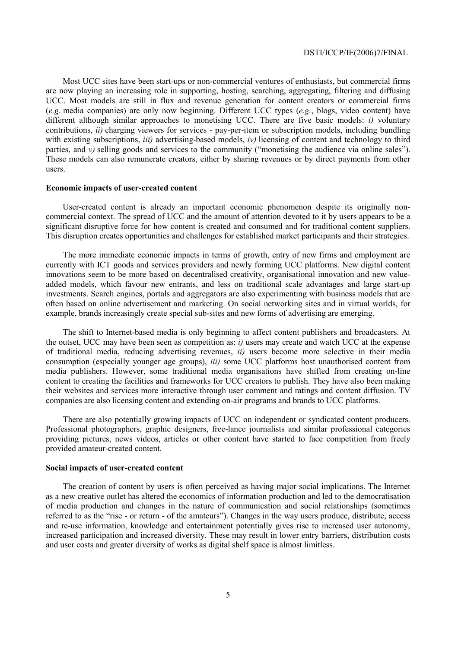Most UCC sites have been start-ups or non-commercial ventures of enthusiasts, but commercial firms are now playing an increasing role in supporting, hosting, searching, aggregating, filtering and diffusing UCC. Most models are still in flux and revenue generation for content creators or commercial firms (*e.g.* media companies) are only now beginning. Different UCC types (*e.g.*, blogs, video content) have different although similar approaches to monetising UCC. There are five basic models: *i)* voluntary contributions, *ii)* charging viewers for services - pay-per-item or subscription models, including bundling with existing subscriptions, *iii*) advertising-based models, *iv*) licensing of content and technology to third parties, and  $\nu$ ) selling goods and services to the community ("monetising the audience via online sales"). These models can also remunerate creators, either by sharing revenues or by direct payments from other users.

#### **Economic impacts of user-created content**

User-created content is already an important economic phenomenon despite its originally noncommercial context. The spread of UCC and the amount of attention devoted to it by users appears to be a significant disruptive force for how content is created and consumed and for traditional content suppliers. This disruption creates opportunities and challenges for established market participants and their strategies.

The more immediate economic impacts in terms of growth, entry of new firms and employment are currently with ICT goods and services providers and newly forming UCC platforms. New digital content innovations seem to be more based on decentralised creativity, organisational innovation and new valueadded models, which favour new entrants, and less on traditional scale advantages and large start-up investments. Search engines, portals and aggregators are also experimenting with business models that are often based on online advertisement and marketing. On social networking sites and in virtual worlds, for example, brands increasingly create special sub-sites and new forms of advertising are emerging.

The shift to Internet-based media is only beginning to affect content publishers and broadcasters. At the outset, UCC may have been seen as competition as: *i)* users may create and watch UCC at the expense of traditional media, reducing advertising revenues, *ii)* users become more selective in their media consumption (especially younger age groups), *iii)* some UCC platforms host unauthorised content from media publishers. However, some traditional media organisations have shifted from creating on-line content to creating the facilities and frameworks for UCC creators to publish. They have also been making their websites and services more interactive through user comment and ratings and content diffusion. TV companies are also licensing content and extending on-air programs and brands to UCC platforms.

There are also potentially growing impacts of UCC on independent or syndicated content producers. Professional photographers, graphic designers, free-lance journalists and similar professional categories providing pictures, news videos, articles or other content have started to face competition from freely provided amateur-created content.

#### **Social impacts of user-created content**

The creation of content by users is often perceived as having major social implications. The Internet as a new creative outlet has altered the economics of information production and led to the democratisation of media production and changes in the nature of communication and social relationships (sometimes referred to as the "rise - or return - of the amateurs"). Changes in the way users produce, distribute, access and re-use information, knowledge and entertainment potentially gives rise to increased user autonomy, increased participation and increased diversity. These may result in lower entry barriers, distribution costs and user costs and greater diversity of works as digital shelf space is almost limitless.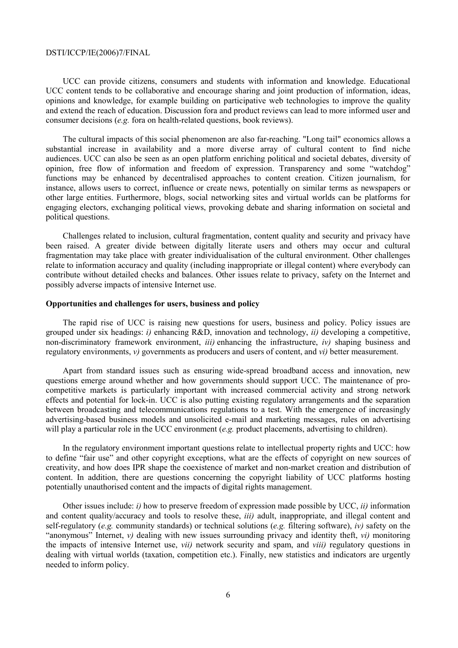UCC can provide citizens, consumers and students with information and knowledge. Educational UCC content tends to be collaborative and encourage sharing and joint production of information, ideas, opinions and knowledge, for example building on participative web technologies to improve the quality and extend the reach of education. Discussion fora and product reviews can lead to more informed user and consumer decisions (*e.g.* fora on health-related questions, book reviews).

The cultural impacts of this social phenomenon are also far-reaching. "Long tail" economics allows a substantial increase in availability and a more diverse array of cultural content to find niche audiences. UCC can also be seen as an open platform enriching political and societal debates, diversity of opinion, free flow of information and freedom of expression. Transparency and some "watchdog" functions may be enhanced by decentralised approaches to content creation. Citizen journalism, for instance, allows users to correct, influence or create news, potentially on similar terms as newspapers or other large entities. Furthermore, blogs, social networking sites and virtual worlds can be platforms for engaging electors, exchanging political views, provoking debate and sharing information on societal and political questions.

Challenges related to inclusion, cultural fragmentation, content quality and security and privacy have been raised. A greater divide between digitally literate users and others may occur and cultural fragmentation may take place with greater individualisation of the cultural environment. Other challenges relate to information accuracy and quality (including inappropriate or illegal content) where everybody can contribute without detailed checks and balances. Other issues relate to privacy, safety on the Internet and possibly adverse impacts of intensive Internet use.

#### **Opportunities and challenges for users, business and policy**

The rapid rise of UCC is raising new questions for users, business and policy. Policy issues are grouped under six headings: *i)* enhancing R&D, innovation and technology, *ii)* developing a competitive, non-discriminatory framework environment, *iii)* enhancing the infrastructure, *iv)* shaping business and regulatory environments, *v)* governments as producers and users of content, and *vi)* better measurement.

Apart from standard issues such as ensuring wide-spread broadband access and innovation, new questions emerge around whether and how governments should support UCC. The maintenance of procompetitive markets is particularly important with increased commercial activity and strong network effects and potential for lock-in. UCC is also putting existing regulatory arrangements and the separation between broadcasting and telecommunications regulations to a test. With the emergence of increasingly advertising-based business models and unsolicited e-mail and marketing messages, rules on advertising will play a particular role in the UCC environment (*e.g.* product placements, advertising to children).

In the regulatory environment important questions relate to intellectual property rights and UCC: how to define "fair use" and other copyright exceptions, what are the effects of copyright on new sources of creativity, and how does IPR shape the coexistence of market and non-market creation and distribution of content. In addition, there are questions concerning the copyright liability of UCC platforms hosting potentially unauthorised content and the impacts of digital rights management.

Other issues include: *i)* how to preserve freedom of expression made possible by UCC, *ii)* information and content quality/accuracy and tools to resolve these, *iii)* adult, inappropriate, and illegal content and self-regulatory (*e.g.* community standards) or technical solutions (*e.g.* filtering software), *iv)* safety on the "anonymous" Internet, *v*) dealing with new issues surrounding privacy and identity theft, *vi*) monitoring the impacts of intensive Internet use, *vii)* network security and spam, and *viii)* regulatory questions in dealing with virtual worlds (taxation, competition etc.). Finally, new statistics and indicators are urgently needed to inform policy.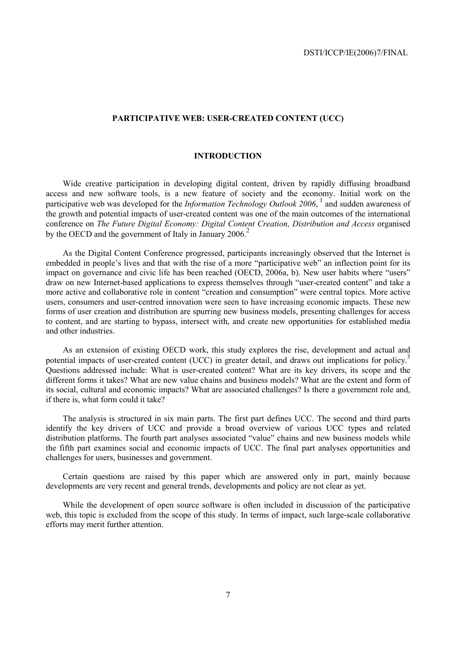# **PARTICIPATIVE WEB: USER-CREATED CONTENT (UCC)**

# **INTRODUCTION**

Wide creative participation in developing digital content, driven by rapidly diffusing broadband access and new software tools, is a new feature of society and the economy. Initial work on the participative web was developed for the *Information Technology Outlook 2006*, <sup>1</sup> and sudden awareness of the growth and potential impacts of user-created content was one of the main outcomes of the international conference on *The Future Digital Economy: Digital Content Creation, Distribution and Access* organised by the OECD and the government of Italy in January  $2006$ <sup>2</sup>

As the Digital Content Conference progressed, participants increasingly observed that the Internet is embedded in people's lives and that with the rise of a more "participative web" an inflection point for its impact on governance and civic life has been reached (OECD, 2006a, b). New user habits where "users" draw on new Internet-based applications to express themselves through "user-created content" and take a more active and collaborative role in content "creation and consumption" were central topics. More active users, consumers and user-centred innovation were seen to have increasing economic impacts. These new forms of user creation and distribution are spurring new business models, presenting challenges for access to content, and are starting to bypass, intersect with, and create new opportunities for established media and other industries.

As an extension of existing OECD work, this study explores the rise, development and actual and potential impacts of user-created content (UCC) in greater detail, and draws out implications for policy.<sup>3</sup> Questions addressed include: What is user-created content? What are its key drivers, its scope and the different forms it takes? What are new value chains and business models? What are the extent and form of its social, cultural and economic impacts? What are associated challenges? Is there a government role and, if there is, what form could it take?

The analysis is structured in six main parts. The first part defines UCC. The second and third parts identify the key drivers of UCC and provide a broad overview of various UCC types and related distribution platforms. The fourth part analyses associated "value" chains and new business models while the fifth part examines social and economic impacts of UCC. The final part analyses opportunities and challenges for users, businesses and government.

Certain questions are raised by this paper which are answered only in part, mainly because developments are very recent and general trends, developments and policy are not clear as yet.

While the development of open source software is often included in discussion of the participative web, this topic is excluded from the scope of this study. In terms of impact, such large-scale collaborative efforts may merit further attention.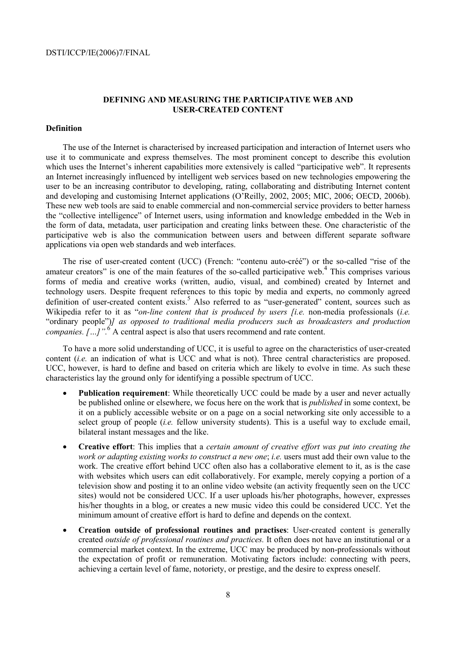# **DEFINING AND MEASURING THE PARTICIPATIVE WEB AND USER-CREATED CONTENT**

# **Definition**

The use of the Internet is characterised by increased participation and interaction of Internet users who use it to communicate and express themselves. The most prominent concept to describe this evolution which uses the Internet's inherent capabilities more extensively is called "participative web". It represents an Internet increasingly influenced by intelligent web services based on new technologies empowering the user to be an increasing contributor to developing, rating, collaborating and distributing Internet content and developing and customising Internet applications (O'Reilly, 2002, 2005; MIC, 2006; OECD, 2006b). These new web tools are said to enable commercial and non-commercial service providers to better harness the "collective intelligence" of Internet users, using information and knowledge embedded in the Web in the form of data, metadata, user participation and creating links between these. One characteristic of the participative web is also the communication between users and between different separate software applications via open web standards and web interfaces.

The rise of user-created content (UCC) (French: "contenu auto-créé") or the so-called "rise of the amateur creators" is one of the main features of the so-called participative web. $4$  This comprises various forms of media and creative works (written, audio, visual, and combined) created by Internet and technology users. Despite frequent references to this topic by media and experts, no commonly agreed definition of user-created content exists.<sup>5</sup> Also referred to as "user-generated" content, sources such as Wikipedia refer to it as "on-line content that is produced by users [i.e. non-media professionals (i.e. "ordinary people")*]* as opposed to traditional media producers such as broadcasters and production *companies.* […]<sup>n</sup>.<sup>6</sup> A central aspect is also that users recommend and rate content.

To have a more solid understanding of UCC, it is useful to agree on the characteristics of user-created content (*i.e.* an indication of what is UCC and what is not). Three central characteristics are proposed. UCC, however, is hard to define and based on criteria which are likely to evolve in time. As such these characteristics lay the ground only for identifying a possible spectrum of UCC.

- **Publication requirement**: While theoretically UCC could be made by a user and never actually be published online or elsewhere, we focus here on the work that is *published* in some context, be it on a publicly accessible website or on a page on a social networking site only accessible to a select group of people (*i.e.* fellow university students). This is a useful way to exclude email, bilateral instant messages and the like.
- **Creative effort**: This implies that a *certain amount of creative effort was put into creating the work or adapting existing works to construct a new one*; *i.e.* users must add their own value to the work. The creative effort behind UCC often also has a collaborative element to it, as is the case with websites which users can edit collaboratively. For example, merely copying a portion of a television show and posting it to an online video website (an activity frequently seen on the UCC sites) would not be considered UCC. If a user uploads his/her photographs, however, expresses his/her thoughts in a blog, or creates a new music video this could be considered UCC. Yet the minimum amount of creative effort is hard to define and depends on the context.
- **Creation outside of professional routines and practises**: User-created content is generally created *outside of professional routines and practices.* It often does not have an institutional or a commercial market context. In the extreme, UCC may be produced by non-professionals without the expectation of profit or remuneration. Motivating factors include: connecting with peers, achieving a certain level of fame, notoriety, or prestige, and the desire to express oneself.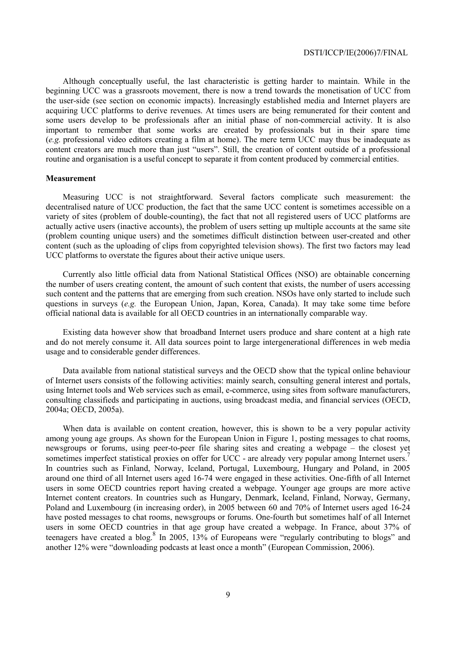Although conceptually useful, the last characteristic is getting harder to maintain. While in the beginning UCC was a grassroots movement, there is now a trend towards the monetisation of UCC from the user-side (see section on economic impacts). Increasingly established media and Internet players are acquiring UCC platforms to derive revenues. At times users are being remunerated for their content and some users develop to be professionals after an initial phase of non-commercial activity. It is also important to remember that some works are created by professionals but in their spare time (*e.g.* professional video editors creating a film at home). The mere term UCC may thus be inadequate as content creators are much more than just "users". Still, the creation of content outside of a professional routine and organisation is a useful concept to separate it from content produced by commercial entities.

#### **Measurement**

Measuring UCC is not straightforward. Several factors complicate such measurement: the decentralised nature of UCC production, the fact that the same UCC content is sometimes accessible on a variety of sites (problem of double-counting), the fact that not all registered users of UCC platforms are actually active users (inactive accounts), the problem of users setting up multiple accounts at the same site (problem counting unique users) and the sometimes difficult distinction between user-created and other content (such as the uploading of clips from copyrighted television shows). The first two factors may lead UCC platforms to overstate the figures about their active unique users.

Currently also little official data from National Statistical Offices (NSO) are obtainable concerning the number of users creating content, the amount of such content that exists, the number of users accessing such content and the patterns that are emerging from such creation. NSOs have only started to include such questions in surveys (*e.g.* the European Union, Japan, Korea, Canada). It may take some time before official national data is available for all OECD countries in an internationally comparable way.

Existing data however show that broadband Internet users produce and share content at a high rate and do not merely consume it. All data sources point to large intergenerational differences in web media usage and to considerable gender differences.

Data available from national statistical surveys and the OECD show that the typical online behaviour of Internet users consists of the following activities: mainly search, consulting general interest and portals, using Internet tools and Web services such as email, e-commerce, using sites from software manufacturers, consulting classifieds and participating in auctions, using broadcast media, and financial services (OECD, 2004a; OECD, 2005a).

When data is available on content creation, however, this is shown to be a very popular activity among young age groups. As shown for the European Union in Figure 1, posting messages to chat rooms, newsgroups or forums, using peer-to-peer file sharing sites and creating a webpage – the closest yet sometimes imperfect statistical proxies on offer for UCC - are already very popular among Internet users.<sup>7</sup> In countries such as Finland, Norway, Iceland, Portugal, Luxembourg, Hungary and Poland, in 2005 around one third of all Internet users aged 16-74 were engaged in these activities. One-fifth of all Internet users in some OECD countries report having created a webpage. Younger age groups are more active Internet content creators. In countries such as Hungary, Denmark, Iceland, Finland, Norway, Germany, Poland and Luxembourg (in increasing order), in 2005 between 60 and 70% of Internet users aged 16-24 have posted messages to chat rooms, newsgroups or forums. One-fourth but sometimes half of all Internet users in some OECD countries in that age group have created a webpage. In France, about 37% of teenagers have created a blog.<sup>8</sup> In 2005, 13% of Europeans were "regularly contributing to blogs" and another 12% were "downloading podcasts at least once a month" (European Commission, 2006).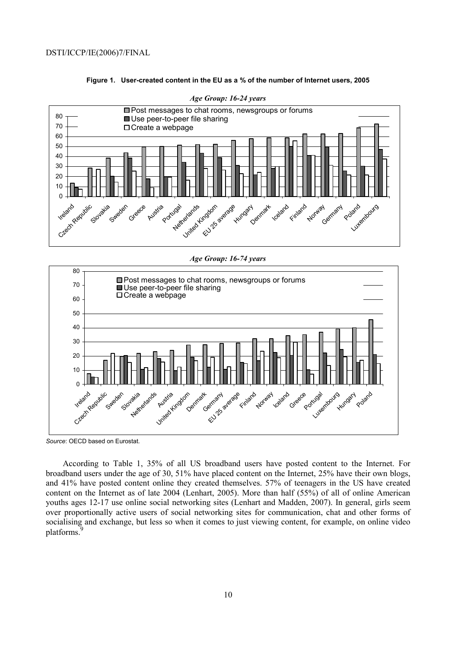

**Figure 1. User-created content in the EU as a % of the number of Internet users, 2005** 

*Age Group: 16-74 years* 



*Source*: OECD based on Eurostat.

According to Table 1, 35% of all US broadband users have posted content to the Internet. For broadband users under the age of 30, 51% have placed content on the Internet, 25% have their own blogs, and 41% have posted content online they created themselves. 57% of teenagers in the US have created content on the Internet as of late 2004 (Lenhart, 2005). More than half (55%) of all of online American youths ages 12-17 use online social networking sites (Lenhart and Madden, 2007). In general, girls seem over proportionally active users of social networking sites for communication, chat and other forms of socialising and exchange, but less so when it comes to just viewing content, for example, on online video platforms.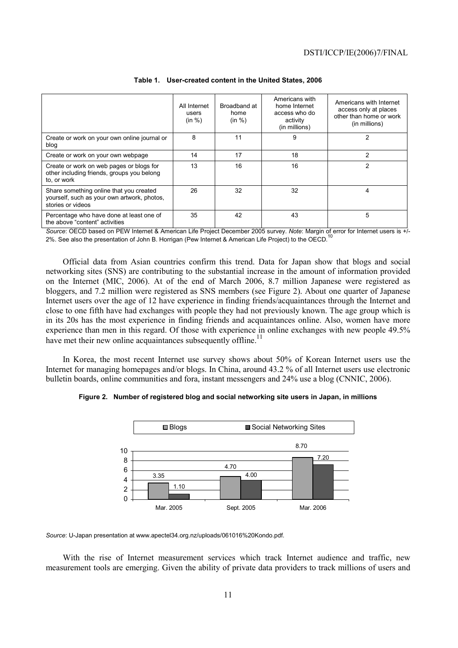|                                                                                                             | All Internet<br>users<br>(in %) | Broadband at<br>home<br>(in %) | Americans with<br>home Internet<br>access who do<br>activity<br>(in millions) | Americans with Internet<br>access only at places<br>other than home or work<br>(in millions) |
|-------------------------------------------------------------------------------------------------------------|---------------------------------|--------------------------------|-------------------------------------------------------------------------------|----------------------------------------------------------------------------------------------|
| Create or work on your own online journal or<br>blog                                                        | 8                               | 11                             | 9                                                                             | 2                                                                                            |
| Create or work on your own webpage                                                                          | 14                              | 17                             | 18                                                                            | 2                                                                                            |
| Create or work on web pages or blogs for<br>other including friends, groups you belong<br>to. or work       | 13                              | 16                             | 16                                                                            | $\overline{2}$                                                                               |
| Share something online that you created<br>yourself, such as your own artwork, photos,<br>stories or videos | 26                              | 32                             | 32                                                                            | 4                                                                                            |
| Percentage who have done at least one of<br>the above "content" activities                                  | 35                              | 42                             | 43                                                                            | 5                                                                                            |

#### **Table 1. User-created content in the United States, 2006**

*Source*: OECD based on PEW Internet & American Life Project December 2005 survey. *Note*: Margin of error for Internet users is +/- 2%. See also the presentation of John B. Horrigan (Pew Internet & American Life Project) to the OECD.10

Official data from Asian countries confirm this trend. Data for Japan show that blogs and social networking sites (SNS) are contributing to the substantial increase in the amount of information provided on the Internet (MIC, 2006). At of the end of March 2006, 8.7 million Japanese were registered as bloggers, and 7.2 million were registered as SNS members (see Figure 2). About one quarter of Japanese Internet users over the age of 12 have experience in finding friends/acquaintances through the Internet and close to one fifth have had exchanges with people they had not previously known. The age group which is in its 20s has the most experience in finding friends and acquaintances online. Also, women have more experience than men in this regard. Of those with experience in online exchanges with new people 49.5% have met their new online acquaintances subsequently offline.<sup>11</sup>

In Korea, the most recent Internet use survey shows about 50% of Korean Internet users use the Internet for managing homepages and/or blogs. In China, around 43.2 % of all Internet users use electronic bulletin boards, online communities and fora, instant messengers and 24% use a blog (CNNIC, 2006).





*Source*: U-Japan presentation at www.apectel34.org.nz/uploads/061016%20Kondo.pdf.

With the rise of Internet measurement services which track Internet audience and traffic, new measurement tools are emerging. Given the ability of private data providers to track millions of users and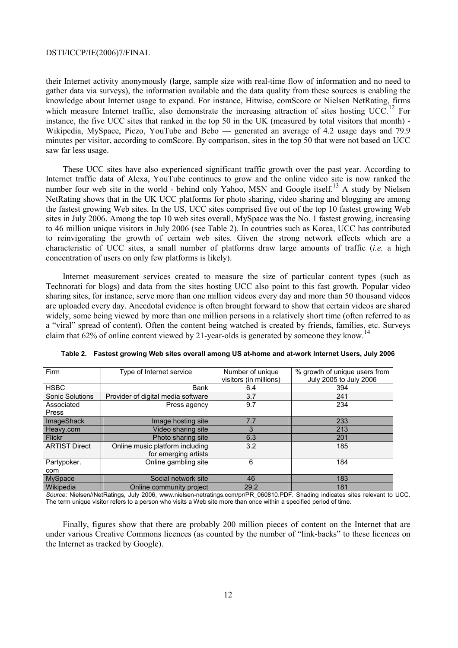their Internet activity anonymously (large, sample size with real-time flow of information and no need to gather data via surveys), the information available and the data quality from these sources is enabling the knowledge about Internet usage to expand. For instance, Hitwise, comScore or Nielsen NetRating, firms which measure Internet traffic, also demonstrate the increasing attraction of sites hosting UCC.<sup>12</sup> For instance, the five UCC sites that ranked in the top 50 in the UK (measured by total visitors that month) - Wikipedia, MySpace, Piczo, YouTube and Bebo  $-$  generated an average of 4.2 usage days and 79.9 minutes per visitor, according to comScore. By comparison, sites in the top 50 that were not based on UCC saw far less usage.

These UCC sites have also experienced significant traffic growth over the past year. According to Internet traffic data of Alexa, YouTube continues to grow and the online video site is now ranked the number four web site in the world - behind only Yahoo, MSN and Google itself.<sup>13</sup> A study by Nielsen NetRating shows that in the UK UCC platforms for photo sharing, video sharing and blogging are among the fastest growing Web sites. In the US, UCC sites comprised five out of the top 10 fastest growing Web sites in July 2006. Among the top 10 web sites overall, MySpace was the No. 1 fastest growing, increasing to 46 million unique visitors in July 2006 (see Table 2). In countries such as Korea, UCC has contributed to reinvigorating the growth of certain web sites. Given the strong network effects which are a characteristic of UCC sites, a small number of platforms draw large amounts of traffic (*i.e.* a high concentration of users on only few platforms is likely).

Internet measurement services created to measure the size of particular content types (such as Technorati for blogs) and data from the sites hosting UCC also point to this fast growth. Popular video sharing sites, for instance, serve more than one million videos every day and more than 50 thousand videos are uploaded every day. Anecdotal evidence is often brought forward to show that certain videos are shared widely, some being viewed by more than one million persons in a relatively short time (often referred to as a "viral" spread of content). Often the content being watched is created by friends, families, etc. Surveys claim that 62% of online content viewed by 21-year-olds is generated by someone they know.

| <b>Firm</b>            | Type of Internet service           | Number of unique<br>visitors (in millions) | % growth of unique users from<br>July 2005 to July 2006 |
|------------------------|------------------------------------|--------------------------------------------|---------------------------------------------------------|
| <b>HSBC</b>            | <b>Bank</b>                        | 6.4                                        | 394                                                     |
| <b>Sonic Solutions</b> | Provider of digital media software | 3.7                                        | 241                                                     |
| Associated<br>Press    | Press agency                       | 9.7                                        | 234                                                     |
| <b>ImageShack</b>      | Image hosting site                 | 7.7                                        | 233                                                     |
| Heavy.com              | Video sharing site                 | 3                                          | 213                                                     |
| Flickr                 | Photo sharing site                 | 6.3                                        | 201                                                     |
| <b>ARTIST Direct</b>   | Online music platform including    | 3.2                                        | 185                                                     |
|                        | for emerging artists               |                                            |                                                         |
| Partypoker.            | Online gambling site               | 6                                          | 184                                                     |
| com                    |                                    |                                            |                                                         |
| <b>MySpace</b>         | Social network site                | 46                                         | 183                                                     |
| Wikipedia              | Online community project           | 29.2                                       | 181                                                     |

**Table 2. Fastest growing Web sites overall among US at-home and at-work Internet Users, July 2006** 

*Source*: Nielsen//NetRatings, July 2006, www.nielsen-netratings.com/pr/PR\_060810.PDF. Shading indicates sites relevant to UCC. The term unique visitor refers to a person who visits a Web site more than once within a specified period of time.

Finally, figures show that there are probably 200 million pieces of content on the Internet that are under various Creative Commons licences (as counted by the number of "link-backs" to these licences on the Internet as tracked by Google).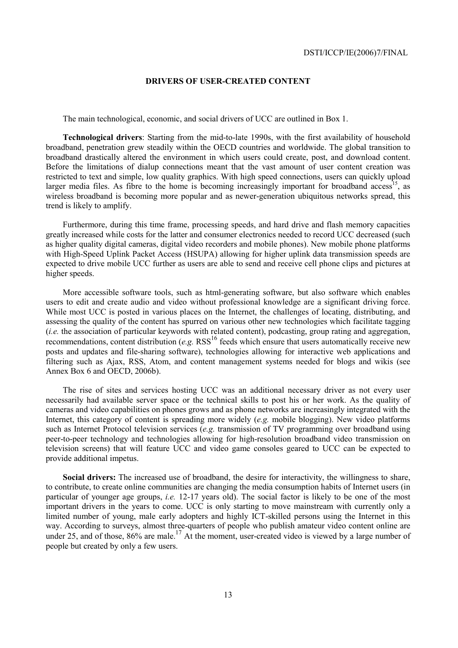# **DRIVERS OF USER-CREATED CONTENT**

The main technological, economic, and social drivers of UCC are outlined in Box 1.

**Technological drivers**: Starting from the mid-to-late 1990s, with the first availability of household broadband, penetration grew steadily within the OECD countries and worldwide. The global transition to broadband drastically altered the environment in which users could create, post, and download content. Before the limitations of dialup connections meant that the vast amount of user content creation was restricted to text and simple, low quality graphics. With high speed connections, users can quickly upload larger media files. As fibre to the home is becoming increasingly important for broadband access<sup>15</sup>, as wireless broadband is becoming more popular and as newer-generation ubiquitous networks spread, this trend is likely to amplify.

Furthermore, during this time frame, processing speeds, and hard drive and flash memory capacities greatly increased while costs for the latter and consumer electronics needed to record UCC decreased (such as higher quality digital cameras, digital video recorders and mobile phones). New mobile phone platforms with High-Speed Uplink Packet Access (HSUPA) allowing for higher uplink data transmission speeds are expected to drive mobile UCC further as users are able to send and receive cell phone clips and pictures at higher speeds.

More accessible software tools, such as html-generating software, but also software which enables users to edit and create audio and video without professional knowledge are a significant driving force. While most UCC is posted in various places on the Internet, the challenges of locating, distributing, and assessing the quality of the content has spurred on various other new technologies which facilitate tagging (*i.e.* the association of particular keywords with related content), podcasting, group rating and aggregation, recommendations, content distribution (*e.g.*  $RSS^{16}$  feeds which ensure that users automatically receive new posts and updates and file-sharing software), technologies allowing for interactive web applications and filtering such as Ajax, RSS, Atom, and content management systems needed for blogs and wikis (see Annex Box 6 and OECD, 2006b).

The rise of sites and services hosting UCC was an additional necessary driver as not every user necessarily had available server space or the technical skills to post his or her work. As the quality of cameras and video capabilities on phones grows and as phone networks are increasingly integrated with the Internet, this category of content is spreading more widely (*e.g.* mobile blogging). New video platforms such as Internet Protocol television services (*e.g.* transmission of TV programming over broadband using peer-to-peer technology and technologies allowing for high-resolution broadband video transmission on television screens) that will feature UCC and video game consoles geared to UCC can be expected to provide additional impetus.

**Social drivers:** The increased use of broadband, the desire for interactivity, the willingness to share, to contribute, to create online communities are changing the media consumption habits of Internet users (in particular of younger age groups, *i.e.* 12-17 years old). The social factor is likely to be one of the most important drivers in the years to come. UCC is only starting to move mainstream with currently only a limited number of young, male early adopters and highly ICT-skilled persons using the Internet in this way. According to surveys, almost three-quarters of people who publish amateur video content online are under 25, and of those,  $86\%$  are male.<sup>17</sup> At the moment, user-created video is viewed by a large number of people but created by only a few users.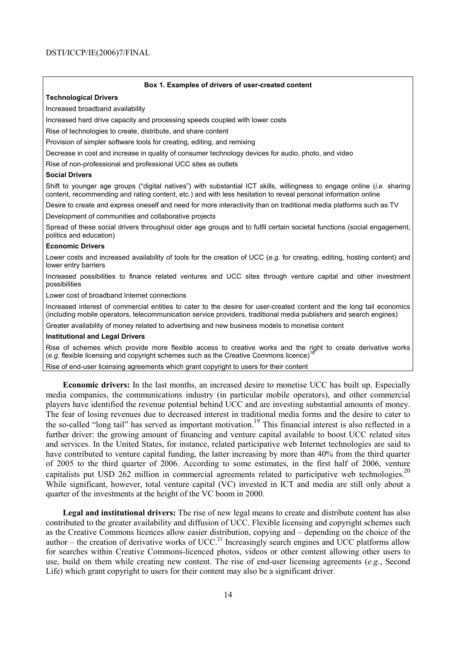#### **Box 1. Examples of drivers of user-created content**

# **Technological Drivers**

Increased broadband availability

Increased hard drive capacity and processing speeds coupled with lower costs

Rise of technologies to create, distribute, and share content

Provision of simpler software tools for creating, editing, and remixing

Decrease in cost and increase in quality of consumer technology devices for audio, photo, and video

Rise of non-professional and professional UCC sites as outlets

#### **Social Drivers**

Shift to younger age groups ("digital natives") with substantial ICT skills, willingness to engage online *(i.e.* sharing content, recommending and rating content, etc.) and with less hesitation to reveal personal information online

Desire to create and express oneself and need for more interactivity than on traditional media platforms such as TV

Development of communities and collaborative projects

Spread of these social drivers throughout older age groups and to fulfil certain societal functions (social engagement, politics and education)

#### **Economic Drivers**

Lower costs and increased availability of tools for the creation of UCC (*e.g.* for creating, editing, hosting content) and lower entry barriers

Increased possibilities to finance related ventures and UCC sites through venture capital and other investment possibilities

Lower cost of broadband Internet connections

Increased interest of commercial entities to cater to the desire for user-created content and the long tail economics (including mobile operators, telecommunication service providers, traditional media publishers and search engines)

Greater availability of money related to advertising and new business models to monetise content

#### **Institutional and Legal Drivers**

Rise of schemes which provide more flexible access to creative works and the right to create derivative works (*e.g.* flexible licensing and copyright schemes such as the Creative Commons licence)18

Rise of end-user licensing agreements which grant copyright to users for their content

**Economic drivers:** In the last months, an increased desire to monetise UCC has built up. Especially media companies, the communications industry (in particular mobile operators), and other commercial players have identified the revenue potential behind UCC and are investing substantial amounts of money. The fear of losing revenues due to decreased interest in traditional media forms and the desire to cater to the so-called "long tail" has served as important motivation.<sup>19</sup> This financial interest is also reflected in a further driver: the growing amount of financing and venture capital available to boost UCC related sites and services. In the United States, for instance, related participative web Internet technologies are said to have contributed to venture capital funding, the latter increasing by more than 40% from the third quarter of 2005 to the third quarter of 2006. According to some estimates, in the first half of 2006, venture capitalists put USD 262 million in commercial agreements related to participative web technologies.<sup>20</sup> While significant, however, total venture capital (VC) invested in ICT and media are still only about a quarter of the investments at the height of the VC boom in 2000.

**Legal and institutional drivers:** The rise of new legal means to create and distribute content has also contributed to the greater availability and diffusion of UCC. Flexible licensing and copyright schemes such as the Creative Commons licences allow easier distribution, copying and – depending on the choice of the author – the creation of derivative works of UCC.<sup>21</sup> Increasingly search engines and UCC platforms allow for searches within Creative Commons-licenced photos, videos or other content allowing other users to use, build on them while creating new content. The rise of end-user licensing agreements (*e.g.*, Second Life) which grant copyright to users for their content may also be a significant driver.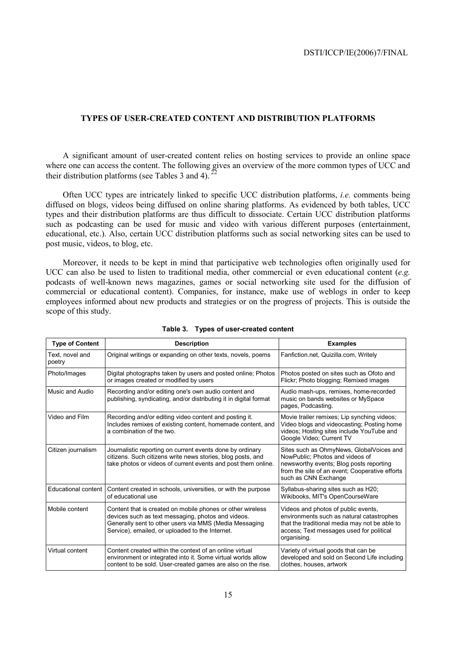# **TYPES OF USER-CREATED CONTENT AND DISTRIBUTION PLATFORMS**

A significant amount of user-created content relies on hosting services to provide an online space where one can access the content. The following gives an overview of the more common types of UCC and their distribution platforms (see Tables 3 and 4).  $^{22}$ 

Often UCC types are intricately linked to specific UCC distribution platforms, *i.e.* comments being diffused on blogs, videos being diffused on online sharing platforms. As evidenced by both tables, UCC types and their distribution platforms are thus difficult to dissociate. Certain UCC distribution platforms such as podcasting can be used for music and video with various different purposes (entertainment, educational, etc.). Also, certain UCC distribution platforms such as social networking sites can be used to post music, videos, to blog, etc.

Moreover, it needs to be kept in mind that participative web technologies often originally used for UCC can also be used to listen to traditional media, other commercial or even educational content (*e.g.* podcasts of well-known news magazines, games or social networking site used for the diffusion of commercial or educational content). Companies, for instance, make use of weblogs in order to keep employees informed about new products and strategies or on the progress of projects. This is outside the scope of this study.

| <b>Type of Content</b>    | <b>Description</b>                                                                                                                                                                                                            | <b>Examples</b>                                                                                                                                                                                  |
|---------------------------|-------------------------------------------------------------------------------------------------------------------------------------------------------------------------------------------------------------------------------|--------------------------------------------------------------------------------------------------------------------------------------------------------------------------------------------------|
| Text, novel and<br>poetry | Original writings or expanding on other texts, novels, poems                                                                                                                                                                  | Fanfiction.net, Quizilla.com, Writely                                                                                                                                                            |
| Photo/Images              | Digital photographs taken by users and posted online; Photos<br>or images created or modified by users                                                                                                                        | Photos posted on sites such as Ofoto and<br>Flickr: Photo blogging: Remixed images                                                                                                               |
| Music and Audio           | Recording and/or editing one's own audio content and<br>publishing, syndicating, and/or distributing it in digital format                                                                                                     | Audio mash-ups, remixes, home-recorded<br>music on bands websites or MySpace<br>pages, Podcasting.                                                                                               |
| Video and Film            | Recording and/or editing video content and posting it.<br>Includes remixes of existing content, homemade content, and<br>a combination of the two.                                                                            | Movie trailer remixes; Lip synching videos;<br>Video blogs and videocasting; Posting home<br>videos; Hosting sites include YouTube and<br>Google Video; Current TV                               |
| Citizen journalism        | Journalistic reporting on current events done by ordinary<br>citizens. Such citizens write news stories, blog posts, and<br>take photos or videos of current events and post them online.                                     | Sites such as OhmyNews, GlobalVoices and<br>NowPublic; Photos and videos of<br>newsworthy events; Blog posts reporting<br>from the site of an event: Cooperative efforts<br>such as CNN Exchange |
| Educational content       | Content created in schools, universities, or with the purpose<br>of educational use                                                                                                                                           | Syllabus-sharing sites such as H20;<br>Wikibooks, MIT's OpenCourseWare                                                                                                                           |
| Mobile content            | Content that is created on mobile phones or other wireless<br>devices such as text messaging, photos and videos.<br>Generally sent to other users via MMS (Media Messaging<br>Service), emailed, or uploaded to the Internet. | Videos and photos of public events,<br>environments such as natural catastrophes<br>that the traditional media may not be able to<br>access; Text messages used for political<br>organising.     |
| Virtual content           | Content created within the context of an online virtual<br>environment or integrated into it. Some virtual worlds allow<br>content to be sold. User-created games are also on the rise.                                       | Variety of virtual goods that can be<br>developed and sold on Second Life including<br>clothes, houses, artwork                                                                                  |

#### **Table 3. Types of user-created content**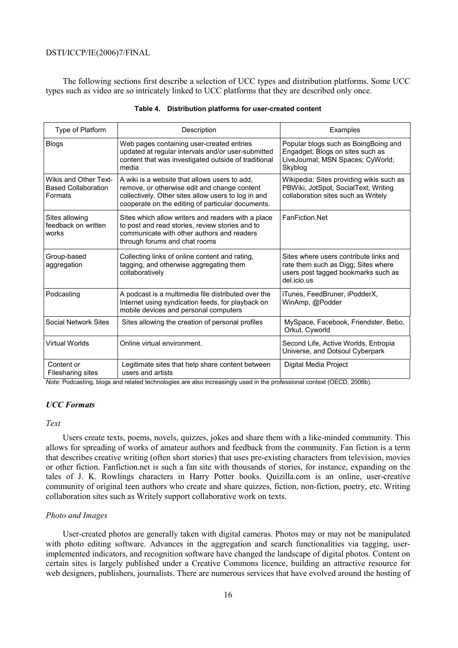The following sections first describe a selection of UCC types and distribution platforms. Some UCC types such as video are so intricately linked to UCC platforms that they are described only once.

| Type of Platform                                                      | Description                                                                                                                                                                                               | Examples                                                                                                                            |
|-----------------------------------------------------------------------|-----------------------------------------------------------------------------------------------------------------------------------------------------------------------------------------------------------|-------------------------------------------------------------------------------------------------------------------------------------|
| <b>Blogs</b>                                                          | Web pages containing user-created entries<br>updated at regular intervals and/or user-submitted<br>content that was investigated outside of traditional<br>media                                          | Popular blogs such as BoingBoing and<br>Engadget; Blogs on sites such as<br>LiveJournal; MSN Spaces; CyWorld;<br>Skyblog            |
| <b>Wikis and Other Text-</b><br><b>Based Collaboration</b><br>Formats | A wiki is a website that allows users to add.<br>remove, or otherwise edit and change content<br>collectively. Other sites allow users to log in and<br>cooperate on the editing of particular documents. | Wikipedia; Sites providing wikis such as<br>PBWiki, JotSpot, SocialText; Writing<br>collaboration sites such as Writely             |
| Sites allowing<br>feedback on written<br>works                        | Sites which allow writers and readers with a place<br>to post and read stories, review stories and to<br>communicate with other authors and readers<br>through forums and chat rooms                      | FanFiction.Net                                                                                                                      |
| Group-based<br>aggregation                                            | Collecting links of online content and rating,<br>tagging, and otherwise aggregating them<br>collaboratively                                                                                              | Sites where users contribute links and<br>rate them such as Digg; Sites where<br>users post tagged bookmarks such as<br>del.icio.us |
| Podcasting                                                            | A podcast is a multimedia file distributed over the<br>Internet using syndication feeds, for playback on<br>mobile devices and personal computers                                                         | iTunes, FeedBruner, iPodderX,<br>WinAmp, @Podder                                                                                    |
| <b>Social Network Sites</b>                                           | Sites allowing the creation of personal profiles                                                                                                                                                          | MySpace, Facebook, Friendster, Bebo,<br>Orkut, Cyworld                                                                              |
| <b>Virtual Worlds</b>                                                 | Online virtual environment.                                                                                                                                                                               | Second Life, Active Worlds, Entropia<br>Universe, and Dotsoul Cyberpark                                                             |
| Content or<br><b>Filesharing sites</b>                                | Legitimate sites that help share content between<br>users and artists                                                                                                                                     | Digital Media Project                                                                                                               |

|  |  | Table 4. Distribution platforms for user-created content |  |  |  |  |
|--|--|----------------------------------------------------------|--|--|--|--|
|--|--|----------------------------------------------------------|--|--|--|--|

*Note*: Podcasting, blogs and related technologies are also increasingly used in the professional context (OECD, 2006b).

# *UCC Formats*

# *Text*

Users create texts, poems, novels, quizzes, jokes and share them with a like-minded community. This allows for spreading of works of amateur authors and feedback from the community. Fan fiction is a term that describes creative writing (often short stories) that uses pre-existing characters from television, movies or other fiction. Fanfiction.net is such a fan site with thousands of stories, for instance, expanding on the tales of J. K. Rowlings characters in Harry Potter books. Quizilla.com is an online, user-creative community of original teen authors who create and share quizzes, fiction, non-fiction, poetry, etc. Writing collaboration sites such as Writely support collaborative work on texts.

#### *Photo and Images*

User-created photos are generally taken with digital cameras. Photos may or may not be manipulated with photo editing software. Advances in the aggregation and search functionalities via tagging, userimplemented indicators, and recognition software have changed the landscape of digital photos. Content on certain sites is largely published under a Creative Commons licence, building an attractive resource for web designers, publishers, journalists. There are numerous services that have evolved around the hosting of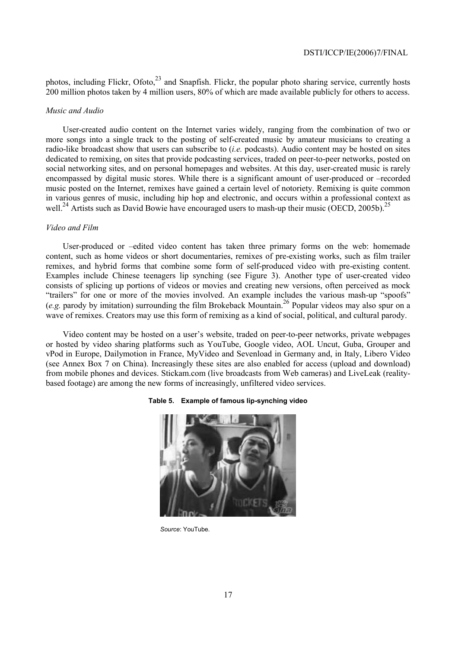photos, including Flickr, Ofoto,<sup>23</sup> and Snapfish. Flickr, the popular photo sharing service, currently hosts 200 million photos taken by 4 million users, 80% of which are made available publicly for others to access.

# *Music and Audio*

User-created audio content on the Internet varies widely, ranging from the combination of two or more songs into a single track to the posting of self-created music by amateur musicians to creating a radio-like broadcast show that users can subscribe to (*i.e.* podcasts). Audio content may be hosted on sites dedicated to remixing, on sites that provide podcasting services, traded on peer-to-peer networks, posted on social networking sites, and on personal homepages and websites. At this day, user-created music is rarely encompassed by digital music stores. While there is a significant amount of user-produced or -recorded music posted on the Internet, remixes have gained a certain level of notoriety. Remixing is quite common in various genres of music, including hip hop and electronic, and occurs within a professional context as well.<sup>24</sup> Artists such as David Bowie have encouraged users to mash-up their music (OECD, 2005b).<sup>25</sup>

# *Video and Film*

User-produced or –edited video content has taken three primary forms on the web: homemade content, such as home videos or short documentaries, remixes of pre-existing works, such as film trailer remixes, and hybrid forms that combine some form of self-produced video with pre-existing content. Examples include Chinese teenagers lip synching (see Figure 3). Another type of user-created video consists of splicing up portions of videos or movies and creating new versions, often perceived as mock "trailers" for one or more of the movies involved. An example includes the various mash-up "spoofs" (*e.g.* parody by imitation) surrounding the film Brokeback Mountain.<sup>26</sup> Popular videos may also spur on a wave of remixes. Creators may use this form of remixing as a kind of social, political, and cultural parody.

Video content may be hosted on a user's website, traded on peer-to-peer networks, private webpages or hosted by video sharing platforms such as YouTube, Google video, AOL Uncut, Guba, Grouper and vPod in Europe, Dailymotion in France, MyVideo and Sevenload in Germany and, in Italy, Libero Video (see Annex Box 7 on China). Increasingly these sites are also enabled for access (upload and download) from mobile phones and devices. Stickam.com (live broadcasts from Web cameras) and LiveLeak (realitybased footage) are among the new forms of increasingly, unfiltered video services.



# **Table 5. Example of famous lip-synching video**

*Source*: YouTube.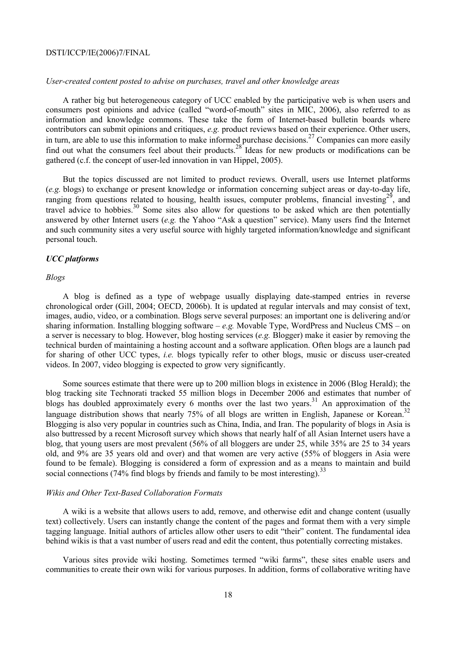# *User-created content posted to advise on purchases, travel and other knowledge areas*

A rather big but heterogeneous category of UCC enabled by the participative web is when users and consumers post opinions and advice (called "word-of-mouth" sites in MIC, 2006), also referred to as information and knowledge commons. These take the form of Internet-based bulletin boards where contributors can submit opinions and critiques, *e.g.* product reviews based on their experience. Other users, in turn, are able to use this information to make informed purchase decisions.<sup>27</sup> Companies can more easily find out what the consumers feel about their products.<sup>28</sup> Ideas for new products or modifications can be gathered (c.f. the concept of user-led innovation in van Hippel, 2005).

But the topics discussed are not limited to product reviews. Overall, users use Internet platforms (*e.g.* blogs) to exchange or present knowledge or information concerning subject areas or day-to-day life, ranging from questions related to housing, health issues, computer problems, financial investing<sup>29</sup>, and travel advice to hobbies.<sup>30</sup> Some sites also allow for questions to be asked which are then potentially answered by other Internet users (e.g. the Yahoo "Ask a question" service). Many users find the Internet and such community sites a very useful source with highly targeted information/knowledge and significant personal touch.

# *UCC platforms*

#### *Blogs*

A blog is defined as a type of webpage usually displaying date-stamped entries in reverse chronological order (Gill, 2004; OECD, 2006b). It is updated at regular intervals and may consist of text, images, audio, video, or a combination. Blogs serve several purposes: an important one is delivering and/or sharing information. Installing blogging software  $-e.g.$  Movable Type, WordPress and Nucleus CMS  $-$  on a server is necessary to blog. However, blog hosting services (*e.g.* Blogger) make it easier by removing the technical burden of maintaining a hosting account and a software application. Often blogs are a launch pad for sharing of other UCC types, *i.e.* blogs typically refer to other blogs, music or discuss user-created videos. In 2007, video blogging is expected to grow very significantly.

Some sources estimate that there were up to 200 million blogs in existence in 2006 (Blog Herald); the blog tracking site Technorati tracked 55 million blogs in December 2006 and estimates that number of blogs has doubled approximately every 6 months over the last two years.<sup>31</sup> An approximation of the language distribution shows that nearly  $75%$  of all blogs are written in English, Japanese or Korean.<sup>32</sup> Blogging is also very popular in countries such as China, India, and Iran. The popularity of blogs in Asia is also buttressed by a recent Microsoft survey which shows that nearly half of all Asian Internet users have a blog, that young users are most prevalent (56% of all bloggers are under 25, while 35% are 25 to 34 years old, and 9% are 35 years old and over) and that women are very active (55% of bloggers in Asia were found to be female). Blogging is considered a form of expression and as a means to maintain and build social connections (74% find blogs by friends and family to be most interesting).<sup>33</sup>

# *Wikis and Other Text-Based Collaboration Formats*

A wiki is a website that allows users to add, remove, and otherwise edit and change content (usually text) collectively. Users can instantly change the content of the pages and format them with a very simple tagging language. Initial authors of articles allow other users to edit "their" content. The fundamental idea behind wikis is that a vast number of users read and edit the content, thus potentially correcting mistakes.

Various sites provide wiki hosting. Sometimes termed "wiki farms", these sites enable users and communities to create their own wiki for various purposes. In addition, forms of collaborative writing have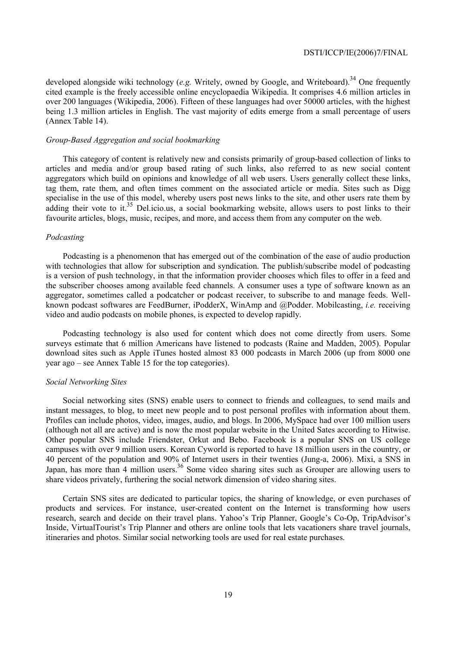developed alongside wiki technology (*e.g.* Writely, owned by Google, and Writeboard).<sup>34</sup> One frequently cited example is the freely accessible online encyclopaedia Wikipedia. It comprises 4.6 million articles in over 200 languages (Wikipedia, 2006). Fifteen of these languages had over 50000 articles, with the highest being 1.3 million articles in English. The vast majority of edits emerge from a small percentage of users (Annex Table 14).

## *Group-Based Aggregation and social bookmarking*

This category of content is relatively new and consists primarily of group-based collection of links to articles and media and/or group based rating of such links, also referred to as new social content aggregators which build on opinions and knowledge of all web users. Users generally collect these links, tag them, rate them, and often times comment on the associated article or media. Sites such as Digg specialise in the use of this model, whereby users post news links to the site, and other users rate them by adding their vote to it.<sup>35</sup> Del.icio.us, a social bookmarking website, allows users to post links to their favourite articles, blogs, music, recipes, and more, and access them from any computer on the web.

#### *Podcasting*

Podcasting is a phenomenon that has emerged out of the combination of the ease of audio production with technologies that allow for subscription and syndication. The publish/subscribe model of podcasting is a version of push technology, in that the information provider chooses which files to offer in a feed and the subscriber chooses among available feed channels. A consumer uses a type of software known as an aggregator, sometimes called a podcatcher or podcast receiver, to subscribe to and manage feeds. Wellknown podcast softwares are FeedBurner, iPodderX, WinAmp and @Podder. Mobilcasting, *i.e.* receiving video and audio podcasts on mobile phones, is expected to develop rapidly.

Podcasting technology is also used for content which does not come directly from users. Some surveys estimate that 6 million Americans have listened to podcasts (Raine and Madden, 2005). Popular download sites such as Apple iTunes hosted almost 83 000 podcasts in March 2006 (up from 8000 one year ago  $-$  see Annex Table 15 for the top categories).

#### *Social Networking Sites*

Social networking sites (SNS) enable users to connect to friends and colleagues, to send mails and instant messages, to blog, to meet new people and to post personal profiles with information about them. Profiles can include photos, video, images, audio, and blogs. In 2006, MySpace had over 100 million users (although not all are active) and is now the most popular website in the United Sates according to Hitwise. Other popular SNS include Friendster, Orkut and Bebo. Facebook is a popular SNS on US college campuses with over 9 million users. Korean Cyworld is reported to have 18 million users in the country, or 40 percent of the population and 90% of Internet users in their twenties (Jung-a, 2006). Mixi, a SNS in Japan, has more than 4 million users.<sup>36</sup> Some video sharing sites such as Grouper are allowing users to share videos privately, furthering the social network dimension of video sharing sites.

Certain SNS sites are dedicated to particular topics, the sharing of knowledge, or even purchases of products and services. For instance, user-created content on the Internet is transforming how users research, search and decide on their travel plans. Yahoo's Trip Planner, Google's Co-Op, TripAdvisor's Inside, VirtualTourist's Trip Planner and others are online tools that lets vacationers share travel journals, itineraries and photos. Similar social networking tools are used for real estate purchases.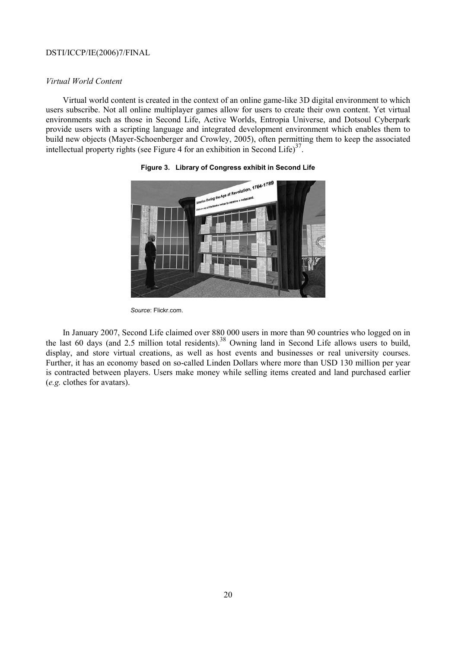# *Virtual World Content*

Virtual world content is created in the context of an online game-like 3D digital environment to which users subscribe. Not all online multiplayer games allow for users to create their own content. Yet virtual environments such as those in Second Life, Active Worlds, Entropia Universe, and Dotsoul Cyberpark provide users with a scripting language and integrated development environment which enables them to build new objects (Mayer-Schoenberger and Crowley, 2005), often permitting them to keep the associated intellectual property rights (see Figure 4 for an exhibition in Second Life)<sup>37</sup>.





In January 2007, Second Life claimed over 880 000 users in more than 90 countries who logged on in the last 60 days (and 2.5 million total residents).<sup>38</sup> Owning land in Second Life allows users to build, display, and store virtual creations, as well as host events and businesses or real university courses. Further, it has an economy based on so-called Linden Dollars where more than USD 130 million per year is contracted between players. Users make money while selling items created and land purchased earlier (*e.g.* clothes for avatars).

*Source*: Flickr.com.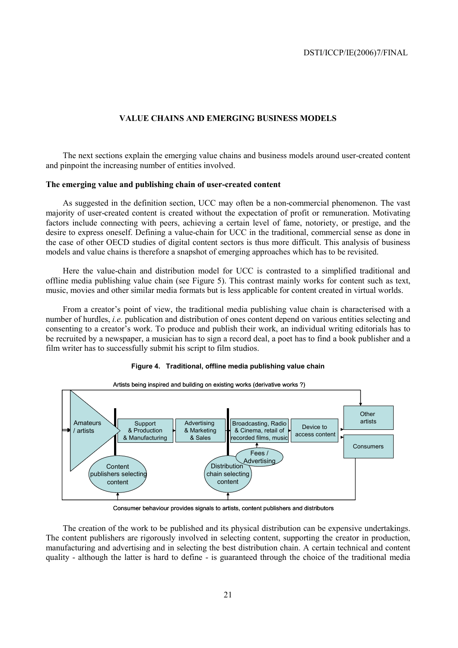# **VALUE CHAINS AND EMERGING BUSINESS MODELS**

The next sections explain the emerging value chains and business models around user-created content and pinpoint the increasing number of entities involved.

#### **The emerging value and publishing chain of user-created content**

As suggested in the definition section, UCC may often be a non-commercial phenomenon. The vast majority of user-created content is created without the expectation of profit or remuneration. Motivating factors include connecting with peers, achieving a certain level of fame, notoriety, or prestige, and the desire to express oneself. Defining a value-chain for UCC in the traditional, commercial sense as done in the case of other OECD studies of digital content sectors is thus more difficult. This analysis of business models and value chains is therefore a snapshot of emerging approaches which has to be revisited.

Here the value-chain and distribution model for UCC is contrasted to a simplified traditional and offline media publishing value chain (see Figure 5). This contrast mainly works for content such as text, music, movies and other similar media formats but is less applicable for content created in virtual worlds.

From a creator's point of view, the traditional media publishing value chain is characterised with a number of hurdles, *i.e.* publication and distribution of ones content depend on various entities selecting and consenting to a creator's work. To produce and publish their work, an individual writing editorials has to be recruited by a newspaper, a musician has to sign a record deal, a poet has to find a book publisher and a film writer has to successfully submit his script to film studios.





Consumer behaviour provides signals to artists, content publishers and distributors

The creation of the work to be published and its physical distribution can be expensive undertakings. The content publishers are rigorously involved in selecting content, supporting the creator in production, manufacturing and advertising and in selecting the best distribution chain. A certain technical and content quality - although the latter is hard to define - is guaranteed through the choice of the traditional media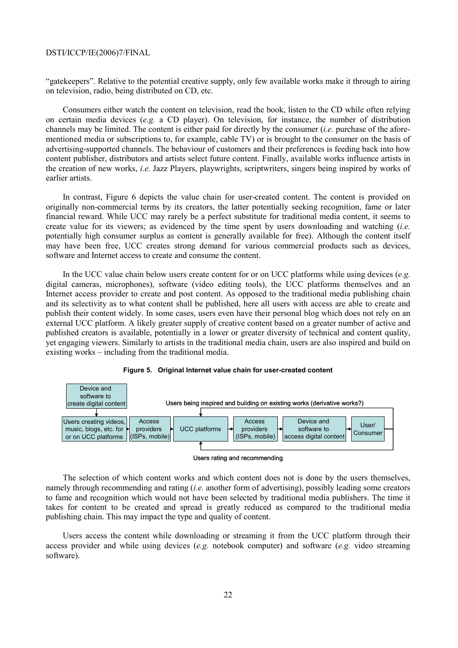ìgatekeepersî. Relative to the potential creative supply, only few available works make it through to airing on television, radio, being distributed on CD, etc.

Consumers either watch the content on television, read the book, listen to the CD while often relying on certain media devices (*e.g.* a CD player). On television, for instance, the number of distribution channels may be limited. The content is either paid for directly by the consumer (*i.e.* purchase of the aforementioned media or subscriptions to, for example, cable TV) or is brought to the consumer on the basis of advertising-supported channels. The behaviour of customers and their preferences is feeding back into how content publisher, distributors and artists select future content. Finally, available works influence artists in the creation of new works, *i.e.* Jazz Players, playwrights, scriptwriters, singers being inspired by works of earlier artists.

In contrast, Figure 6 depicts the value chain for user-created content. The content is provided on originally non-commercial terms by its creators, the latter potentially seeking recognition, fame or later financial reward. While UCC may rarely be a perfect substitute for traditional media content, it seems to create value for its viewers; as evidenced by the time spent by users downloading and watching (*i.e.* potentially high consumer surplus as content is generally available for free). Although the content itself may have been free, UCC creates strong demand for various commercial products such as devices, software and Internet access to create and consume the content.

In the UCC value chain below users create content for or on UCC platforms while using devices (*e.g.* digital cameras, microphones), software (video editing tools), the UCC platforms themselves and an Internet access provider to create and post content. As opposed to the traditional media publishing chain and its selectivity as to what content shall be published, here all users with access are able to create and publish their content widely. In some cases, users even have their personal blog which does not rely on an external UCC platform. A likely greater supply of creative content based on a greater number of active and published creators is available, potentially in a lower or greater diversity of technical and content quality, yet engaging viewers. Similarly to artists in the traditional media chain, users are also inspired and build on existing works  $-$  including from the traditional media.



#### **Figure 5. Original Internet value chain for user-created content**

#### Users rating and recommending

The selection of which content works and which content does not is done by the users themselves, namely through recommending and rating (*i.e.* another form of advertising), possibly leading some creators to fame and recognition which would not have been selected by traditional media publishers. The time it takes for content to be created and spread is greatly reduced as compared to the traditional media publishing chain. This may impact the type and quality of content.

Users access the content while downloading or streaming it from the UCC platform through their access provider and while using devices (*e.g.* notebook computer) and software (*e.g.* video streaming software).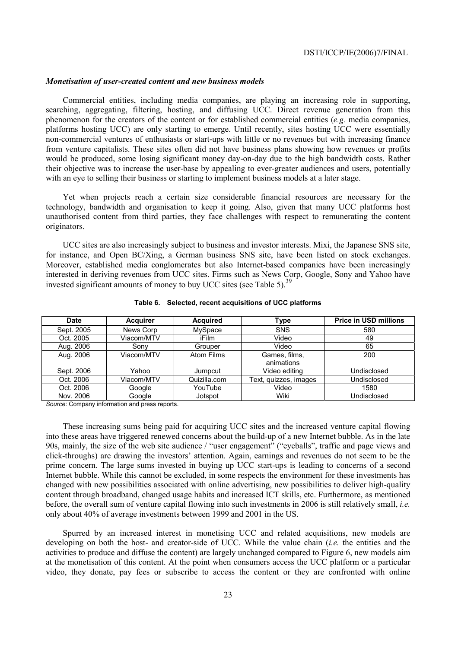#### *Monetisation of user-created content and new business models*

Commercial entities, including media companies, are playing an increasing role in supporting, searching, aggregating, filtering, hosting, and diffusing UCC. Direct revenue generation from this phenomenon for the creators of the content or for established commercial entities (*e.g.* media companies, platforms hosting UCC) are only starting to emerge. Until recently, sites hosting UCC were essentially non-commercial ventures of enthusiasts or start-ups with little or no revenues but with increasing finance from venture capitalists. These sites often did not have business plans showing how revenues or profits would be produced, some losing significant money day-on-day due to the high bandwidth costs. Rather their objective was to increase the user-base by appealing to ever-greater audiences and users, potentially with an eye to selling their business or starting to implement business models at a later stage.

Yet when projects reach a certain size considerable financial resources are necessary for the technology, bandwidth and organisation to keep it going. Also, given that many UCC platforms host unauthorised content from third parties, they face challenges with respect to remunerating the content originators.

UCC sites are also increasingly subject to business and investor interests. Mixi, the Japanese SNS site, for instance, and Open BC/Xing, a German business SNS site, have been listed on stock exchanges. Moreover, established media conglomerates but also Internet-based companies have been increasingly interested in deriving revenues from UCC sites. Firms such as News Corp, Google, Sony and Yahoo have invested significant amounts of money to buy UCC sites (see Table 5).<sup>39</sup>

| <b>Date</b> | <b>Acquirer</b> | <b>Acquired</b> | Type                  | <b>Price in USD millions</b> |
|-------------|-----------------|-----------------|-----------------------|------------------------------|
| Sept. 2005  | News Corp       | MySpace         | <b>SNS</b>            | 580                          |
| Oct. 2005   | Viacom/MTV      | <b>iFilm</b>    | Video                 | 49                           |
| Aug. 2006   | Sony            | Grouper         | Video                 | 65                           |
| Aug. 2006   | Viacom/MTV      | Atom Films      | Games, films,         | 200                          |
|             |                 |                 | animations            |                              |
| Sept. 2006  | Yahoo           | Jumpcut         | Video editing         | Undisclosed                  |
| Oct. 2006   | Viacom/MTV      | Quizilla.com    | Text, quizzes, images | Undisclosed                  |
| Oct. 2006   | Google          | YouTube         | Video                 | 1580                         |
| Nov. 2006   | Google          | Jotspot         | Wiki                  | Undisclosed                  |

#### **Table 6. Selected, recent acquisitions of UCC platforms**

*Source*: Company information and press reports.

These increasing sums being paid for acquiring UCC sites and the increased venture capital flowing into these areas have triggered renewed concerns about the build-up of a new Internet bubble. As in the late 90s, mainly, the size of the web site audience / "user engagement" ("eyeballs", traffic and page views and click-throughs) are drawing the investors' attention. Again, earnings and revenues do not seem to be the prime concern. The large sums invested in buying up UCC start-ups is leading to concerns of a second Internet bubble. While this cannot be excluded, in some respects the environment for these investments has changed with new possibilities associated with online advertising, new possibilities to deliver high-quality content through broadband, changed usage habits and increased ICT skills, etc. Furthermore, as mentioned before, the overall sum of venture capital flowing into such investments in 2006 is still relatively small, *i.e.* only about 40% of average investments between 1999 and 2001 in the US.

Spurred by an increased interest in monetising UCC and related acquisitions, new models are developing on both the host- and creator-side of UCC. While the value chain (*i.e.* the entities and the activities to produce and diffuse the content) are largely unchanged compared to Figure 6, new models aim at the monetisation of this content. At the point when consumers access the UCC platform or a particular video, they donate, pay fees or subscribe to access the content or they are confronted with online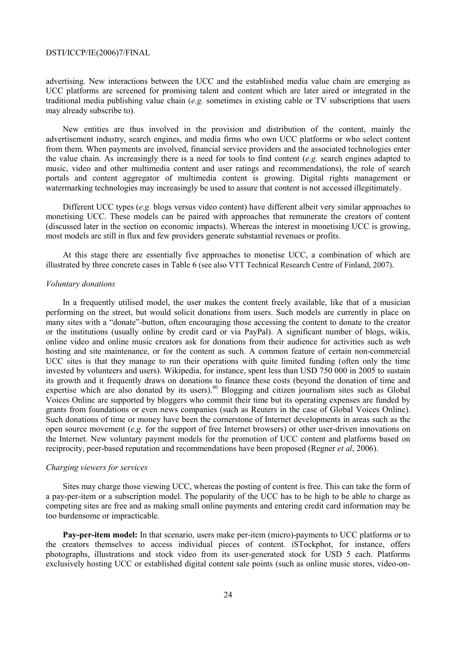advertising. New interactions between the UCC and the established media value chain are emerging as UCC platforms are screened for promising talent and content which are later aired or integrated in the traditional media publishing value chain (*e.g.* sometimes in existing cable or TV subscriptions that users may already subscribe to).

New entities are thus involved in the provision and distribution of the content, mainly the advertisement industry, search engines, and media firms who own UCC platforms or who select content from them. When payments are involved, financial service providers and the associated technologies enter the value chain. As increasingly there is a need for tools to find content (*e.g.* search engines adapted to music, video and other multimedia content and user ratings and recommendations), the role of search portals and content aggregator of multimedia content is growing. Digital rights management or watermarking technologies may increasingly be used to assure that content is not accessed illegitimately.

Different UCC types (*e.g.* blogs versus video content) have different albeit very similar approaches to monetising UCC. These models can be paired with approaches that remunerate the creators of content (discussed later in the section on economic impacts). Whereas the interest in monetising UCC is growing, most models are still in flux and few providers generate substantial revenues or profits.

At this stage there are essentially five approaches to monetise UCC, a combination of which are illustrated by three concrete cases in Table 6 (see also VTT Technical Research Centre of Finland, 2007).

# *Voluntary donations*

In a frequently utilised model, the user makes the content freely available, like that of a musician performing on the street, but would solicit donations from users. Such models are currently in place on many sites with a "donate"-button, often encouraging those accessing the content to donate to the creator or the institutions (usually online by credit card or via PayPal). A significant number of blogs, wikis, online video and online music creators ask for donations from their audience for activities such as web hosting and site maintenance, or for the content as such. A common feature of certain non-commercial UCC sites is that they manage to run their operations with quite limited funding (often only the time invested by volunteers and users). Wikipedia, for instance, spent less than USD 750 000 in 2005 to sustain its growth and it frequently draws on donations to finance these costs (beyond the donation of time and expertise which are also donated by its users).<sup>40</sup> Blogging and citizen journalism sites such as Global Voices Online are supported by bloggers who commit their time but its operating expenses are funded by grants from foundations or even news companies (such as Reuters in the case of Global Voices Online). Such donations of time or money have been the cornerstone of Internet developments in areas such as the open source movement (*e.g.* for the support of free Internet browsers) or other user-driven innovations on the Internet. New voluntary payment models for the promotion of UCC content and platforms based on reciprocity, peer-based reputation and recommendations have been proposed (Regner *et al*, 2006).

# *Charging viewers for services*

Sites may charge those viewing UCC, whereas the posting of content is free. This can take the form of a pay-per-item or a subscription model. The popularity of the UCC has to be high to be able to charge as competing sites are free and as making small online payments and entering credit card information may be too burdensome or impracticable.

**Pay-per-item model:** In that scenario, users make per-item (micro)-payments to UCC platforms or to the creators themselves to access individual pieces of content. iSTockphot, for instance, offers photographs, illustrations and stock video from its user-generated stock for USD 5 each. Platforms exclusively hosting UCC or established digital content sale points (such as online music stores, video-on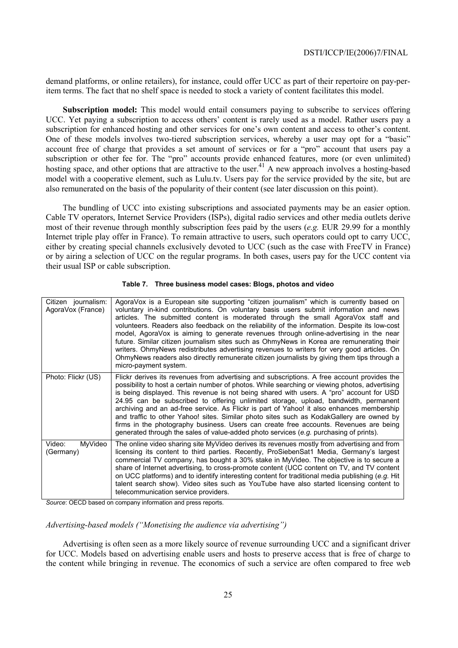demand platforms, or online retailers), for instance, could offer UCC as part of their repertoire on pay-peritem terms. The fact that no shelf space is needed to stock a variety of content facilitates this model.

**Subscription model:** This model would entail consumers paying to subscribe to services offering UCC. Yet paying a subscription to access others' content is rarely used as a model. Rather users pay a subscription for enhanced hosting and other services for one's own content and access to other's content. One of these models involves two-tiered subscription services, whereby a user may opt for a "basic" account free of charge that provides a set amount of services or for a "pro" account that users pay a subscription or other fee for. The "pro" accounts provide enhanced features, more (or even unlimited) hosting space, and other options that are attractive to the user.<sup>41</sup> A new approach involves a hosting-based model with a cooperative element, such as Lulu.tv. Users pay for the service provided by the site, but are also remunerated on the basis of the popularity of their content (see later discussion on this point).

The bundling of UCC into existing subscriptions and associated payments may be an easier option. Cable TV operators, Internet Service Providers (ISPs), digital radio services and other media outlets derive most of their revenue through monthly subscription fees paid by the users (*e.g.* EUR 29.99 for a monthly Internet triple play offer in France). To remain attractive to users, such operators could opt to carry UCC, either by creating special channels exclusively devoted to UCC (such as the case with FreeTV in France) or by airing a selection of UCC on the regular programs. In both cases, users pay for the UCC content via their usual ISP or cable subscription.

| Citizen journalism:<br>AgoraVox (France) | AgoraVox is a European site supporting "citizen journalism" which is currently based on<br>voluntary in-kind contributions. On voluntary basis users submit information and news<br>articles. The submitted content is moderated through the small AgoraVox staff and<br>volunteers. Readers also feedback on the reliability of the information. Despite its low-cost<br>model, AgoraVox is aiming to generate revenues through online-advertising in the near<br>future. Similar citizen journalism sites such as OhmyNews in Korea are remunerating their<br>writers. OhmyNews redistributes advertising revenues to writers for very good articles. On<br>OhmyNews readers also directly remunerate citizen journalists by giving them tips through a<br>micro-payment system. |
|------------------------------------------|------------------------------------------------------------------------------------------------------------------------------------------------------------------------------------------------------------------------------------------------------------------------------------------------------------------------------------------------------------------------------------------------------------------------------------------------------------------------------------------------------------------------------------------------------------------------------------------------------------------------------------------------------------------------------------------------------------------------------------------------------------------------------------|
| Photo: Flickr (US)                       | Flickr derives its revenues from advertising and subscriptions. A free account provides the<br>possibility to host a certain number of photos. While searching or viewing photos, advertising<br>is being displayed. This revenue is not being shared with users. A "pro" account for USD<br>24.95 can be subscribed to offering unlimited storage, upload, bandwidth, permanent<br>archiving and an ad-free service. As Flickr is part of Yahoo! it also enhances membership<br>and traffic to other Yahoo! sites. Similar photo sites such as KodakGallery are owned by<br>firms in the photography business. Users can create free accounts. Revenues are being<br>generated through the sales of value-added photo services (e.g. purchasing of prints).                       |
| Video:<br>MyVideo<br>(Germany)           | The online video sharing site MyVideo derives its revenues mostly from advertising and from<br>licensing its content to third parties. Recently, ProSiebenSat1 Media, Germany's largest<br>commercial TV company, has bought a 30% stake in MyVideo. The objective is to secure a<br>share of Internet advertising, to cross-promote content (UCC content on TV, and TV content<br>on UCC platforms) and to identify interesting content for traditional media publishing (e.g. Hit<br>talent search show). Video sites such as YouTube have also started licensing content to<br>telecommunication service providers.                                                                                                                                                             |

**Table 7. Three business model cases: Blogs, photos and video** 

*Source*: OECD based on company information and press reports.

# *Advertising-based models ("Monetising the audience via advertising")*

Advertising is often seen as a more likely source of revenue surrounding UCC and a significant driver for UCC. Models based on advertising enable users and hosts to preserve access that is free of charge to the content while bringing in revenue. The economics of such a service are often compared to free web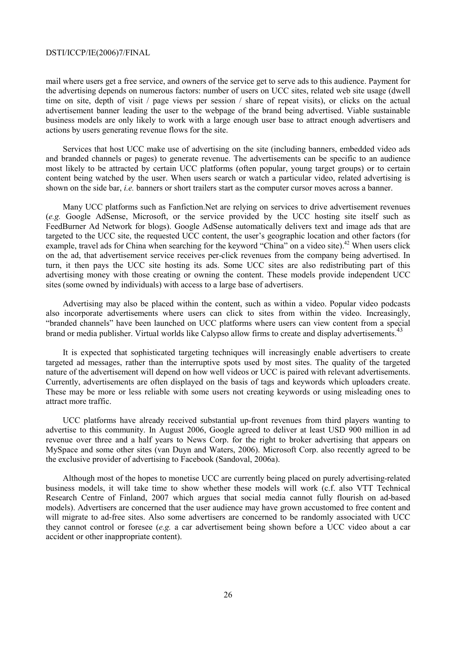mail where users get a free service, and owners of the service get to serve ads to this audience. Payment for the advertising depends on numerous factors: number of users on UCC sites, related web site usage (dwell time on site, depth of visit / page views per session / share of repeat visits), or clicks on the actual advertisement banner leading the user to the webpage of the brand being advertised. Viable sustainable business models are only likely to work with a large enough user base to attract enough advertisers and actions by users generating revenue flows for the site.

Services that host UCC make use of advertising on the site (including banners, embedded video ads and branded channels or pages) to generate revenue. The advertisements can be specific to an audience most likely to be attracted by certain UCC platforms (often popular, young target groups) or to certain content being watched by the user. When users search or watch a particular video, related advertising is shown on the side bar, *i.e.* banners or short trailers start as the computer cursor moves across a banner.

Many UCC platforms such as Fanfiction.Net are relying on services to drive advertisement revenues (*e.g.* Google AdSense, Microsoft, or the service provided by the UCC hosting site itself such as FeedBurner Ad Network for blogs). Google AdSense automatically delivers text and image ads that are targeted to the UCC site, the requested UCC content, the user's geographic location and other factors (for example, travel ads for China when searching for the keyword "China" on a video site).<sup>42</sup> When users click on the ad, that advertisement service receives per-click revenues from the company being advertised. In turn, it then pays the UCC site hosting its ads. Some UCC sites are also redistributing part of this advertising money with those creating or owning the content. These models provide independent UCC sites (some owned by individuals) with access to a large base of advertisers.

Advertising may also be placed within the content, such as within a video. Popular video podcasts also incorporate advertisements where users can click to sites from within the video. Increasingly, ìbranded channelsî have been launched on UCC platforms where users can view content from a special brand or media publisher. Virtual worlds like Calypso allow firms to create and display advertisements.<sup>43</sup>

It is expected that sophisticated targeting techniques will increasingly enable advertisers to create targeted ad messages, rather than the interruptive spots used by most sites. The quality of the targeted nature of the advertisement will depend on how well videos or UCC is paired with relevant advertisements. Currently, advertisements are often displayed on the basis of tags and keywords which uploaders create. These may be more or less reliable with some users not creating keywords or using misleading ones to attract more traffic.

UCC platforms have already received substantial up-front revenues from third players wanting to advertise to this community. In August 2006, Google agreed to deliver at least USD 900 million in ad revenue over three and a half years to News Corp. for the right to broker advertising that appears on MySpace and some other sites (van Duyn and Waters, 2006). Microsoft Corp. also recently agreed to be the exclusive provider of advertising to Facebook (Sandoval, 2006a).

Although most of the hopes to monetise UCC are currently being placed on purely advertising-related business models, it will take time to show whether these models will work (c.f. also VTT Technical Research Centre of Finland, 2007 which argues that social media cannot fully flourish on ad-based models). Advertisers are concerned that the user audience may have grown accustomed to free content and will migrate to ad-free sites. Also some advertisers are concerned to be randomly associated with UCC they cannot control or foresee (*e.g.* a car advertisement being shown before a UCC video about a car accident or other inappropriate content).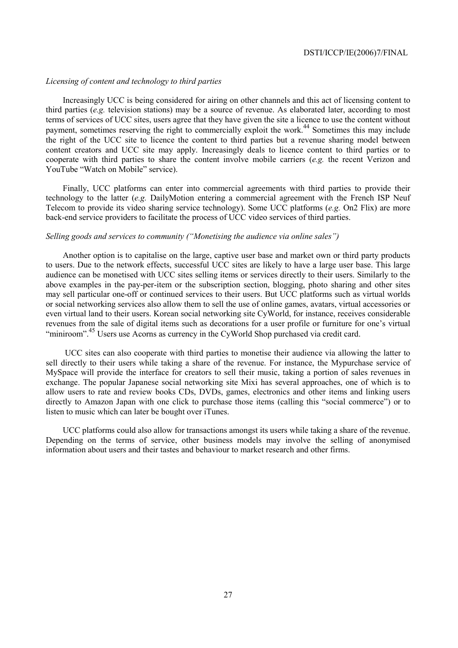# *Licensing of content and technology to third parties*

Increasingly UCC is being considered for airing on other channels and this act of licensing content to third parties (*e.g.* television stations) may be a source of revenue. As elaborated later, according to most terms of services of UCC sites, users agree that they have given the site a licence to use the content without payment, sometimes reserving the right to commercially exploit the work.<sup>44</sup> Sometimes this may include the right of the UCC site to licence the content to third parties but a revenue sharing model between content creators and UCC site may apply. Increasingly deals to licence content to third parties or to cooperate with third parties to share the content involve mobile carriers (*e.g.* the recent Verizon and YouTube "Watch on Mobile" service).

Finally, UCC platforms can enter into commercial agreements with third parties to provide their technology to the latter (*e.g.* DailyMotion entering a commercial agreement with the French ISP Neuf Telecom to provide its video sharing service technology). Some UCC platforms (*e.g.* On2 Flix) are more back-end service providers to facilitate the process of UCC video services of third parties.

# *Selling goods and services to community ("Monetising the audience via online sales")*

Another option is to capitalise on the large, captive user base and market own or third party products to users. Due to the network effects, successful UCC sites are likely to have a large user base. This large audience can be monetised with UCC sites selling items or services directly to their users. Similarly to the above examples in the pay-per-item or the subscription section, blogging, photo sharing and other sites may sell particular one-off or continued services to their users. But UCC platforms such as virtual worlds or social networking services also allow them to sell the use of online games, avatars, virtual accessories or even virtual land to their users. Korean social networking site CyWorld, for instance, receives considerable revenues from the sale of digital items such as decorations for a user profile or furniture for one's virtual "miniroom".<sup>45</sup> Users use Acorns as currency in the CyWorld Shop purchased via credit card.

 UCC sites can also cooperate with third parties to monetise their audience via allowing the latter to sell directly to their users while taking a share of the revenue. For instance, the Mypurchase service of MySpace will provide the interface for creators to sell their music, taking a portion of sales revenues in exchange. The popular Japanese social networking site Mixi has several approaches, one of which is to allow users to rate and review books CDs, DVDs, games, electronics and other items and linking users directly to Amazon Japan with one click to purchase those items (calling this "social commerce") or to listen to music which can later be bought over iTunes.

UCC platforms could also allow for transactions amongst its users while taking a share of the revenue. Depending on the terms of service, other business models may involve the selling of anonymised information about users and their tastes and behaviour to market research and other firms.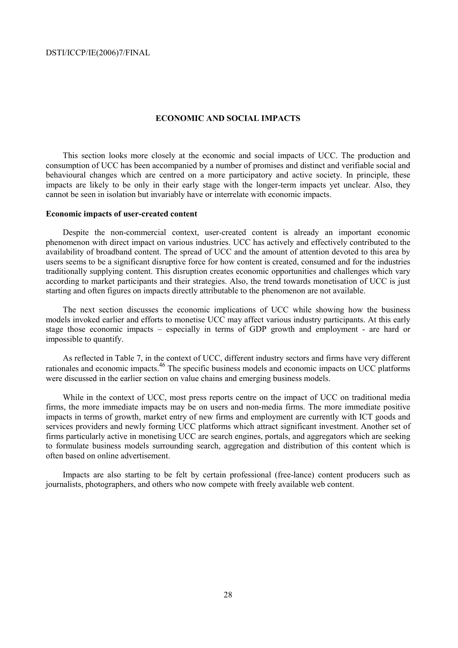# **ECONOMIC AND SOCIAL IMPACTS**

This section looks more closely at the economic and social impacts of UCC. The production and consumption of UCC has been accompanied by a number of promises and distinct and verifiable social and behavioural changes which are centred on a more participatory and active society. In principle, these impacts are likely to be only in their early stage with the longer-term impacts yet unclear. Also, they cannot be seen in isolation but invariably have or interrelate with economic impacts.

# **Economic impacts of user-created content**

Despite the non-commercial context, user-created content is already an important economic phenomenon with direct impact on various industries. UCC has actively and effectively contributed to the availability of broadband content. The spread of UCC and the amount of attention devoted to this area by users seems to be a significant disruptive force for how content is created, consumed and for the industries traditionally supplying content. This disruption creates economic opportunities and challenges which vary according to market participants and their strategies. Also, the trend towards monetisation of UCC is just starting and often figures on impacts directly attributable to the phenomenon are not available.

The next section discusses the economic implications of UCC while showing how the business models invoked earlier and efforts to monetise UCC may affect various industry participants. At this early stage those economic impacts – especially in terms of GDP growth and employment - are hard or impossible to quantify.

As reflected in Table 7, in the context of UCC, different industry sectors and firms have very different rationales and economic impacts.46 The specific business models and economic impacts on UCC platforms were discussed in the earlier section on value chains and emerging business models.

While in the context of UCC, most press reports centre on the impact of UCC on traditional media firms, the more immediate impacts may be on users and non-media firms. The more immediate positive impacts in terms of growth, market entry of new firms and employment are currently with ICT goods and services providers and newly forming UCC platforms which attract significant investment. Another set of firms particularly active in monetising UCC are search engines, portals, and aggregators which are seeking to formulate business models surrounding search, aggregation and distribution of this content which is often based on online advertisement.

Impacts are also starting to be felt by certain professional (free-lance) content producers such as journalists, photographers, and others who now compete with freely available web content.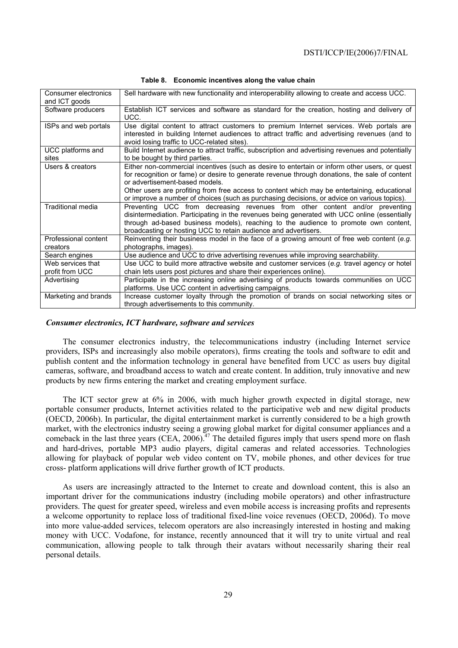| Consumer electronics<br>and ICT goods | Sell hardware with new functionality and interoperability allowing to create and access UCC.                                                                                                                                                                                                                                                                                                                                    |
|---------------------------------------|---------------------------------------------------------------------------------------------------------------------------------------------------------------------------------------------------------------------------------------------------------------------------------------------------------------------------------------------------------------------------------------------------------------------------------|
| Software producers                    | Establish ICT services and software as standard for the creation, hosting and delivery of<br>UCC.                                                                                                                                                                                                                                                                                                                               |
| ISPs and web portals                  | Use digital content to attract customers to premium Internet services. Web portals are<br>interested in building Internet audiences to attract traffic and advertising revenues (and to<br>avoid losing traffic to UCC-related sites).                                                                                                                                                                                          |
| UCC platforms and<br>sites            | Build Internet audience to attract traffic, subscription and advertising revenues and potentially<br>to be bought by third parties.                                                                                                                                                                                                                                                                                             |
| Users & creators                      | Either non-commercial incentives (such as desire to entertain or inform other users, or quest<br>for recognition or fame) or desire to generate revenue through donations, the sale of content<br>or advertisement-based models.<br>Other users are profiting from free access to content which may be entertaining, educational<br>or improve a number of choices (such as purchasing decisions, or advice on various topics). |
| <b>Traditional media</b>              | Preventing UCC from decreasing revenues from other content and/or preventing<br>disintermediation. Participating in the revenues being generated with UCC online (essentially<br>through ad-based business models), reaching to the audience to promote own content,<br>broadcasting or hosting UCC to retain audience and advertisers.                                                                                         |
| Professional content<br>creators      | Reinventing their business model in the face of a growing amount of free web content (e.g.<br>photographs, images).                                                                                                                                                                                                                                                                                                             |
| Search engines                        | Use audience and UCC to drive advertising revenues while improving searchability.                                                                                                                                                                                                                                                                                                                                               |
| Web services that<br>profit from UCC  | Use UCC to build more attractive website and customer services (e.g. travel agency or hotel<br>chain lets users post pictures and share their experiences online).                                                                                                                                                                                                                                                              |
| Advertising                           | Participate in the increasing online advertising of products towards communities on UCC<br>platforms. Use UCC content in advertising campaigns.                                                                                                                                                                                                                                                                                 |
| Marketing and brands                  | Increase customer loyalty through the promotion of brands on social networking sites or<br>through advertisements to this community.                                                                                                                                                                                                                                                                                            |

**Table 8. Economic incentives along the value chain** 

#### *Consumer electronics, ICT hardware, software and services*

The consumer electronics industry, the telecommunications industry (including Internet service providers, ISPs and increasingly also mobile operators), firms creating the tools and software to edit and publish content and the information technology in general have benefited from UCC as users buy digital cameras, software, and broadband access to watch and create content. In addition, truly innovative and new products by new firms entering the market and creating employment surface.

The ICT sector grew at 6% in 2006, with much higher growth expected in digital storage, new portable consumer products, Internet activities related to the participative web and new digital products (OECD, 2006b). In particular, the digital entertainment market is currently considered to be a high growth market, with the electronics industry seeing a growing global market for digital consumer appliances and a comeback in the last three years  $(CEA, 2006)$ .<sup>47</sup> The detailed figures imply that users spend more on flash and hard-drives, portable MP3 audio players, digital cameras and related accessories. Technologies allowing for playback of popular web video content on TV, mobile phones, and other devices for true cross- platform applications will drive further growth of ICT products.

As users are increasingly attracted to the Internet to create and download content, this is also an important driver for the communications industry (including mobile operators) and other infrastructure providers. The quest for greater speed, wireless and even mobile access is increasing profits and represents a welcome opportunity to replace loss of traditional fixed-line voice revenues (OECD, 2006d). To move into more value-added services, telecom operators are also increasingly interested in hosting and making money with UCC. Vodafone, for instance, recently announced that it will try to unite virtual and real communication, allowing people to talk through their avatars without necessarily sharing their real personal details.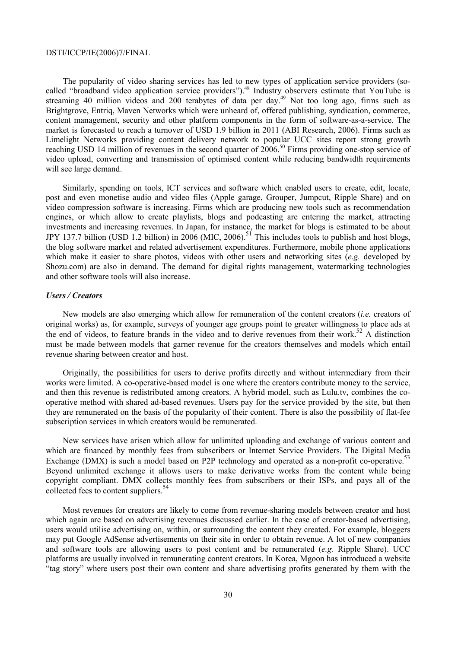The popularity of video sharing services has led to new types of application service providers (sorife populatity of video sharing services has led to her types of the term of the results called "broadband video application service providers").<sup>48</sup> Industry observers estimate that YouTube is streaming 40 million videos and 200 terabytes of data per day.<sup>49</sup> Not too long ago, firms such as Brightgrove, Entriq, Maven Networks which were unheard of, offered publishing, syndication, commerce, content management, security and other platform components in the form of software-as-a-service. The market is forecasted to reach a turnover of USD 1.9 billion in 2011 (ABI Research, 2006). Firms such as Limelight Networks providing content delivery network to popular UCC sites report strong growth reaching USD 14 million of revenues in the second quarter of 2006.<sup>50</sup> Firms providing one-stop service of video upload, converting and transmission of optimised content while reducing bandwidth requirements will see large demand.

Similarly, spending on tools, ICT services and software which enabled users to create, edit, locate, post and even monetise audio and video files (Apple garage, Grouper, Jumpcut, Ripple Share) and on video compression software is increasing. Firms which are producing new tools such as recommendation engines, or which allow to create playlists, blogs and podcasting are entering the market, attracting investments and increasing revenues. In Japan, for instance, the market for blogs is estimated to be about JPY 137.7 billion (USD 1.2 billion) in 2006 (MIC, 2006).<sup>51</sup> This includes tools to publish and host blogs, the blog software market and related advertisement expenditures. Furthermore, mobile phone applications which make it easier to share photos, videos with other users and networking sites (*e.g.* developed by Shozu.com) are also in demand. The demand for digital rights management, watermarking technologies and other software tools will also increase.

#### *Users / Creators*

New models are also emerging which allow for remuneration of the content creators (*i.e.* creators of original works) as, for example, surveys of younger age groups point to greater willingness to place ads at the end of videos, to feature brands in the video and to derive revenues from their work.<sup>52</sup> A distinction must be made between models that garner revenue for the creators themselves and models which entail revenue sharing between creator and host.

Originally, the possibilities for users to derive profits directly and without intermediary from their works were limited. A co-operative-based model is one where the creators contribute money to the service, and then this revenue is redistributed among creators. A hybrid model, such as Lulu.tv, combines the cooperative method with shared ad-based revenues. Users pay for the service provided by the site, but then they are remunerated on the basis of the popularity of their content. There is also the possibility of flat-fee subscription services in which creators would be remunerated.

New services have arisen which allow for unlimited uploading and exchange of various content and which are financed by monthly fees from subscribers or Internet Service Providers. The Digital Media Exchange (DMX) is such a model based on P2P technology and operated as a non-profit co-operative.<sup>53</sup> Beyond unlimited exchange it allows users to make derivative works from the content while being copyright compliant. DMX collects monthly fees from subscribers or their ISPs, and pays all of the collected fees to content suppliers.<sup>54</sup>

Most revenues for creators are likely to come from revenue-sharing models between creator and host which again are based on advertising revenues discussed earlier. In the case of creator-based advertising, users would utilise advertising on, within, or surrounding the content they created. For example, bloggers may put Google AdSense advertisements on their site in order to obtain revenue. A lot of new companies and software tools are allowing users to post content and be remunerated (*e.g.* Ripple Share). UCC platforms are usually involved in remunerating content creators. In Korea, Mgoon has introduced a website "tag story" where users post their own content and share advertising profits generated by them with the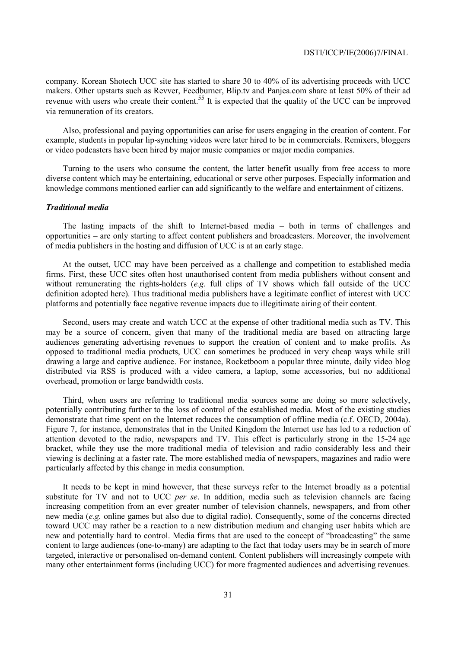company. Korean Shotech UCC site has started to share 30 to 40% of its advertising proceeds with UCC makers. Other upstarts such as Revver, Feedburner, Blip.tv and Panjea.com share at least 50% of their ad revenue with users who create their content.<sup>55</sup> It is expected that the quality of the UCC can be improved via remuneration of its creators.

Also, professional and paying opportunities can arise for users engaging in the creation of content. For example, students in popular lip-synching videos were later hired to be in commercials. Remixers, bloggers or video podcasters have been hired by major music companies or major media companies.

Turning to the users who consume the content, the latter benefit usually from free access to more diverse content which may be entertaining, educational or serve other purposes. Especially information and knowledge commons mentioned earlier can add significantly to the welfare and entertainment of citizens.

# *Traditional media*

The lasting impacts of the shift to Internet-based media  $-$  both in terms of challenges and opportunities – are only starting to affect content publishers and broadcasters. Moreover, the involvement of media publishers in the hosting and diffusion of UCC is at an early stage.

At the outset, UCC may have been perceived as a challenge and competition to established media firms. First, these UCC sites often host unauthorised content from media publishers without consent and without remunerating the rights-holders (*e.g.* full clips of TV shows which fall outside of the UCC definition adopted here). Thus traditional media publishers have a legitimate conflict of interest with UCC platforms and potentially face negative revenue impacts due to illegitimate airing of their content.

Second, users may create and watch UCC at the expense of other traditional media such as TV. This may be a source of concern, given that many of the traditional media are based on attracting large audiences generating advertising revenues to support the creation of content and to make profits. As opposed to traditional media products, UCC can sometimes be produced in very cheap ways while still drawing a large and captive audience. For instance, Rocketboom a popular three minute, daily video blog distributed via RSS is produced with a video camera, a laptop, some accessories, but no additional overhead, promotion or large bandwidth costs.

Third, when users are referring to traditional media sources some are doing so more selectively, potentially contributing further to the loss of control of the established media. Most of the existing studies demonstrate that time spent on the Internet reduces the consumption of offline media (c.f. OECD, 2004a). Figure 7, for instance, demonstrates that in the United Kingdom the Internet use has led to a reduction of attention devoted to the radio, newspapers and TV. This effect is particularly strong in the 15-24 age bracket, while they use the more traditional media of television and radio considerably less and their viewing is declining at a faster rate. The more established media of newspapers, magazines and radio were particularly affected by this change in media consumption.

It needs to be kept in mind however, that these surveys refer to the Internet broadly as a potential substitute for TV and not to UCC *per se*. In addition, media such as television channels are facing increasing competition from an ever greater number of television channels, newspapers, and from other new media (*e.g.* online games but also due to digital radio). Consequently, some of the concerns directed toward UCC may rather be a reaction to a new distribution medium and changing user habits which are new and potentially hard to control. Media firms that are used to the concept of "broadcasting" the same content to large audiences (one-to-many) are adapting to the fact that today users may be in search of more targeted, interactive or personalised on-demand content. Content publishers will increasingly compete with many other entertainment forms (including UCC) for more fragmented audiences and advertising revenues.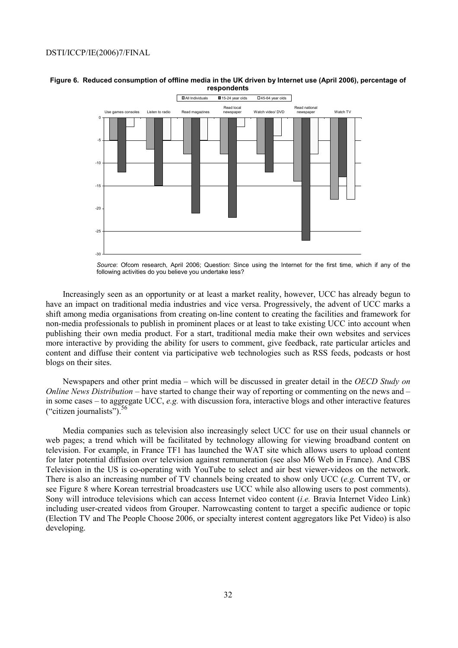

# **Figure 6. Reduced consumption of offline media in the UK driven by Internet use (April 2006), percentage of respondents**

*Source*: Ofcom research, April 2006; Question: Since using the Internet for the first time, which if any of the following activities do you believe you undertake less?

Increasingly seen as an opportunity or at least a market reality, however, UCC has already begun to have an impact on traditional media industries and vice versa. Progressively, the advent of UCC marks a shift among media organisations from creating on-line content to creating the facilities and framework for non-media professionals to publish in prominent places or at least to take existing UCC into account when publishing their own media product. For a start, traditional media make their own websites and services more interactive by providing the ability for users to comment, give feedback, rate particular articles and content and diffuse their content via participative web technologies such as RSS feeds, podcasts or host blogs on their sites.

Newspapers and other print media – which will be discussed in greater detail in the *OECD Study on Online News Distribution* – have started to change their way of reporting or commenting on the news and – in some cases – to aggregate UCC, *e.g.* with discussion fora, interactive blogs and other interactive features ("citizen journalists"). $56$ 

Media companies such as television also increasingly select UCC for use on their usual channels or web pages; a trend which will be facilitated by technology allowing for viewing broadband content on television. For example, in France TF1 has launched the WAT site which allows users to upload content for later potential diffusion over television against remuneration (see also M6 Web in France). And CBS Television in the US is co-operating with YouTube to select and air best viewer-videos on the network. There is also an increasing number of TV channels being created to show only UCC (*e.g.* Current TV, or see Figure 8 where Korean terrestrial broadcasters use UCC while also allowing users to post comments). Sony will introduce televisions which can access Internet video content (*i.e.* Bravia Internet Video Link) including user-created videos from Grouper. Narrowcasting content to target a specific audience or topic (Election TV and The People Choose 2006, or specialty interest content aggregators like Pet Video) is also developing.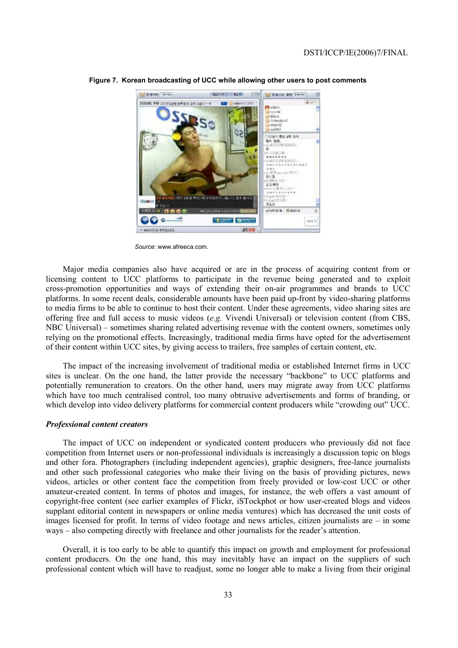

**Figure 7. Korean broadcasting of UCC while allowing other users to post comments** 

*Source*: www.afreeca.com.

Major media companies also have acquired or are in the process of acquiring content from or licensing content to UCC platforms to participate in the revenue being generated and to exploit cross-promotion opportunities and ways of extending their on-air programmes and brands to UCC platforms. In some recent deals, considerable amounts have been paid up-front by video-sharing platforms to media firms to be able to continue to host their content. Under these agreements, video sharing sites are offering free and full access to music videos (*e.g.* Vivendi Universal) or television content (from CBS, NBC Universal) – sometimes sharing related advertising revenue with the content owners, sometimes only relying on the promotional effects. Increasingly, traditional media firms have opted for the advertisement of their content within UCC sites, by giving access to trailers, free samples of certain content, etc.

The impact of the increasing involvement of traditional media or established Internet firms in UCC sites is unclear. On the one hand, the latter provide the necessary "backbone" to UCC platforms and potentially remuneration to creators. On the other hand, users may migrate away from UCC platforms which have too much centralised control, too many obtrusive advertisements and forms of branding, or which develop into video delivery platforms for commercial content producers while "crowding out" UCC.

# *Professional content creators*

The impact of UCC on independent or syndicated content producers who previously did not face competition from Internet users or non-professional individuals is increasingly a discussion topic on blogs and other fora. Photographers (including independent agencies), graphic designers, free-lance journalists and other such professional categories who make their living on the basis of providing pictures, news videos, articles or other content face the competition from freely provided or low-cost UCC or other amateur-created content. In terms of photos and images, for instance, the web offers a vast amount of copyright-free content (see earlier examples of Flickr, iSTockphot or how user-created blogs and videos supplant editorial content in newspapers or online media ventures) which has decreased the unit costs of images licensed for profit. In terms of video footage and news articles, citizen journalists are  $-$  in some ways – also competing directly with freelance and other journalists for the reader's attention.

Overall, it is too early to be able to quantify this impact on growth and employment for professional content producers. On the one hand, this may inevitably have an impact on the suppliers of such professional content which will have to readjust, some no longer able to make a living from their original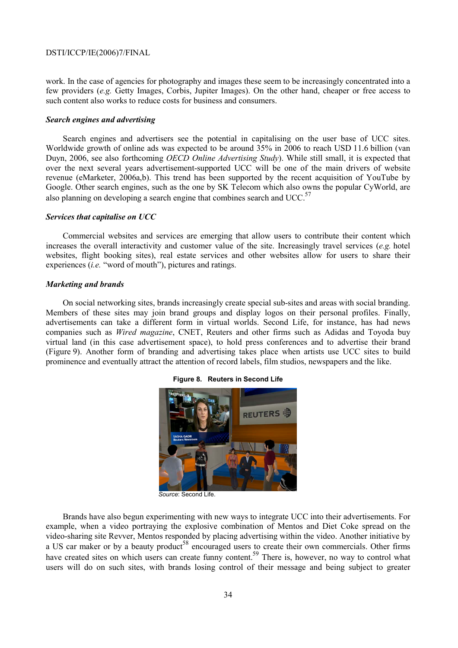work. In the case of agencies for photography and images these seem to be increasingly concentrated into a few providers (*e.g.* Getty Images, Corbis, Jupiter Images). On the other hand, cheaper or free access to such content also works to reduce costs for business and consumers.

#### *Search engines and advertising*

Search engines and advertisers see the potential in capitalising on the user base of UCC sites. Worldwide growth of online ads was expected to be around 35% in 2006 to reach USD 11.6 billion (van Duyn, 2006, see also forthcoming *OECD Online Advertising Study*). While still small, it is expected that over the next several years advertisement-supported UCC will be one of the main drivers of website revenue (eMarketer, 2006a,b). This trend has been supported by the recent acquisition of YouTube by Google. Other search engines, such as the one by SK Telecom which also owns the popular CyWorld, are also planning on developing a search engine that combines search and UCC.<sup>57</sup>

# *Services that capitalise on UCC*

Commercial websites and services are emerging that allow users to contribute their content which increases the overall interactivity and customer value of the site. Increasingly travel services (*e.g.* hotel websites, flight booking sites), real estate services and other websites allow for users to share their experiences  $(i.e.$  "word of mouth"), pictures and ratings.

# *Marketing and brands*

On social networking sites, brands increasingly create special sub-sites and areas with social branding. Members of these sites may join brand groups and display logos on their personal profiles. Finally, advertisements can take a different form in virtual worlds. Second Life, for instance, has had news companies such as *Wired magazine*, CNET, Reuters and other firms such as Adidas and Toyoda buy virtual land (in this case advertisement space), to hold press conferences and to advertise their brand (Figure 9). Another form of branding and advertising takes place when artists use UCC sites to build prominence and eventually attract the attention of record labels, film studios, newspapers and the like.



**Figure 8. Reuters in Second Life** 

*Source*: Second Life.

Brands have also begun experimenting with new ways to integrate UCC into their advertisements. For example, when a video portraying the explosive combination of Mentos and Diet Coke spread on the video-sharing site Revver, Mentos responded by placing advertising within the video. Another initiative by a US car maker or by a beauty product<sup>58</sup> encouraged users to create their own commercials. Other firms have created sites on which users can create funny content.<sup>59</sup> There is, however, no way to control what users will do on such sites, with brands losing control of their message and being subject to greater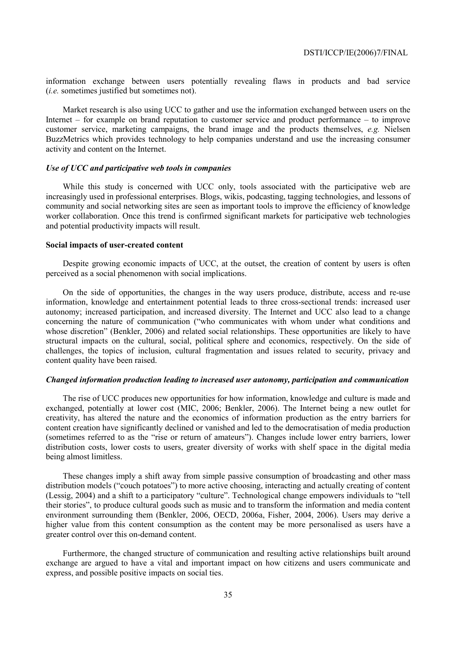information exchange between users potentially revealing flaws in products and bad service (*i.e.* sometimes justified but sometimes not).

Market research is also using UCC to gather and use the information exchanged between users on the Internet  $-$  for example on brand reputation to customer service and product performance  $-$  to improve customer service, marketing campaigns, the brand image and the products themselves, *e.g.* Nielsen BuzzMetrics which provides technology to help companies understand and use the increasing consumer activity and content on the Internet.

# *Use of UCC and participative web tools in companies*

While this study is concerned with UCC only, tools associated with the participative web are increasingly used in professional enterprises. Blogs, wikis, podcasting, tagging technologies, and lessons of community and social networking sites are seen as important tools to improve the efficiency of knowledge worker collaboration. Once this trend is confirmed significant markets for participative web technologies and potential productivity impacts will result.

# **Social impacts of user-created content**

Despite growing economic impacts of UCC, at the outset, the creation of content by users is often perceived as a social phenomenon with social implications.

On the side of opportunities, the changes in the way users produce, distribute, access and re-use information, knowledge and entertainment potential leads to three cross-sectional trends: increased user autonomy; increased participation, and increased diversity. The Internet and UCC also lead to a change concerning the nature of communication ("who communicates with whom under what conditions and whose discretion" (Benkler, 2006) and related social relationships. These opportunities are likely to have structural impacts on the cultural, social, political sphere and economics, respectively. On the side of challenges, the topics of inclusion, cultural fragmentation and issues related to security, privacy and content quality have been raised.

#### *Changed information production leading to increased user autonomy, participation and communication*

The rise of UCC produces new opportunities for how information, knowledge and culture is made and exchanged, potentially at lower cost (MIC, 2006; Benkler, 2006). The Internet being a new outlet for creativity, has altered the nature and the economics of information production as the entry barriers for content creation have significantly declined or vanished and led to the democratisation of media production (sometimes referred to as the "rise or return of amateurs"). Changes include lower entry barriers, lower distribution costs, lower costs to users, greater diversity of works with shelf space in the digital media being almost limitless.

These changes imply a shift away from simple passive consumption of broadcasting and other mass distribution models ("couch potatoes") to more active choosing, interacting and actually creating of content (Lessig, 2004) and a shift to a participatory "culture". Technological change empowers individuals to "tell" their storiesî, to produce cultural goods such as music and to transform the information and media content environment surrounding them (Benkler, 2006, OECD, 2006a, Fisher, 2004, 2006). Users may derive a higher value from this content consumption as the content may be more personalised as users have a greater control over this on-demand content.

Furthermore, the changed structure of communication and resulting active relationships built around exchange are argued to have a vital and important impact on how citizens and users communicate and express, and possible positive impacts on social ties.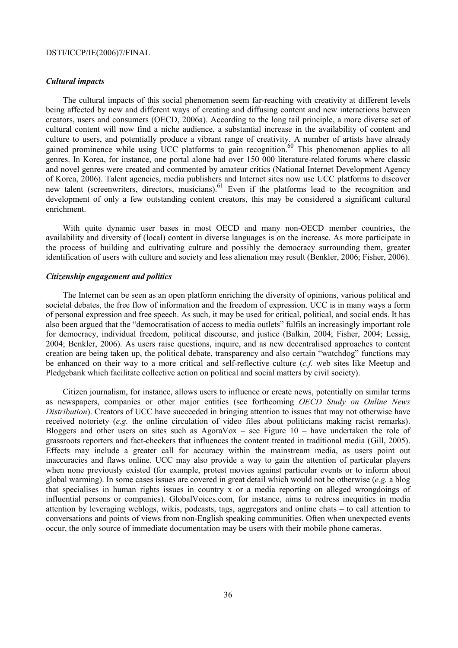#### *Cultural impacts*

The cultural impacts of this social phenomenon seem far-reaching with creativity at different levels being affected by new and different ways of creating and diffusing content and new interactions between creators, users and consumers (OECD, 2006a). According to the long tail principle, a more diverse set of cultural content will now find a niche audience, a substantial increase in the availability of content and culture to users, and potentially produce a vibrant range of creativity. A number of artists have already gained prominence while using UCC platforms to gain recognition.<sup>60</sup> This phenomenon applies to all genres. In Korea, for instance, one portal alone had over 150 000 literature-related forums where classic and novel genres were created and commented by amateur critics (National Internet Development Agency of Korea, 2006). Talent agencies, media publishers and Internet sites now use UCC platforms to discover new talent (screenwriters, directors, musicians).<sup>61</sup> Even if the platforms lead to the recognition and development of only a few outstanding content creators, this may be considered a significant cultural enrichment.

With quite dynamic user bases in most OECD and many non-OECD member countries, the availability and diversity of (local) content in diverse languages is on the increase. As more participate in the process of building and cultivating culture and possibly the democracy surrounding them, greater identification of users with culture and society and less alienation may result (Benkler, 2006; Fisher, 2006).

#### *Citizenship engagement and politics*

The Internet can be seen as an open platform enriching the diversity of opinions, various political and societal debates, the free flow of information and the freedom of expression. UCC is in many ways a form of personal expression and free speech. As such, it may be used for critical, political, and social ends. It has also been argued that the "democratisation of access to media outlets" fulfils an increasingly important role for democracy, individual freedom, political discourse, and justice (Balkin, 2004; Fisher, 2004; Lessig, 2004; Benkler, 2006). As users raise questions, inquire, and as new decentralised approaches to content creation are being taken up, the political debate, transparency and also certain "watchdog" functions may be enhanced on their way to a more critical and self-reflective culture (*c.f.* web sites like Meetup and Pledgebank which facilitate collective action on political and social matters by civil society).

Citizen journalism, for instance, allows users to influence or create news, potentially on similar terms as newspapers, companies or other major entities (see forthcoming *OECD Study on Online News Distribution*). Creators of UCC have succeeded in bringing attention to issues that may not otherwise have received notoriety (*e.g.* the online circulation of video files about politicians making racist remarks). Bloggers and other users on sites such as AgoraVox – see Figure  $10$  – have undertaken the role of grassroots reporters and fact-checkers that influences the content treated in traditional media (Gill, 2005). Effects may include a greater call for accuracy within the mainstream media, as users point out inaccuracies and flaws online. UCC may also provide a way to gain the attention of particular players when none previously existed (for example, protest movies against particular events or to inform about global warming). In some cases issues are covered in great detail which would not be otherwise (*e.g.* a blog that specialises in human rights issues in country x or a media reporting on alleged wrongdoings of influential persons or companies). GlobalVoices.com, for instance, aims to redress inequities in media attention by leveraging weblogs, wikis, podcasts, tags, aggregators and online chats – to call attention to conversations and points of views from non-English speaking communities. Often when unexpected events occur, the only source of immediate documentation may be users with their mobile phone cameras.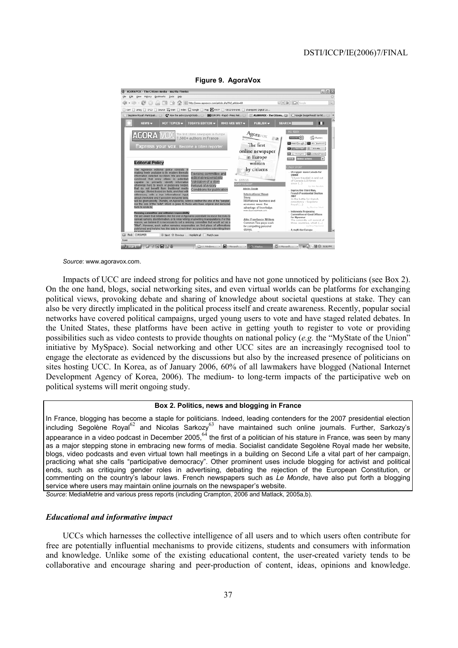| Ede<br>Bookmarks<br>Tools<br>Help<br>Vew<br>History.                                                                                                                                                                                                                                                                                                                                                                                                                                                                                                                                                                                                                                                                                                                                                                                                                                                                                                                                                                                                 |                                                                                                                                                                                                                                                                                     | - 68                                                                                                                                                                                                                                                                                                                                            |
|------------------------------------------------------------------------------------------------------------------------------------------------------------------------------------------------------------------------------------------------------------------------------------------------------------------------------------------------------------------------------------------------------------------------------------------------------------------------------------------------------------------------------------------------------------------------------------------------------------------------------------------------------------------------------------------------------------------------------------------------------------------------------------------------------------------------------------------------------------------------------------------------------------------------------------------------------------------------------------------------------------------------------------------------------|-------------------------------------------------------------------------------------------------------------------------------------------------------------------------------------------------------------------------------------------------------------------------------------|-------------------------------------------------------------------------------------------------------------------------------------------------------------------------------------------------------------------------------------------------------------------------------------------------------------------------------------------------|
| œ<br>巨嶺<br>门骨<br>œ                                                                                                                                                                                                                                                                                                                                                                                                                                                                                                                                                                                                                                                                                                                                                                                                                                                                                                                                                                                                                                   | Ill http://www.agoravox.com/article.php3?id article=60                                                                                                                                                                                                                              | $\boxtimes$ $\bullet$ $\triangleright$ $\boxed{G}$ = Google                                                                                                                                                                                                                                                                                     |
| □ curr □ unisg □ ITCS □ Source a ban □ index ○ Google □ Map ■ PATP □ OECD Intranet □ sharepoint Digital Co                                                                                                                                                                                                                                                                                                                                                                                                                                                                                                                                                                                                                                                                                                                                                                                                                                                                                                                                           |                                                                                                                                                                                                                                                                                     |                                                                                                                                                                                                                                                                                                                                                 |
| Segolene Royal's Participati [3]                                                                                                                                                                                                                                                                                                                                                                                                                                                                                                                                                                                                                                                                                                                                                                                                                                                                                                                                                                                                                     |                                                                                                                                                                                                                                                                                     | C. Google Image Result for Nt [3]                                                                                                                                                                                                                                                                                                               |
| NEWS -<br>HOT TOPICS -<br><b>TODAYS EDITION -</b>                                                                                                                                                                                                                                                                                                                                                                                                                                                                                                                                                                                                                                                                                                                                                                                                                                                                                                                                                                                                    | WHO ARE WE? -<br>PUBLISH -                                                                                                                                                                                                                                                          | <b>SEARCH</b><br>П                                                                                                                                                                                                                                                                                                                              |
| AGORA<br>The first citizen newspaper in Europe<br>7,500+ authors in France<br><b>Express your vox.</b> Become a citien reporter.                                                                                                                                                                                                                                                                                                                                                                                                                                                                                                                                                                                                                                                                                                                                                                                                                                                                                                                     | Agora $_{\rm VOX}$<br>The first<br>online newspaper                                                                                                                                                                                                                                 | RSS FEEDS<br><b>PODCRST</b><br><b>SO</b> iTunes<br><b>DI</b> Add Coogle<br><b>EX MY VANDOT</b><br><b>CHEMISTRIC</b><br>œ<br>MY AOL                                                                                                                                                                                                              |
| <b>Editorial Policy</b>                                                                                                                                                                                                                                                                                                                                                                                                                                                                                                                                                                                                                                                                                                                                                                                                                                                                                                                                                                                                                              | in Europe<br>written                                                                                                                                                                                                                                                                | <b>EX O reungotor   EX Linked Feed</b><br>RSS Select a feed<br>$\check{}$<br><b>COVER STORY</b>                                                                                                                                                                                                                                                 |
| The AporaVox editorial policy consists in<br>making freely available to its readers thematic<br>Revising committee and<br>information detected by citizen. We are indeed<br>editorial responsibility<br>convinced that every citizen is potentialy<br>Validation of a story<br>capable to primarily identify information<br>otherwise hard to reach or purposely hidden.<br>Refusal of a story<br>that do not benefit from traditional media<br>coverage. Stories based on facts, enriched with<br>references, with a true informational input,<br>about checkable and if possible exclusive facts,<br>will be given priority. Thereby, on AgorsVox, word is neither the one of the "people",<br>nor the one of the "ellte". Word is given to those who have original and exclusive<br>facts to relate to.<br>Revising committee and editorial responsibility<br>We are aware that initiatives like the one of AgoraVox potentially increase the risks to<br>spread rumors, disinformation, or to relay willing or unwilling manipulations. For this | by citizens<br>$4$ JOIN US<br><b>ADVERTISEMENT</b><br>Ads by Google<br>Conditions for publication<br><b>International News</b><br>Story<br>International business and<br>economic news: the<br>advantage of knowledge.<br><b>HAMM BUSINARINA AR COM-</b><br>Attn: Freelance Writers | US rapper sues Canada for<br>\$900M<br>"I have traveled in and out<br>of Canada 120 times<br>since ()<br>by Jon Newton<br>Bayrou the Third Man,<br>French Presidential Election<br>2007<br>In the battle for French<br>presidency : Segolene<br>Royal ()<br>by Demian West<br>- Indonesia Proposing<br>Committee of Good Offices<br>for Myanmar |
| reason, we believe it is necessary to set a revising committee that would act as a<br>"filter". However, each author remains responsible on first place of affirmations<br>published and heishe has the duty to check their accuracy before submitting them<br>for evaluations.                                                                                                                                                                                                                                                                                                                                                                                                                                                                                                                                                                                                                                                                                                                                                                      | Common Ties pays cash<br>for compelling personal<br>stories.                                                                                                                                                                                                                        | The committe will consist of<br>three countries, which ()<br>by Arry Raymond<br>A multi-tier Europe                                                                                                                                                                                                                                             |
| Find: CONSUMER<br>B Next filt Previous   Highlight al   Match case                                                                                                                                                                                                                                                                                                                                                                                                                                                                                                                                                                                                                                                                                                                                                                                                                                                                                                                                                                                   |                                                                                                                                                                                                                                                                                     |                                                                                                                                                                                                                                                                                                                                                 |
| Done                                                                                                                                                                                                                                                                                                                                                                                                                                                                                                                                                                                                                                                                                                                                                                                                                                                                                                                                                                                                                                                 |                                                                                                                                                                                                                                                                                     |                                                                                                                                                                                                                                                                                                                                                 |

**Figure 9. AgoraVox** 

*Source*: www.agoravox.com.

Impacts of UCC are indeed strong for politics and have not gone unnoticed by politicians (see Box 2). On the one hand, blogs, social networking sites, and even virtual worlds can be platforms for exchanging political views, provoking debate and sharing of knowledge about societal questions at stake. They can also be very directly implicated in the political process itself and create awareness. Recently, popular social networks have covered political campaigns, urged young users to vote and have staged related debates. In the United States, these platforms have been active in getting youth to register to vote or providing possibilities such as video contests to provide thoughts on national policy (*e.g.* the "MyState of the Union" initiative by MySpace). Social networking and other UCC sites are an increasingly recognised tool to engage the electorate as evidenced by the discussions but also by the increased presence of politicians on sites hosting UCC. In Korea, as of January 2006, 60% of all lawmakers have blogged (National Internet Development Agency of Korea, 2006). The medium- to long-term impacts of the participative web on political systems will merit ongoing study.

#### **Box 2. Politics, news and blogging in France**

In France, blogging has become a staple for politicians. Indeed, leading contenders for the 2007 presidential election including Segolène Royal<sup>62</sup> and Nicolas Sarkozy<sup>63</sup> have maintained such online journals. Further, Sarkozy's appearance in a video podcast in December 2005,  $64$  the first of a politician of his stature in France, was seen by many as a major stepping stone in embracing new forms of media. Socialist candidate Segolène Royal made her website, blogs, video podcasts and even virtual town hall meetings in a building on Second Life a vital part of her campaign, practicing what she calls "participative democracy". Other prominent uses include blogging for activist and political ends, such as critiquing gender roles in advertising, debating the rejection of the European Constitution, or commenting on the countryís labour laws. French newspapers such as *Le Monde*, have also put forth a blogging service where users may maintain online journals on the newspaper's website.

*Source*: MediaMetrie and various press reports (including Crampton, 2006 and Matlack, 2005a,b).

## *Educational and informative impact*

UCCs which harnesses the collective intelligence of all users and to which users often contribute for free are potentially influential mechanisms to provide citizens, students and consumers with information and knowledge. Unlike some of the existing educational content, the user-created variety tends to be collaborative and encourage sharing and peer-production of content, ideas, opinions and knowledge.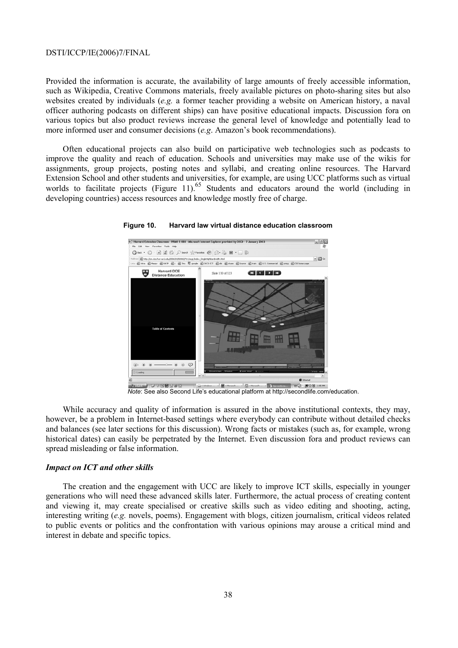Provided the information is accurate, the availability of large amounts of freely accessible information, such as Wikipedia, Creative Commons materials, freely available pictures on photo-sharing sites but also websites created by individuals (*e.g.* a former teacher providing a website on American history, a naval officer authoring podcasts on different ships) can have positive educational impacts. Discussion fora on various topics but also product reviews increase the general level of knowledge and potentially lead to more informed user and consumer decisions (*e.g.* Amazon's book recommendations).

Often educational projects can also build on participative web technologies such as podcasts to improve the quality and reach of education. Schools and universities may make use of the wikis for assignments, group projects, posting notes and syllabi, and creating online resources. The Harvard Extension School and other students and universities, for example, are using UCC platforms such as virtual worlds to facilitate projects (Figure 11).<sup>65</sup> Students and educators around the world (including in developing countries) access resources and knowledge mostly free of charge.



**Figure 10. Harvard law virtual distance education classroom** 

*Note*: See also Second Lifeís educational platform at http://secondlife.com/education.

While accuracy and quality of information is assured in the above institutional contexts, they may, however, be a problem in Internet-based settings where everybody can contribute without detailed checks and balances (see later sections for this discussion). Wrong facts or mistakes (such as, for example, wrong historical dates) can easily be perpetrated by the Internet. Even discussion fora and product reviews can spread misleading or false information.

# *Impact on ICT and other skills*

The creation and the engagement with UCC are likely to improve ICT skills, especially in younger generations who will need these advanced skills later. Furthermore, the actual process of creating content and viewing it, may create specialised or creative skills such as video editing and shooting, acting, interesting writing (*e.g.* novels, poems). Engagement with blogs, citizen journalism, critical videos related to public events or politics and the confrontation with various opinions may arouse a critical mind and interest in debate and specific topics.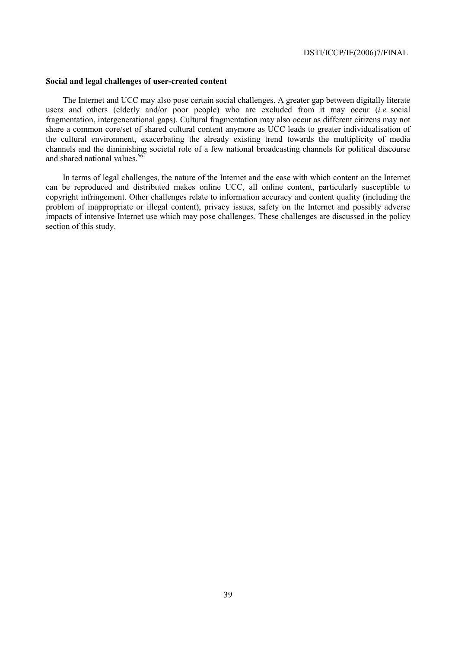## **Social and legal challenges of user-created content**

The Internet and UCC may also pose certain social challenges. A greater gap between digitally literate users and others (elderly and/or poor people) who are excluded from it may occur (*i.e.* social fragmentation, intergenerational gaps). Cultural fragmentation may also occur as different citizens may not share a common core/set of shared cultural content anymore as UCC leads to greater individualisation of the cultural environment, exacerbating the already existing trend towards the multiplicity of media channels and the diminishing societal role of a few national broadcasting channels for political discourse and shared national values.<sup>66</sup>

In terms of legal challenges, the nature of the Internet and the ease with which content on the Internet can be reproduced and distributed makes online UCC, all online content, particularly susceptible to copyright infringement. Other challenges relate to information accuracy and content quality (including the problem of inappropriate or illegal content), privacy issues, safety on the Internet and possibly adverse impacts of intensive Internet use which may pose challenges. These challenges are discussed in the policy section of this study.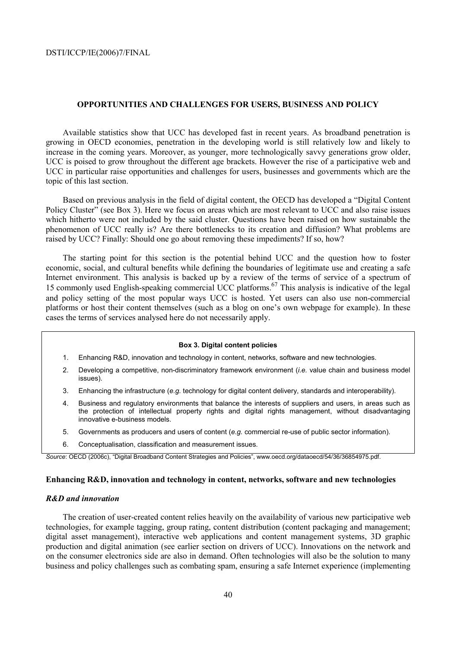#### **OPPORTUNITIES AND CHALLENGES FOR USERS, BUSINESS AND POLICY**

Available statistics show that UCC has developed fast in recent years. As broadband penetration is growing in OECD economies, penetration in the developing world is still relatively low and likely to increase in the coming years. Moreover, as younger, more technologically savvy generations grow older, UCC is poised to grow throughout the different age brackets. However the rise of a participative web and UCC in particular raise opportunities and challenges for users, businesses and governments which are the topic of this last section.

Based on previous analysis in the field of digital content, the OECD has developed a "Digital Content" Policy Cluster" (see Box 3). Here we focus on areas which are most relevant to UCC and also raise issues which hitherto were not included by the said cluster. Questions have been raised on how sustainable the phenomenon of UCC really is? Are there bottlenecks to its creation and diffusion? What problems are raised by UCC? Finally: Should one go about removing these impediments? If so, how?

The starting point for this section is the potential behind UCC and the question how to foster economic, social, and cultural benefits while defining the boundaries of legitimate use and creating a safe Internet environment. This analysis is backed up by a review of the terms of service of a spectrum of 15 commonly used English-speaking commercial UCC platforms.67 This analysis is indicative of the legal and policy setting of the most popular ways UCC is hosted. Yet users can also use non-commercial platforms or host their content themselves (such as a blog on one's own webpage for example). In these cases the terms of services analysed here do not necessarily apply.

#### **Box 3. Digital content policies**

- 1. Enhancing R&D, innovation and technology in content, networks, software and new technologies.
- 2. Developing a competitive, non-discriminatory framework environment (*i.e.* value chain and business model issues).
- 3. Enhancing the infrastructure (*e.g.* technology for digital content delivery, standards and interoperability).
- 4. Business and regulatory environments that balance the interests of suppliers and users, in areas such as the protection of intellectual property rights and digital rights management, without disadvantaging innovative e-business models.
- 5. Governments as producers and users of content (*e.g.* commercial re-use of public sector information).
- 6. Conceptualisation, classification and measurement issues.

Source: OECD (2006c), "Digital Broadband Content Strategies and Policies", www.oecd.org/dataoecd/54/36/36854975.pdf.

## **Enhancing R&D, innovation and technology in content, networks, software and new technologies**

#### *R&D and innovation*

The creation of user-created content relies heavily on the availability of various new participative web technologies, for example tagging, group rating, content distribution (content packaging and management; digital asset management), interactive web applications and content management systems, 3D graphic production and digital animation (see earlier section on drivers of UCC). Innovations on the network and on the consumer electronics side are also in demand. Often technologies will also be the solution to many business and policy challenges such as combating spam, ensuring a safe Internet experience (implementing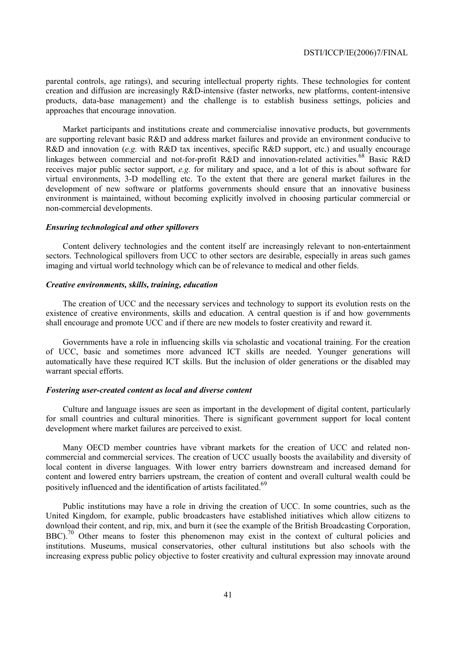parental controls, age ratings), and securing intellectual property rights. These technologies for content creation and diffusion are increasingly R&D-intensive (faster networks, new platforms, content-intensive products, data-base management) and the challenge is to establish business settings, policies and approaches that encourage innovation.

Market participants and institutions create and commercialise innovative products, but governments are supporting relevant basic R&D and address market failures and provide an environment conducive to R&D and innovation (*e.g.* with R&D tax incentives, specific R&D support, etc.) and usually encourage linkages between commercial and not-for-profit  $R&D$  and innovation-related activities.<sup>68</sup> Basic R&D receives major public sector support, *e.g.* for military and space, and a lot of this is about software for virtual environments, 3-D modelling etc. To the extent that there are general market failures in the development of new software or platforms governments should ensure that an innovative business environment is maintained, without becoming explicitly involved in choosing particular commercial or non-commercial developments.

## *Ensuring technological and other spillovers*

Content delivery technologies and the content itself are increasingly relevant to non-entertainment sectors. Technological spillovers from UCC to other sectors are desirable, especially in areas such games imaging and virtual world technology which can be of relevance to medical and other fields.

### *Creative environments, skills, training, education*

The creation of UCC and the necessary services and technology to support its evolution rests on the existence of creative environments, skills and education. A central question is if and how governments shall encourage and promote UCC and if there are new models to foster creativity and reward it.

Governments have a role in influencing skills via scholastic and vocational training. For the creation of UCC, basic and sometimes more advanced ICT skills are needed. Younger generations will automatically have these required ICT skills. But the inclusion of older generations or the disabled may warrant special efforts.

### *Fostering user-created content as local and diverse content*

Culture and language issues are seen as important in the development of digital content, particularly for small countries and cultural minorities. There is significant government support for local content development where market failures are perceived to exist.

Many OECD member countries have vibrant markets for the creation of UCC and related noncommercial and commercial services. The creation of UCC usually boosts the availability and diversity of local content in diverse languages. With lower entry barriers downstream and increased demand for content and lowered entry barriers upstream, the creation of content and overall cultural wealth could be positively influenced and the identification of artists facilitated.<sup>69</sup>

Public institutions may have a role in driving the creation of UCC. In some countries, such as the United Kingdom, for example, public broadcasters have established initiatives which allow citizens to download their content, and rip, mix, and burn it (see the example of the British Broadcasting Corporation, BBC).<sup>70</sup> Other means to foster this phenomenon may exist in the context of cultural policies and institutions. Museums, musical conservatories, other cultural institutions but also schools with the increasing express public policy objective to foster creativity and cultural expression may innovate around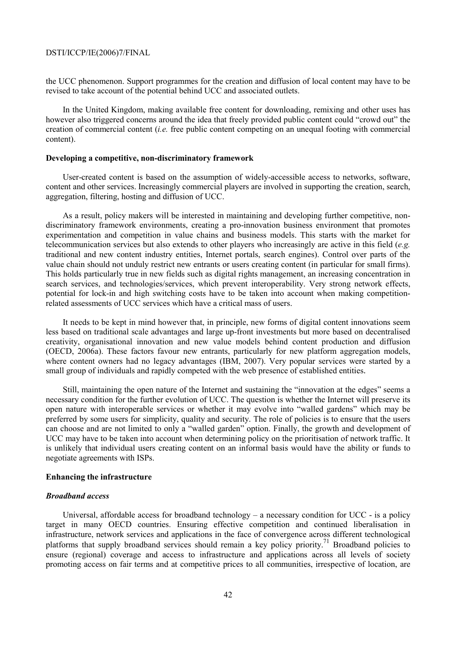the UCC phenomenon. Support programmes for the creation and diffusion of local content may have to be revised to take account of the potential behind UCC and associated outlets.

In the United Kingdom, making available free content for downloading, remixing and other uses has however also triggered concerns around the idea that freely provided public content could "crowd out" the creation of commercial content (*i.e.* free public content competing on an unequal footing with commercial content).

### **Developing a competitive, non-discriminatory framework**

User-created content is based on the assumption of widely-accessible access to networks, software, content and other services. Increasingly commercial players are involved in supporting the creation, search, aggregation, filtering, hosting and diffusion of UCC.

As a result, policy makers will be interested in maintaining and developing further competitive, nondiscriminatory framework environments, creating a pro-innovation business environment that promotes experimentation and competition in value chains and business models. This starts with the market for telecommunication services but also extends to other players who increasingly are active in this field (*e.g.* traditional and new content industry entities, Internet portals, search engines). Control over parts of the value chain should not unduly restrict new entrants or users creating content (in particular for small firms). This holds particularly true in new fields such as digital rights management, an increasing concentration in search services, and technologies/services, which prevent interoperability. Very strong network effects, potential for lock-in and high switching costs have to be taken into account when making competitionrelated assessments of UCC services which have a critical mass of users.

It needs to be kept in mind however that, in principle, new forms of digital content innovations seem less based on traditional scale advantages and large up-front investments but more based on decentralised creativity, organisational innovation and new value models behind content production and diffusion (OECD, 2006a). These factors favour new entrants, particularly for new platform aggregation models, where content owners had no legacy advantages (IBM, 2007). Very popular services were started by a small group of individuals and rapidly competed with the web presence of established entities.

Still, maintaining the open nature of the Internet and sustaining the "innovation at the edges" seems a necessary condition for the further evolution of UCC. The question is whether the Internet will preserve its open nature with interoperable services or whether it may evolve into "walled gardens" which may be preferred by some users for simplicity, quality and security. The role of policies is to ensure that the users can choose and are not limited to only a "walled garden" option. Finally, the growth and development of UCC may have to be taken into account when determining policy on the prioritisation of network traffic. It is unlikely that individual users creating content on an informal basis would have the ability or funds to negotiate agreements with ISPs.

#### **Enhancing the infrastructure**

## *Broadband access*

Universal, affordable access for broadband technology  $-$  a necessary condition for UCC  $-$  is a policy target in many OECD countries. Ensuring effective competition and continued liberalisation in infrastructure, network services and applications in the face of convergence across different technological platforms that supply broadband services should remain a key policy priority.<sup>71</sup> Broadband policies to ensure (regional) coverage and access to infrastructure and applications across all levels of society promoting access on fair terms and at competitive prices to all communities, irrespective of location, are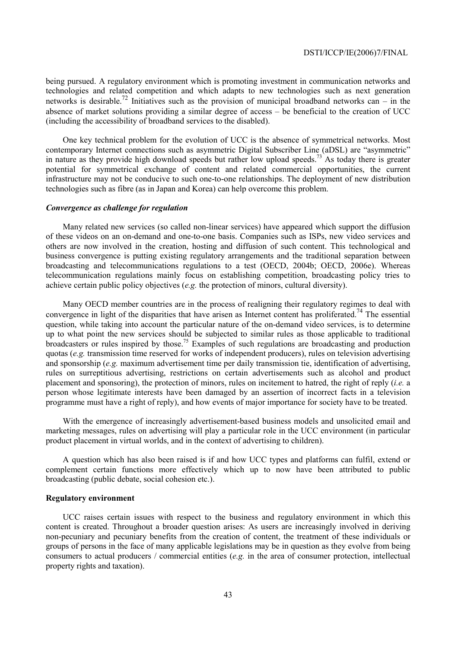being pursued. A regulatory environment which is promoting investment in communication networks and technologies and related competition and which adapts to new technologies such as next generation networks is desirable.<sup>72</sup> Initiatives such as the provision of municipal broadband networks can – in the absence of market solutions providing a similar degree of access  $-\overline{b}e$  beneficial to the creation of UCC (including the accessibility of broadband services to the disabled).

One key technical problem for the evolution of UCC is the absence of symmetrical networks. Most contemporary Internet connections such as asymmetric Digital Subscriber Line (aDSL) are "asymmetric" in nature as they provide high download speeds but rather low upload speeds.<sup>73</sup> As today there is greater potential for symmetrical exchange of content and related commercial opportunities, the current infrastructure may not be conducive to such one-to-one relationships. The deployment of new distribution technologies such as fibre (as in Japan and Korea) can help overcome this problem.

# *Convergence as challenge for regulation*

Many related new services (so called non-linear services) have appeared which support the diffusion of these videos on an on-demand and one-to-one basis. Companies such as ISPs, new video services and others are now involved in the creation, hosting and diffusion of such content. This technological and business convergence is putting existing regulatory arrangements and the traditional separation between broadcasting and telecommunications regulations to a test (OECD, 2004b; OECD, 2006e). Whereas telecommunication regulations mainly focus on establishing competition, broadcasting policy tries to achieve certain public policy objectives (*e.g.* the protection of minors, cultural diversity).

Many OECD member countries are in the process of realigning their regulatory regimes to deal with convergence in light of the disparities that have arisen as Internet content has proliferated.<sup>74</sup> The essential question, while taking into account the particular nature of the on-demand video services, is to determine up to what point the new services should be subjected to similar rules as those applicable to traditional broadcasters or rules inspired by those.<sup>75</sup> Examples of such regulations are broadcasting and production quotas (*e.g.* transmission time reserved for works of independent producers), rules on television advertising and sponsorship (*e.g.* maximum advertisement time per daily transmission tie, identification of advertising, rules on surreptitious advertising, restrictions on certain advertisements such as alcohol and product placement and sponsoring), the protection of minors, rules on incitement to hatred, the right of reply (*i.e.* a person whose legitimate interests have been damaged by an assertion of incorrect facts in a television programme must have a right of reply), and how events of major importance for society have to be treated.

With the emergence of increasingly advertisement-based business models and unsolicited email and marketing messages, rules on advertising will play a particular role in the UCC environment (in particular product placement in virtual worlds, and in the context of advertising to children).

A question which has also been raised is if and how UCC types and platforms can fulfil, extend or complement certain functions more effectively which up to now have been attributed to public broadcasting (public debate, social cohesion etc.).

#### **Regulatory environment**

UCC raises certain issues with respect to the business and regulatory environment in which this content is created. Throughout a broader question arises: As users are increasingly involved in deriving non-pecuniary and pecuniary benefits from the creation of content, the treatment of these individuals or groups of persons in the face of many applicable legislations may be in question as they evolve from being consumers to actual producers / commercial entities (*e.g.* in the area of consumer protection, intellectual property rights and taxation).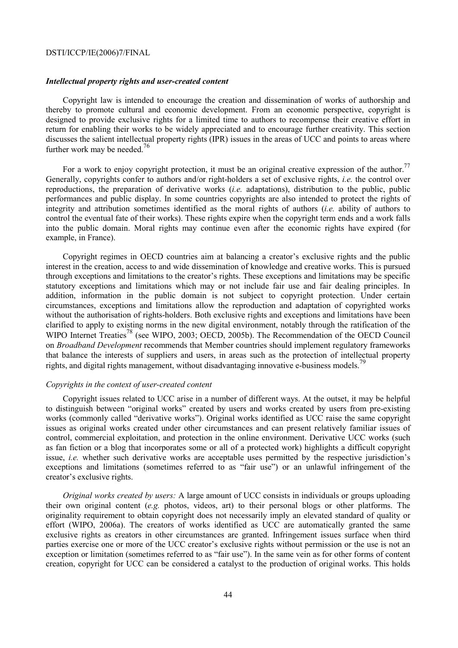### *Intellectual property rights and user-created content*

Copyright law is intended to encourage the creation and dissemination of works of authorship and thereby to promote cultural and economic development. From an economic perspective, copyright is designed to provide exclusive rights for a limited time to authors to recompense their creative effort in return for enabling their works to be widely appreciated and to encourage further creativity. This section discusses the salient intellectual property rights (IPR) issues in the areas of UCC and points to areas where further work may be needed.<sup>76</sup>

For a work to enjoy copyright protection, it must be an original creative expression of the author.<sup>77</sup> Generally, copyrights confer to authors and/or right-holders a set of exclusive rights, *i.e.* the control over reproductions, the preparation of derivative works (*i.e.* adaptations), distribution to the public, public performances and public display. In some countries copyrights are also intended to protect the rights of integrity and attribution sometimes identified as the moral rights of authors (*i.e.* ability of authors to control the eventual fate of their works). These rights expire when the copyright term ends and a work falls into the public domain. Moral rights may continue even after the economic rights have expired (for example, in France).

Copyright regimes in OECD countries aim at balancing a creator's exclusive rights and the public interest in the creation, access to and wide dissemination of knowledge and creative works. This is pursued through exceptions and limitations to the creator's rights. These exceptions and limitations may be specific statutory exceptions and limitations which may or not include fair use and fair dealing principles. In addition, information in the public domain is not subject to copyright protection. Under certain circumstances, exceptions and limitations allow the reproduction and adaptation of copyrighted works without the authorisation of rights-holders. Both exclusive rights and exceptions and limitations have been clarified to apply to existing norms in the new digital environment, notably through the ratification of the WIPO Internet Treaties<sup>78</sup> (see WIPO, 2003; OECD, 2005b). The Recommendation of the OECD Council on *Broadband Development* recommends that Member countries should implement regulatory frameworks that balance the interests of suppliers and users, in areas such as the protection of intellectual property rights, and digital rights management, without disadvantaging innovative e-business models<sup>79</sup>

### *Copyrights in the context of user-created content*

Copyright issues related to UCC arise in a number of different ways. At the outset, it may be helpful to distinguish between "original works" created by users and works created by users from pre-existing works (commonly called "derivative works"). Original works identified as UCC raise the same copyright issues as original works created under other circumstances and can present relatively familiar issues of control, commercial exploitation, and protection in the online environment. Derivative UCC works (such as fan fiction or a blog that incorporates some or all of a protected work) highlights a difficult copyright issue, *i.e.* whether such derivative works are acceptable uses permitted by the respective jurisdiction's exceptions and limitations (sometimes referred to as "fair use") or an unlawful infringement of the creator's exclusive rights.

*Original works created by users:* A large amount of UCC consists in individuals or groups uploading their own original content (*e.g.* photos, videos, art) to their personal blogs or other platforms. The originality requirement to obtain copyright does not necessarily imply an elevated standard of quality or effort (WIPO, 2006a). The creators of works identified as UCC are automatically granted the same exclusive rights as creators in other circumstances are granted. Infringement issues surface when third parties exercise one or more of the UCC creator's exclusive rights without permission or the use is not an exception or limitation (sometimes referred to as "fair use"). In the same vein as for other forms of content creation, copyright for UCC can be considered a catalyst to the production of original works. This holds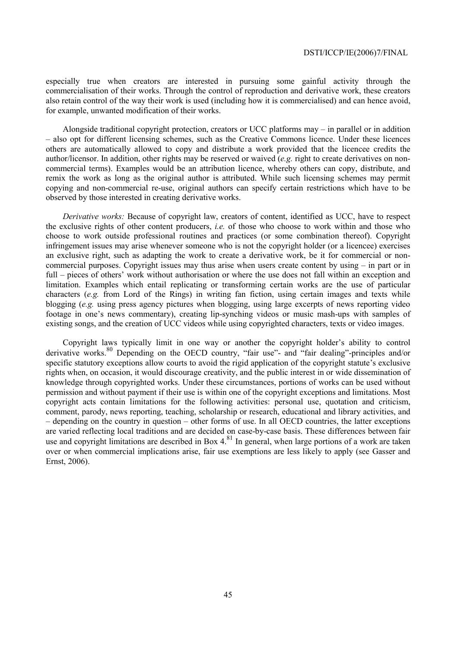especially true when creators are interested in pursuing some gainful activity through the commercialisation of their works. Through the control of reproduction and derivative work, these creators also retain control of the way their work is used (including how it is commercialised) and can hence avoid, for example, unwanted modification of their works.

Alongside traditional copyright protection, creators or UCC platforms may  $-$  in parallel or in addition  $\overline{\phantom{a}}$  also opt for different licensing schemes, such as the Creative Commons licence. Under these licences others are automatically allowed to copy and distribute a work provided that the licencee credits the author/licensor. In addition, other rights may be reserved or waived (*e.g.* right to create derivatives on noncommercial terms). Examples would be an attribution licence, whereby others can copy, distribute, and remix the work as long as the original author is attributed. While such licensing schemes may permit copying and non-commercial re-use, original authors can specify certain restrictions which have to be observed by those interested in creating derivative works.

*Derivative works:* Because of copyright law, creators of content, identified as UCC, have to respect the exclusive rights of other content producers, *i.e.* of those who choose to work within and those who choose to work outside professional routines and practices (or some combination thereof). Copyright infringement issues may arise whenever someone who is not the copyright holder (or a licencee) exercises an exclusive right, such as adapting the work to create a derivative work, be it for commercial or noncommercial purposes. Copyright issues may thus arise when users create content by using  $-$  in part or in full – pieces of others<sup>†</sup> work without authorisation or where the use does not fall within an exception and limitation. Examples which entail replicating or transforming certain works are the use of particular characters (*e.g.* from Lord of the Rings) in writing fan fiction, using certain images and texts while blogging (*e.g.* using press agency pictures when blogging, using large excerpts of news reporting video footage in one's news commentary), creating lip-synching videos or music mash-ups with samples of existing songs, and the creation of UCC videos while using copyrighted characters, texts or video images.

Copyright laws typically limit in one way or another the copyright holder's ability to control derivative works.<sup>80</sup> Depending on the OECD country, "fair use"- and "fair dealing"-principles and/or specific statutory exceptions allow courts to avoid the rigid application of the copyright statute's exclusive rights when, on occasion, it would discourage creativity, and the public interest in or wide dissemination of knowledge through copyrighted works. Under these circumstances, portions of works can be used without permission and without payment if their use is within one of the copyright exceptions and limitations. Most copyright acts contain limitations for the following activities: personal use, quotation and criticism, comment, parody, news reporting, teaching, scholarship or research, educational and library activities, and – depending on the country in question – other forms of use. In all OECD countries, the latter exceptions are varied reflecting local traditions and are decided on case-by-case basis. These differences between fair use and copyright limitations are described in Box  $4<sup>81</sup>$  In general, when large portions of a work are taken over or when commercial implications arise, fair use exemptions are less likely to apply (see Gasser and Ernst, 2006).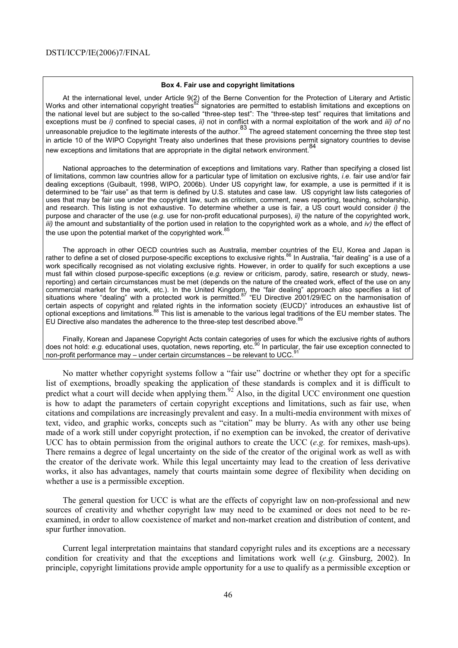#### **Box 4. Fair use and copyright limitations**

At the international level, under Article 9(2) of the Berne Convention for the Protection of Literary and Artistic Works and other international copyright treaties<sup>82</sup> signatories are permitted to establish limitations and exceptions on the national level but are subject to the so-called "three-step test": The "three-step test" requires that limitations and exceptions must be *i)* confined to special cases, *ii)* not in conflict with a normal exploitation of the work and *iii) of* no unreasonable prejudice to the legitimate interests of the author.<sup>83</sup> The agreed statement concerning the three step test in article 10 of the WIPO Copyright Treaty also underlines that these provisions permit signatory countries to devise new exceptions and limitations that are appropriate in the digital network environment.<sup>84</sup>

National approaches to the determination of exceptions and limitations vary. Rather than specifying a closed list of limitations, common law countries allow for a particular type of limitation on exclusive rights, *i.e.* fair use and/or fair dealing exceptions (Guibault, 1998, WIPO, 2006b). Under US copyright law, for example, a use is permitted if it is determined to be "fair use" as that term is defined by U.S. statutes and case law. US copyright law lists categories of uses that may be fair use under the copyright law, such as criticism, comment, news reporting, teaching, scholarship, and research. This listing is not exhaustive. To determine whether a use is fair, a US court would consider *i)* the purpose and character of the use (*e.g.* use for non-profit educational purposes), *ii)* the nature of the copyrighted work, *iii)* the amount and substantiality of the portion used in relation to the copyrighted work as a whole, and *iv)* the effect of the use upon the potential market of the copyrighted work.<sup>85</sup>

The approach in other OECD countries such as Australia, member countries of the EU, Korea and Japan is rather to define a set of closed purpose-specific exceptions to exclusive rights.<sup>86</sup> In Australia, "fair dealing" is a use of a work specifically recognised as not violating exclusive rights. However, in order to qualify for such exceptions a use must fall within closed purpose-specific exceptions (*e.g.* review or criticism, parody, satire, research or study, newsreporting) and certain circumstances must be met (depends on the nature of the created work, effect of the use on any commercial market for the work, etc.). In the United Kingdom, the "fair dealing" approach also specifies a list of situations where "dealing" with a protected work is permitted.<sup>87</sup> "EU Directive 2001/29/EC on the harmonisation of certain aspects of copyright and related rights in the information society (EUCD)" introduces an exhaustive list of optional exceptions and limitations.<sup>88</sup> This list is amenable to the various legal traditions of the EU member states. The EU Directive also mandates the adherence to the three-step test described above.<sup>89</sup>

Finally, Korean and Japanese Copyright Acts contain categories of uses for which the exclusive rights of authors does not hold: *e.g.* educational uses, quotation, news reporting, etc.90 In particular, the fair use exception connected to non-profit performance may – under certain circumstances – be relevant to UCC.

No matter whether copyright systems follow a "fair use" doctrine or whether they opt for a specific list of exemptions, broadly speaking the application of these standards is complex and it is difficult to predict what a court will decide when applying them.<sup>92</sup> Also, in the digital UCC environment one question is how to adapt the parameters of certain copyright exceptions and limitations, such as fair use, when citations and compilations are increasingly prevalent and easy. In a multi-media environment with mixes of text, video, and graphic works, concepts such as "citation" may be blurry. As with any other use being made of a work still under copyright protection, if no exemption can be invoked, the creator of derivative UCC has to obtain permission from the original authors to create the UCC (*e.g.* for remixes, mash-ups). There remains a degree of legal uncertainty on the side of the creator of the original work as well as with the creator of the derivate work. While this legal uncertainty may lead to the creation of less derivative works, it also has advantages, namely that courts maintain some degree of flexibility when deciding on whether a use is a permissible exception.

The general question for UCC is what are the effects of copyright law on non-professional and new sources of creativity and whether copyright law may need to be examined or does not need to be reexamined, in order to allow coexistence of market and non-market creation and distribution of content, and spur further innovation.

Current legal interpretation maintains that standard copyright rules and its exceptions are a necessary condition for creativity and that the exceptions and limitations work well (*e.g.* Ginsburg, 2002). In principle, copyright limitations provide ample opportunity for a use to qualify as a permissible exception or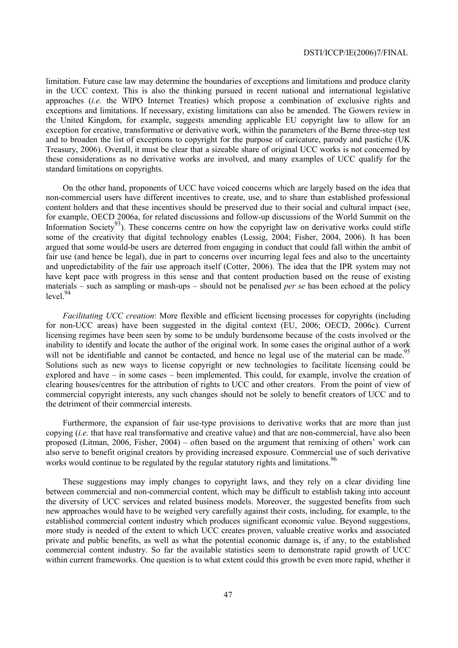limitation. Future case law may determine the boundaries of exceptions and limitations and produce clarity in the UCC context. This is also the thinking pursued in recent national and international legislative approaches (*i.e.* the WIPO Internet Treaties) which propose a combination of exclusive rights and exceptions and limitations. If necessary, existing limitations can also be amended. The Gowers review in the United Kingdom, for example, suggests amending applicable EU copyright law to allow for an exception for creative, transformative or derivative work, within the parameters of the Berne three-step test and to broaden the list of exceptions to copyright for the purpose of caricature, parody and pastiche (UK Treasury, 2006). Overall, it must be clear that a sizeable share of original UCC works is not concerned by these considerations as no derivative works are involved, and many examples of UCC qualify for the standard limitations on copyrights.

On the other hand, proponents of UCC have voiced concerns which are largely based on the idea that non-commercial users have different incentives to create, use, and to share than established professional content holders and that these incentives should be preserved due to their social and cultural impact (see, for example, OECD 2006a, for related discussions and follow-up discussions of the World Summit on the Information Society<sup>93</sup>). These concerns centre on how the copyright law on derivative works could stifle some of the creativity that digital technology enables (Lessig, 2004; Fisher, 2004, 2006). It has been argued that some would-be users are deterred from engaging in conduct that could fall within the ambit of fair use (and hence be legal), due in part to concerns over incurring legal fees and also to the uncertainty and unpredictability of the fair use approach itself (Cotter, 2006). The idea that the IPR system may not have kept pace with progress in this sense and that content production based on the reuse of existing materials – such as sampling or mash-ups – should not be penalised *per se* has been echoed at the policy  $level.<sup>94</sup>$ 

*Facilitating UCC creation*: More flexible and efficient licensing processes for copyrights (including for non-UCC areas) have been suggested in the digital context (EU, 2006; OECD, 2006c). Current licensing regimes have been seen by some to be unduly burdensome because of the costs involved or the inability to identify and locate the author of the original work. In some cases the original author of a work will not be identifiable and cannot be contacted, and hence no legal use of the material can be made.<sup>95</sup> Solutions such as new ways to license copyright or new technologies to facilitate licensing could be explored and have  $-$  in some cases  $-$  been implemented. This could, for example, involve the creation of clearing houses/centres for the attribution of rights to UCC and other creators. From the point of view of commercial copyright interests, any such changes should not be solely to benefit creators of UCC and to the detriment of their commercial interests.

Furthermore, the expansion of fair use-type provisions to derivative works that are more than just copying (*i.e.* that have real transformative and creative value) and that are non-commercial, have also been proposed (Litman, 2006, Fisher,  $2004$ ) – often based on the argument that remixing of others' work can also serve to benefit original creators by providing increased exposure. Commercial use of such derivative works would continue to be regulated by the regular statutory rights and limitations.<sup>96</sup>

These suggestions may imply changes to copyright laws, and they rely on a clear dividing line between commercial and non-commercial content, which may be difficult to establish taking into account the diversity of UCC services and related business models. Moreover, the suggested benefits from such new approaches would have to be weighed very carefully against their costs, including, for example, to the established commercial content industry which produces significant economic value. Beyond suggestions, more study is needed of the extent to which UCC creates proven, valuable creative works and associated private and public benefits, as well as what the potential economic damage is, if any, to the established commercial content industry. So far the available statistics seem to demonstrate rapid growth of UCC within current frameworks. One question is to what extent could this growth be even more rapid, whether it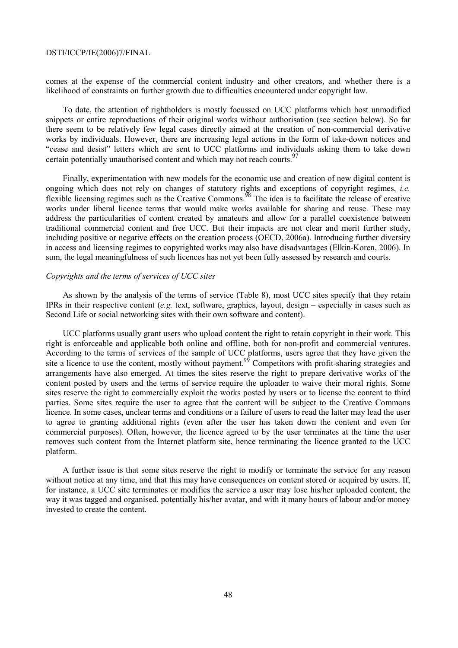comes at the expense of the commercial content industry and other creators, and whether there is a likelihood of constraints on further growth due to difficulties encountered under copyright law.

To date, the attention of rightholders is mostly focussed on UCC platforms which host unmodified snippets or entire reproductions of their original works without authorisation (see section below). So far there seem to be relatively few legal cases directly aimed at the creation of non-commercial derivative works by individuals. However, there are increasing legal actions in the form of take-down notices and "cease and desist" letters which are sent to UCC platforms and individuals asking them to take down certain potentially unauthorised content and which may not reach courts.  $97$ 

Finally, experimentation with new models for the economic use and creation of new digital content is ongoing which does not rely on changes of statutory rights and exceptions of copyright regimes, *i.e.* flexible licensing regimes such as the Creative Commons.<sup>98</sup> The idea is to facilitate the release of creative works under liberal licence terms that would make works available for sharing and reuse. These may address the particularities of content created by amateurs and allow for a parallel coexistence between traditional commercial content and free UCC. But their impacts are not clear and merit further study, including positive or negative effects on the creation process (OECD, 2006a). Introducing further diversity in access and licensing regimes to copyrighted works may also have disadvantages (Elkin-Koren, 2006). In sum, the legal meaningfulness of such licences has not yet been fully assessed by research and courts.

## *Copyrights and the terms of services of UCC sites*

As shown by the analysis of the terms of service (Table 8), most UCC sites specify that they retain IPRs in their respective content (*e.g.* text, software, graphics, layout, design  $-$  especially in cases such as Second Life or social networking sites with their own software and content).

UCC platforms usually grant users who upload content the right to retain copyright in their work. This right is enforceable and applicable both online and offline, both for non-profit and commercial ventures. According to the terms of services of the sample of UCC platforms, users agree that they have given the site a licence to use the content, mostly without payment.<sup>99</sup> Competitors with profit-sharing strategies and arrangements have also emerged. At times the sites reserve the right to prepare derivative works of the content posted by users and the terms of service require the uploader to waive their moral rights. Some sites reserve the right to commercially exploit the works posted by users or to license the content to third parties. Some sites require the user to agree that the content will be subject to the Creative Commons licence. In some cases, unclear terms and conditions or a failure of users to read the latter may lead the user to agree to granting additional rights (even after the user has taken down the content and even for commercial purposes). Often, however, the licence agreed to by the user terminates at the time the user removes such content from the Internet platform site, hence terminating the licence granted to the UCC platform.

A further issue is that some sites reserve the right to modify or terminate the service for any reason without notice at any time, and that this may have consequences on content stored or acquired by users. If, for instance, a UCC site terminates or modifies the service a user may lose his/her uploaded content, the way it was tagged and organised, potentially his/her avatar, and with it many hours of labour and/or money invested to create the content.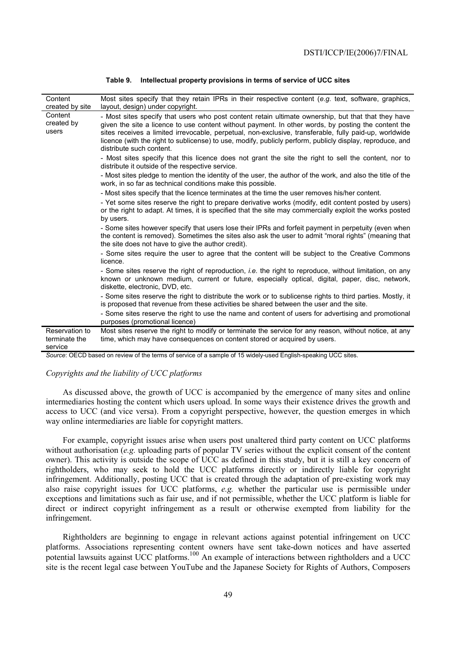| Content<br>created by site                 | Most sites specify that they retain IPRs in their respective content (e.g. text, software, graphics,<br>layout, design) under copyright.                                                                                                                                                                                                                                                                                                                      |
|--------------------------------------------|---------------------------------------------------------------------------------------------------------------------------------------------------------------------------------------------------------------------------------------------------------------------------------------------------------------------------------------------------------------------------------------------------------------------------------------------------------------|
| Content<br>created by<br>users             | - Most sites specify that users who post content retain ultimate ownership, but that that they have<br>given the site a licence to use content without payment. In other words, by posting the content the<br>sites receives a limited irrevocable, perpetual, non-exclusive, transferable, fully paid-up, worldwide<br>licence (with the right to sublicense) to use, modify, publicly perform, publicly display, reproduce, and<br>distribute such content. |
|                                            | - Most sites specify that this licence does not grant the site the right to sell the content, nor to<br>distribute it outside of the respective service.                                                                                                                                                                                                                                                                                                      |
|                                            | - Most sites pledge to mention the identity of the user, the author of the work, and also the title of the<br>work, in so far as technical conditions make this possible.                                                                                                                                                                                                                                                                                     |
|                                            | - Most sites specify that the licence terminates at the time the user removes his/her content.                                                                                                                                                                                                                                                                                                                                                                |
|                                            | - Yet some sites reserve the right to prepare derivative works (modify, edit content posted by users)<br>or the right to adapt. At times, it is specified that the site may commercially exploit the works posted<br>by users.                                                                                                                                                                                                                                |
|                                            | - Some sites however specify that users lose their IPRs and forfeit payment in perpetuity (even when<br>the content is removed). Sometimes the sites also ask the user to admit "moral rights" (meaning that<br>the site does not have to give the author credit).                                                                                                                                                                                            |
|                                            | - Some sites require the user to agree that the content will be subject to the Creative Commons<br>licence.                                                                                                                                                                                                                                                                                                                                                   |
|                                            | - Some sites reserve the right of reproduction, <i>i.e.</i> the right to reproduce, without limitation, on any<br>known or unknown medium, current or future, especially optical, digital, paper, disc, network,<br>diskette, electronic, DVD, etc.                                                                                                                                                                                                           |
|                                            | - Some sites reserve the right to distribute the work or to sublicense rights to third parties. Mostly, it<br>is proposed that revenue from these activities be shared between the user and the site.                                                                                                                                                                                                                                                         |
|                                            | - Some sites reserve the right to use the name and content of users for advertising and promotional<br>purposes (promotional licence)                                                                                                                                                                                                                                                                                                                         |
| Reservation to<br>terminate the<br>service | Most sites reserve the right to modify or terminate the service for any reason, without notice, at any<br>time, which may have consequences on content stored or acquired by users.                                                                                                                                                                                                                                                                           |
|                                            |                                                                                                                                                                                                                                                                                                                                                                                                                                                               |

#### **Table 9. Intellectual property provisions in terms of service of UCC sites**

*Source*: OECD based on review of the terms of service of a sample of 15 widely-used English-speaking UCC sites.

## *Copyrights and the liability of UCC platforms*

As discussed above, the growth of UCC is accompanied by the emergence of many sites and online intermediaries hosting the content which users upload. In some ways their existence drives the growth and access to UCC (and vice versa). From a copyright perspective, however, the question emerges in which way online intermediaries are liable for copyright matters.

For example, copyright issues arise when users post unaltered third party content on UCC platforms without authorisation (*e.g.* uploading parts of popular TV series without the explicit consent of the content owner). This activity is outside the scope of UCC as defined in this study, but it is still a key concern of rightholders, who may seek to hold the UCC platforms directly or indirectly liable for copyright infringement. Additionally, posting UCC that is created through the adaptation of pre-existing work may also raise copyright issues for UCC platforms, *e.g.* whether the particular use is permissible under exceptions and limitations such as fair use, and if not permissible, whether the UCC platform is liable for direct or indirect copyright infringement as a result or otherwise exempted from liability for the infringement.

Rightholders are beginning to engage in relevant actions against potential infringement on UCC platforms. Associations representing content owners have sent take-down notices and have asserted potential lawsuits against UCC platforms.<sup>100</sup> An example of interactions between rightholders and a UCC site is the recent legal case between YouTube and the Japanese Society for Rights of Authors, Composers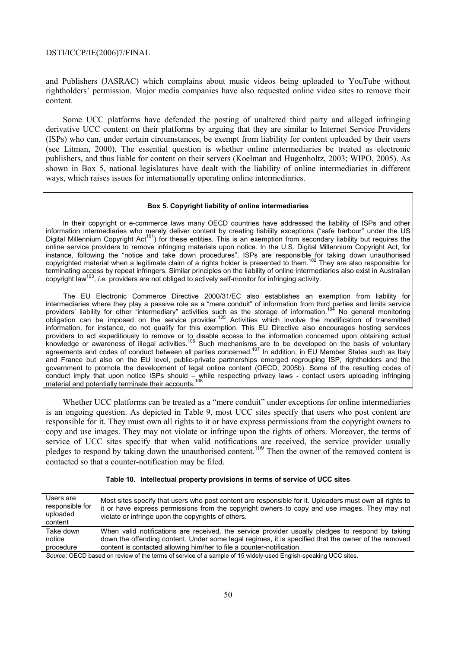and Publishers (JASRAC) which complains about music videos being uploaded to YouTube without rightholders' permission. Major media companies have also requested online video sites to remove their content.

Some UCC platforms have defended the posting of unaltered third party and alleged infringing derivative UCC content on their platforms by arguing that they are similar to Internet Service Providers (ISPs) who can, under certain circumstances, be exempt from liability for content uploaded by their users (see Litman, 2000)*.* The essential question is whether online intermediaries be treated as electronic publishers, and thus liable for content on their servers (Koelman and Hugenholtz, 2003; WIPO, 2005). As shown in Box 5, national legislatures have dealt with the liability of online intermediaries in different ways, which raises issues for internationally operating online intermediaries.

### **Box 5. Copyright liability of online intermediaries**

In their copyright or e-commerce laws many OECD countries have addressed the liability of ISPs and other information intermediaries who merely deliver content by creating liability exceptions ("safe harbour" under the US Digital Millennium Copyright Act<sup>101</sup>) for these entities. This is an exemption from secondary liability but requires the online service providers to remove infringing materials upon notice. In the U.S. Digital Millennium Copyright Act, for instance, following the "notice and take down procedures", ISPs are responsible for taking down unauthorised copyrighted material when a legitimate claim of a rights holder is presented to them.<sup>102</sup> They are also responsible for terminating access by repeat infringers. Similar principles on the liability of online intermediaries also exist in Australian copyright law103, *i.e.* providers are not obliged to actively self-monitor for infringing activity.

The EU Electronic Commerce Directive 2000/31/EC also establishes an exemption from liability for intermediaries where they play a passive role as a "mere conduit" of information from third parties and limits service providers' liability for other "intermediary" activities such as the storage of information.<sup>104</sup> No general monitoring obligation can be imposed on the service provider.<sup>105</sup> Activities which involve the modification of transmitted information, for instance, do not qualify for this exemption. This EU Directive also encourages hosting services providers to act expeditiously to remove or to disable access to the information concerned upon obtaining actual knowledge or awareness of illegal activities.<sup>106</sup> Such mechanisms are to be developed on the basis of voluntary agreements and codes of conduct between all parties concerned.<sup>107</sup> In addition, in EU Member States such as Italy and France but also on the EU level, public-private partnerships emerged regrouping ISP, rightholders and the government to promote the development of legal online content (OECD, 2005b). Some of the resulting codes of conduct imply that upon notice ISPs should – while respecting privacy laws - contact users uploading infringing material and potentially terminate their accounts.<sup>108</sup>

Whether UCC platforms can be treated as a "mere conduit" under exceptions for online intermediaries is an ongoing question. As depicted in Table 9, most UCC sites specify that users who post content are responsible for it. They must own all rights to it or have express permissions from the copyright owners to copy and use images. They may not violate or infringe upon the rights of others. Moreover, the terms of service of UCC sites specify that when valid notifications are received, the service provider usually pledges to respond by taking down the unauthorised content.<sup>109</sup> Then the owner of the removed content is contacted so that a counter-notification may be filed.

|  |  |  |  |  |  | Table 10. Intellectual property provisions in terms of service of UCC sites |
|--|--|--|--|--|--|-----------------------------------------------------------------------------|
|--|--|--|--|--|--|-----------------------------------------------------------------------------|

| Users are<br>responsible for<br>uploaded<br>content | Most sites specify that users who post content are responsible for it. Uploaders must own all rights to<br>it or have express permissions from the copyright owners to copy and use images. They may not<br>violate or infringe upon the copyrights of others. |
|-----------------------------------------------------|----------------------------------------------------------------------------------------------------------------------------------------------------------------------------------------------------------------------------------------------------------------|
| Take down                                           | When valid notifications are received, the service provider usually pledges to respond by taking                                                                                                                                                               |
| notice                                              | down the offending content. Under some legal regimes, it is specified that the owner of the removed                                                                                                                                                            |
| procedure                                           | content is contacted allowing him/her to file a counter-notification.                                                                                                                                                                                          |

*Source*: OECD based on review of the terms of service of a sample of 15 widely-used English-speaking UCC sites.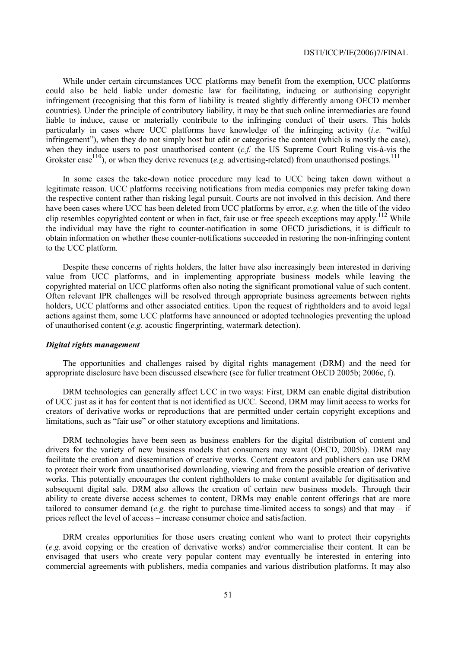While under certain circumstances UCC platforms may benefit from the exemption, UCC platforms could also be held liable under domestic law for facilitating, inducing or authorising copyright infringement (recognising that this form of liability is treated slightly differently among OECD member countries). Under the principle of contributory liability, it may be that such online intermediaries are found liable to induce, cause or materially contribute to the infringing conduct of their users. This holds particularly in cases where UCC platforms have knowledge of the infringing activity (*i.e.* "wilful infringement"), when they do not simply host but edit or categorise the content (which is mostly the case), when they induce users to post unauthorised content  $(c.f.$  the US Supreme Court Ruling vis- $\dot{a}$ -vis the Grokster case<sup>110</sup>), or when they derive revenues (*e.g.* advertising-related) from unauthorised postings.<sup>111</sup>

In some cases the take-down notice procedure may lead to UCC being taken down without a legitimate reason. UCC platforms receiving notifications from media companies may prefer taking down the respective content rather than risking legal pursuit. Courts are not involved in this decision. And there have been cases where UCC has been deleted from UCC platforms by error, *e.g.* when the title of the video clip resembles copyrighted content or when in fact, fair use or free speech exceptions may apply.<sup>112</sup> While the individual may have the right to counter-notification in some OECD jurisdictions, it is difficult to obtain information on whether these counter-notifications succeeded in restoring the non-infringing content to the UCC platform.

Despite these concerns of rights holders, the latter have also increasingly been interested in deriving value from UCC platforms, and in implementing appropriate business models while leaving the copyrighted material on UCC platforms often also noting the significant promotional value of such content. Often relevant IPR challenges will be resolved through appropriate business agreements between rights holders, UCC platforms and other associated entities. Upon the request of rightholders and to avoid legal actions against them, some UCC platforms have announced or adopted technologies preventing the upload of unauthorised content (*e.g.* acoustic fingerprinting, watermark detection).

### *Digital rights management*

The opportunities and challenges raised by digital rights management (DRM) and the need for appropriate disclosure have been discussed elsewhere (see for fuller treatment OECD 2005b; 2006c, f).

DRM technologies can generally affect UCC in two ways: First, DRM can enable digital distribution of UCC just as it has for content that is not identified as UCC. Second, DRM may limit access to works for creators of derivative works or reproductions that are permitted under certain copyright exceptions and limitations, such as "fair use" or other statutory exceptions and limitations.

DRM technologies have been seen as business enablers for the digital distribution of content and drivers for the variety of new business models that consumers may want (OECD, 2005b). DRM may facilitate the creation and dissemination of creative works. Content creators and publishers can use DRM to protect their work from unauthorised downloading, viewing and from the possible creation of derivative works. This potentially encourages the content rightholders to make content available for digitisation and subsequent digital sale. DRM also allows the creation of certain new business models. Through their ability to create diverse access schemes to content, DRMs may enable content offerings that are more tailored to consumer demand (*e.g.* the right to purchase time-limited access to songs) and that may  $-$  if prices reflect the level of access – increase consumer choice and satisfaction.

DRM creates opportunities for those users creating content who want to protect their copyrights (*e.g.* avoid copying or the creation of derivative works) and/or commercialise their content. It can be envisaged that users who create very popular content may eventually be interested in entering into commercial agreements with publishers, media companies and various distribution platforms. It may also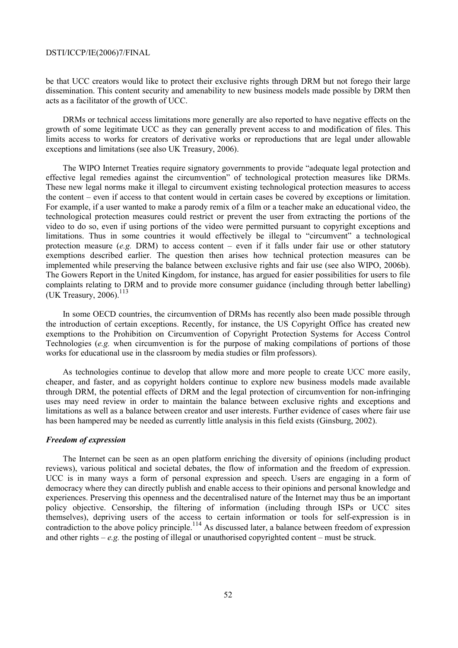be that UCC creators would like to protect their exclusive rights through DRM but not forego their large dissemination. This content security and amenability to new business models made possible by DRM then acts as a facilitator of the growth of UCC.

DRMs or technical access limitations more generally are also reported to have negative effects on the growth of some legitimate UCC as they can generally prevent access to and modification of files. This limits access to works for creators of derivative works or reproductions that are legal under allowable exceptions and limitations (see also UK Treasury, 2006).

The WIPO Internet Treaties require signatory governments to provide "adequate legal protection and effective legal remedies against the circumvention" of technological protection measures like DRMs. These new legal norms make it illegal to circumvent existing technological protection measures to access the content – even if access to that content would in certain cases be covered by exceptions or limitation. For example, if a user wanted to make a parody remix of a film or a teacher make an educational video, the technological protection measures could restrict or prevent the user from extracting the portions of the video to do so, even if using portions of the video were permitted pursuant to copyright exceptions and limitations. Thus in some countries it would effectively be illegal to "circumvent" a technological protection measure (*e.g.* DRM) to access content  $-$  even if it falls under fair use or other statutory exemptions described earlier. The question then arises how technical protection measures can be implemented while preserving the balance between exclusive rights and fair use (see also WIPO, 2006b). The Gowers Report in the United Kingdom, for instance, has argued for easier possibilities for users to file complaints relating to DRM and to provide more consumer guidance (including through better labelling) (UK Treasury,  $2006$ ).<sup>113</sup>

In some OECD countries, the circumvention of DRMs has recently also been made possible through the introduction of certain exceptions. Recently, for instance, the US Copyright Office has created new exemptions to the Prohibition on Circumvention of Copyright Protection Systems for Access Control Technologies (*e.g.* when circumvention is for the purpose of making compilations of portions of those works for educational use in the classroom by media studies or film professors).

As technologies continue to develop that allow more and more people to create UCC more easily, cheaper, and faster, and as copyright holders continue to explore new business models made available through DRM, the potential effects of DRM and the legal protection of circumvention for non-infringing uses may need review in order to maintain the balance between exclusive rights and exceptions and limitations as well as a balance between creator and user interests. Further evidence of cases where fair use has been hampered may be needed as currently little analysis in this field exists (Ginsburg, 2002).

## *Freedom of expression*

The Internet can be seen as an open platform enriching the diversity of opinions (including product reviews), various political and societal debates, the flow of information and the freedom of expression. UCC is in many ways a form of personal expression and speech. Users are engaging in a form of democracy where they can directly publish and enable access to their opinions and personal knowledge and experiences. Preserving this openness and the decentralised nature of the Internet may thus be an important policy objective. Censorship, the filtering of information (including through ISPs or UCC sites themselves), depriving users of the access to certain information or tools for self-expression is in contradiction to the above policy principle.<sup>114</sup> As discussed later, a balance between freedom of expression and other rights  $-e.g.$  the posting of illegal or unauthorised copyrighted content  $-\text{must be struck.}$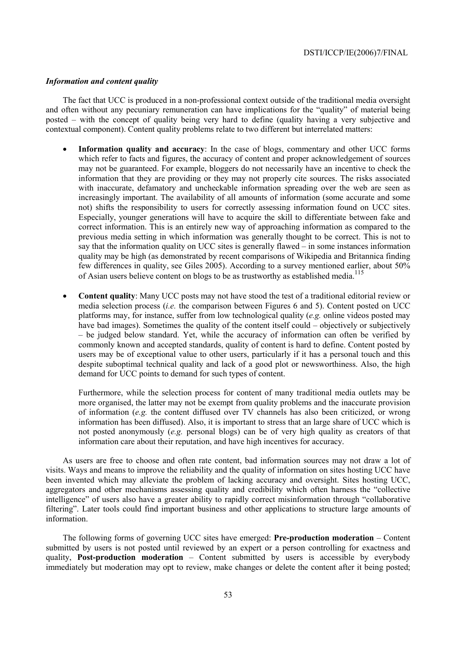## *Information and content quality*

The fact that UCC is produced in a non-professional context outside of the traditional media oversight and often without any pecuniary remuneration can have implications for the "quality" of material being posted – with the concept of quality being very hard to define (quality having a very subjective and contextual component). Content quality problems relate to two different but interrelated matters:

- **Information quality and accuracy**: In the case of blogs, commentary and other UCC forms which refer to facts and figures, the accuracy of content and proper acknowledgement of sources may not be guaranteed. For example, bloggers do not necessarily have an incentive to check the information that they are providing or they may not properly cite sources. The risks associated with inaccurate, defamatory and uncheckable information spreading over the web are seen as increasingly important. The availability of all amounts of information (some accurate and some not) shifts the responsibility to users for correctly assessing information found on UCC sites. Especially, younger generations will have to acquire the skill to differentiate between fake and correct information. This is an entirely new way of approaching information as compared to the previous media setting in which information was generally thought to be correct. This is not to say that the information quality on UCC sites is generally flawed  $-$  in some instances information quality may be high (as demonstrated by recent comparisons of Wikipedia and Britannica finding few differences in quality, see Giles 2005). According to a survey mentioned earlier, about 50% of Asian users believe content on blogs to be as trustworthy as established media.<sup>115</sup>
- **Content quality**: Many UCC posts may not have stood the test of a traditional editorial review or media selection process (*i.e.* the comparison between Figures 6 and 5). Content posted on UCC platforms may, for instance, suffer from low technological quality (*e.g.* online videos posted may have bad images). Sometimes the quality of the content itself could  $-$  objectively or subjectively  $h$  be judged below standard. Yet, while the accuracy of information can often be verified by commonly known and accepted standards, quality of content is hard to define. Content posted by users may be of exceptional value to other users, particularly if it has a personal touch and this despite suboptimal technical quality and lack of a good plot or newsworthiness. Also, the high demand for UCC points to demand for such types of content.

Furthermore, while the selection process for content of many traditional media outlets may be more organised, the latter may not be exempt from quality problems and the inaccurate provision of information (*e.g.* the content diffused over TV channels has also been criticized, or wrong information has been diffused). Also, it is important to stress that an large share of UCC which is not posted anonymously (*e.g.* personal blogs) can be of very high quality as creators of that information care about their reputation, and have high incentives for accuracy.

As users are free to choose and often rate content, bad information sources may not draw a lot of visits. Ways and means to improve the reliability and the quality of information on sites hosting UCC have been invented which may alleviate the problem of lacking accuracy and oversight. Sites hosting UCC, aggregators and other mechanisms assessing quality and credibility which often harness the "collective intelligence" of users also have a greater ability to rapidly correct misinformation through "collaborative" filteringî. Later tools could find important business and other applications to structure large amounts of information.

The following forms of governing UCC sites have emerged: **Pre-production moderation** – Content submitted by users is not posted until reviewed by an expert or a person controlling for exactness and quality, **Post-production moderation** – Content submitted by users is accessible by everybody immediately but moderation may opt to review, make changes or delete the content after it being posted;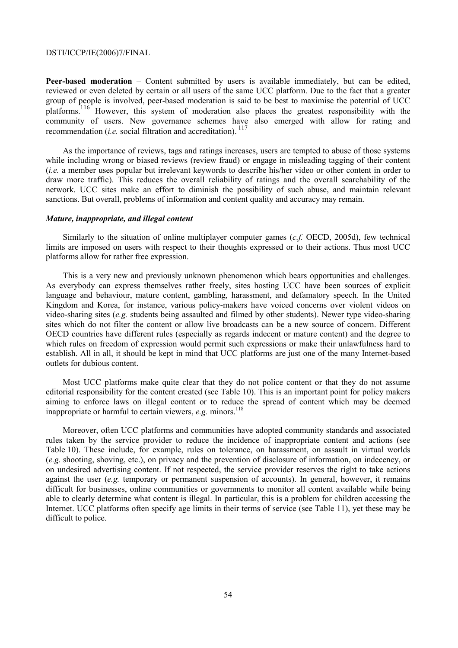**Peer-based moderation** – Content submitted by users is available immediately, but can be edited, reviewed or even deleted by certain or all users of the same UCC platform. Due to the fact that a greater group of people is involved, peer-based moderation is said to be best to maximise the potential of UCC platforms.<sup>116</sup> However, this system of moderation also places the greatest responsibility with the community of users. New governance schemes have also emerged with allow for rating and recommendation (*i.e.* social filtration and accreditation).  $117$ 

As the importance of reviews, tags and ratings increases, users are tempted to abuse of those systems while including wrong or biased reviews (review fraud) or engage in misleading tagging of their content (*i.e.* a member uses popular but irrelevant keywords to describe his/her video or other content in order to draw more traffic). This reduces the overall reliability of ratings and the overall searchability of the network. UCC sites make an effort to diminish the possibility of such abuse, and maintain relevant sanctions. But overall, problems of information and content quality and accuracy may remain.

#### *Mature, inappropriate, and illegal content*

Similarly to the situation of online multiplayer computer games (*c.f.* OECD, 2005d), few technical limits are imposed on users with respect to their thoughts expressed or to their actions. Thus most UCC platforms allow for rather free expression.

This is a very new and previously unknown phenomenon which bears opportunities and challenges. As everybody can express themselves rather freely, sites hosting UCC have been sources of explicit language and behaviour, mature content, gambling, harassment, and defamatory speech. In the United Kingdom and Korea, for instance, various policy-makers have voiced concerns over violent videos on video-sharing sites (*e.g.* students being assaulted and filmed by other students). Newer type video-sharing sites which do not filter the content or allow live broadcasts can be a new source of concern. Different OECD countries have different rules (especially as regards indecent or mature content) and the degree to which rules on freedom of expression would permit such expressions or make their unlawfulness hard to establish. All in all, it should be kept in mind that UCC platforms are just one of the many Internet-based outlets for dubious content.

Most UCC platforms make quite clear that they do not police content or that they do not assume editorial responsibility for the content created (see Table 10). This is an important point for policy makers aiming to enforce laws on illegal content or to reduce the spread of content which may be deemed inappropriate or harmful to certain viewers, *e.g.* minors.<sup>118</sup>

Moreover, often UCC platforms and communities have adopted community standards and associated rules taken by the service provider to reduce the incidence of inappropriate content and actions (see Table 10). These include, for example, rules on tolerance, on harassment, on assault in virtual worlds (*e.g.* shooting, shoving, etc.), on privacy and the prevention of disclosure of information, on indecency, or on undesired advertising content. If not respected, the service provider reserves the right to take actions against the user (*e.g.* temporary or permanent suspension of accounts). In general, however, it remains difficult for businesses, online communities or governments to monitor all content available while being able to clearly determine what content is illegal. In particular, this is a problem for children accessing the Internet. UCC platforms often specify age limits in their terms of service (see Table 11), yet these may be difficult to police.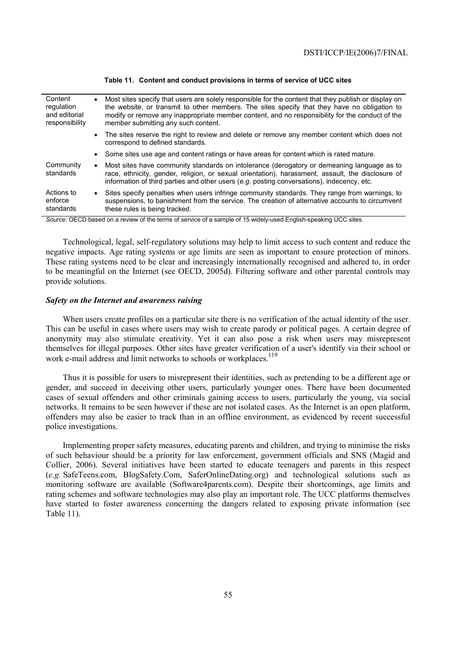| Content<br>regulation<br>and editorial<br>responsibility | $\bullet$ | Most sites specify that users are solely responsible for the content that they publish or display on<br>the website, or transmit to other members. The sites specify that they have no obligation to<br>modify or remove any inappropriate member content, and no responsibility for the conduct of the<br>member submitting any such content. |
|----------------------------------------------------------|-----------|------------------------------------------------------------------------------------------------------------------------------------------------------------------------------------------------------------------------------------------------------------------------------------------------------------------------------------------------|
|                                                          | $\bullet$ | The sites reserve the right to review and delete or remove any member content which does not<br>correspond to defined standards.                                                                                                                                                                                                               |
|                                                          | $\bullet$ | Some sites use age and content ratings or have areas for content which is rated mature.                                                                                                                                                                                                                                                        |
| Community<br>standards                                   | $\bullet$ | Most sites have community standards on intolerance (derogatory or demeaning language as to<br>race, ethnicity, gender, religion, or sexual orientation), harassment, assault, the disclosure of<br>information of third parties and other users (e.g. posting conversations), indecency, etc.                                                  |
| Actions to<br>enforce<br>standards                       | $\bullet$ | Sites specify penalties when users infringe community standards. They range from warnings, to<br>suspensions, to banishment from the service. The creation of alternative accounts to circumvent<br>these rules is being tracked.                                                                                                              |

#### **Table 11. Content and conduct provisions in terms of service of UCC sites**

*Source*: OECD based on a review of the terms of service of a sample of 15 widely-used English-speaking UCC sites.

Technological, legal, self-regulatory solutions may help to limit access to such content and reduce the negative impacts. Age rating systems or age limits are seen as important to ensure protection of minors. These rating systems need to be clear and increasingly internationally recognised and adhered to, in order to be meaningful on the Internet (see OECD, 2005d). Filtering software and other parental controls may provide solutions.

### *Safety on the Internet and awareness raising*

When users create profiles on a particular site there is no verification of the actual identity of the user. This can be useful in cases where users may wish to create parody or political pages. A certain degree of anonymity may also stimulate creativity. Yet it can also pose a risk when users may misrepresent themselves for illegal purposes. Other sites have greater verification of a user's identify via their school or work e-mail address and limit networks to schools or workplaces.<sup>119</sup>

Thus it is possible for users to misrepresent their identities, such as pretending to be a different age or gender, and succeed in deceiving other users, particularly younger ones. There have been documented cases of sexual offenders and other criminals gaining access to users, particularly the young, via social networks. It remains to be seen however if these are not isolated cases. As the Internet is an open platform, offenders may also be easier to track than in an offline environment, as evidenced by recent successful police investigations.

Implementing proper safety measures, educating parents and children, and trying to minimise the risks of such behaviour should be a priority for law enforcement, government officials and SNS (Magid and Collier, 2006). Several initiatives have been started to educate teenagers and parents in this respect (*e.g.* SafeTeens.com, BlogSafety.Com, SaferOnlineDating.org) and technological solutions such as monitoring software are available (Software4parents.com). Despite their shortcomings, age limits and rating schemes and software technologies may also play an important role. The UCC platforms themselves have started to foster awareness concerning the dangers related to exposing private information (see Table 11).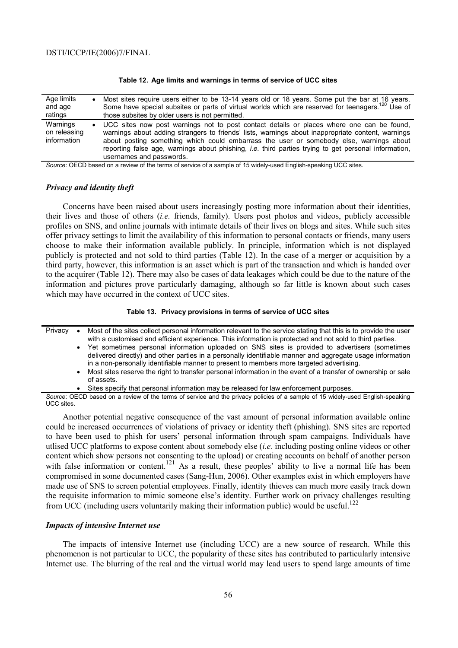| Age limits<br>and age<br>ratings        |           | • Most sites require users either to be 13-14 years old or 18 years. Some put the bar at 16 years.<br>Some have special subsites or parts of virtual worlds which are reserved for teenagers. <sup>120</sup> Use of<br>those subsites by older users is not permitted.                                                                                                                                                               |
|-----------------------------------------|-----------|--------------------------------------------------------------------------------------------------------------------------------------------------------------------------------------------------------------------------------------------------------------------------------------------------------------------------------------------------------------------------------------------------------------------------------------|
| Warnings<br>on releasing<br>information | $\bullet$ | UCC sites now post warnings not to post contact details or places where one can be found,<br>warnings about adding strangers to friends' lists, warnings about inappropriate content, warnings<br>about posting something which could embarrass the user or somebody else, warnings about<br>reporting false age, warnings about phishing, <i>i.e.</i> third parties trying to get personal information,<br>usernames and passwords. |

## **Table 12. Age limits and warnings in terms of service of UCC sites**

*Source*: OECD based on a review of the terms of service of a sample of 15 widely-used English-speaking UCC sites.

#### *Privacy and identity theft*

Concerns have been raised about users increasingly posting more information about their identities, their lives and those of others (*i.e.* friends, family). Users post photos and videos, publicly accessible profiles on SNS, and online journals with intimate details of their lives on blogs and sites. While such sites offer privacy settings to limit the availability of this information to personal contacts or friends, many users choose to make their information available publicly. In principle, information which is not displayed publicly is protected and not sold to third parties (Table 12). In the case of a merger or acquisition by a third party, however, this information is an asset which is part of the transaction and which is handed over to the acquirer (Table 12). There may also be cases of data leakages which could be due to the nature of the information and pictures prove particularly damaging, although so far little is known about such cases which may have occurred in the context of UCC sites.

#### **Table 13. Privacy provisions in terms of service of UCC sites**

| Privacy | Most of the sites collect personal information relevant to the service stating that this is to provide the user<br>with a customised and efficient experience. This information is protected and not sold to third parties.                                                                             |
|---------|---------------------------------------------------------------------------------------------------------------------------------------------------------------------------------------------------------------------------------------------------------------------------------------------------------|
|         | Yet sometimes personal information uploaded on SNS sites is provided to advertisers (sometimes<br>delivered directly) and other parties in a personally identifiable manner and aggregate usage information<br>in a non-personally identifiable manner to present to members more targeted advertising. |
|         | Most sites reserve the right to transfer personal information in the event of a transfer of ownership or sale<br>of assets.                                                                                                                                                                             |
|         | Sites specify that personal information may be released for law enforcement purposes.                                                                                                                                                                                                                   |

*Source*: OECD based on a review of the terms of service and the privacy policies of a sample of 15 widely-used English-speaking UCC sites.

Another potential negative consequence of the vast amount of personal information available online could be increased occurrences of violations of privacy or identity theft (phishing). SNS sites are reported to have been used to phish for users' personal information through spam campaigns. Individuals have utlised UCC platforms to expose content about somebody else (*i.e.* including posting online videos or other content which show persons not consenting to the upload) or creating accounts on behalf of another person with false information or content.<sup>121</sup> As a result, these peoples' ability to live a normal life has been compromised in some documented cases (Sang-Hun, 2006). Other examples exist in which employers have made use of SNS to screen potential employees. Finally, identity thieves can much more easily track down the requisite information to mimic someone else's identity. Further work on privacy challenges resulting from UCC (including users voluntarily making their information public) would be useful.<sup>122</sup>

### *Impacts of intensive Internet use*

The impacts of intensive Internet use (including UCC) are a new source of research. While this phenomenon is not particular to UCC, the popularity of these sites has contributed to particularly intensive Internet use. The blurring of the real and the virtual world may lead users to spend large amounts of time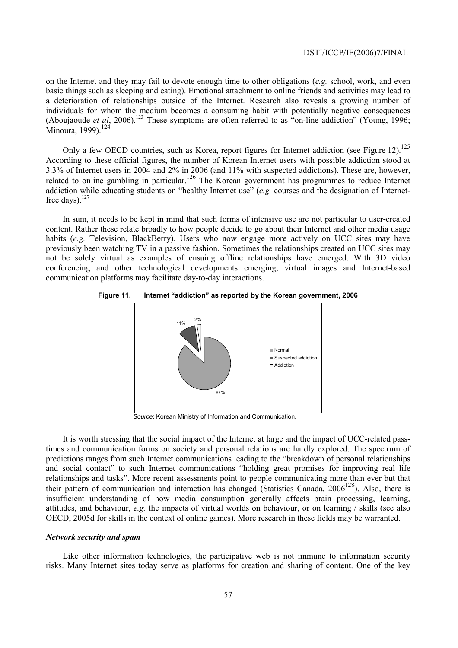on the Internet and they may fail to devote enough time to other obligations (*e.g.* school, work, and even basic things such as sleeping and eating). Emotional attachment to online friends and activities may lead to a deterioration of relationships outside of the Internet. Research also reveals a growing number of individuals for whom the medium becomes a consuming habit with potentially negative consequences (Aboujaoude *et al*, 2006).<sup>123</sup> These symptoms are often referred to as  $\cdot$  on-line addiction" (Young, 1996; Minoura, 1999).<sup>124</sup>

Only a few OECD countries, such as Korea, report figures for Internet addiction (see Figure 12).<sup>125</sup> According to these official figures, the number of Korean Internet users with possible addiction stood at 3.3% of Internet users in 2004 and 2% in 2006 (and 11% with suspected addictions). These are, however, related to online gambling in particular.<sup>126</sup> The Korean government has programmes to reduce Internet addiction while educating students on "healthy Internet use" (*e.g.* courses and the designation of Internetfree days). $127$ 

In sum, it needs to be kept in mind that such forms of intensive use are not particular to user-created content. Rather these relate broadly to how people decide to go about their Internet and other media usage habits (e.g. Television, BlackBerry). Users who now engage more actively on UCC sites may have previously been watching TV in a passive fashion. Sometimes the relationships created on UCC sites may not be solely virtual as examples of ensuing offline relationships have emerged. With 3D video conferencing and other technological developments emerging, virtual images and Internet-based communication platforms may facilitate day-to-day interactions.





*Source*: Korean Ministry of Information and Communication.

It is worth stressing that the social impact of the Internet at large and the impact of UCC-related passtimes and communication forms on society and personal relations are hardly explored. The spectrum of predictions ranges from such Internet communications leading to the "breakdown of personal relationships and social contact" to such Internet communications "holding great promises for improving real life relationships and tasks". More recent assessments point to people communicating more than ever but that their pattern of communication and interaction has changed (Statistics Canada,  $2006^{128}$ ). Also, there is insufficient understanding of how media consumption generally affects brain processing, learning, attitudes, and behaviour, *e.g.* the impacts of virtual worlds on behaviour, or on learning / skills (see also OECD, 2005d for skills in the context of online games). More research in these fields may be warranted.

#### *Network security and spam*

Like other information technologies, the participative web is not immune to information security risks. Many Internet sites today serve as platforms for creation and sharing of content. One of the key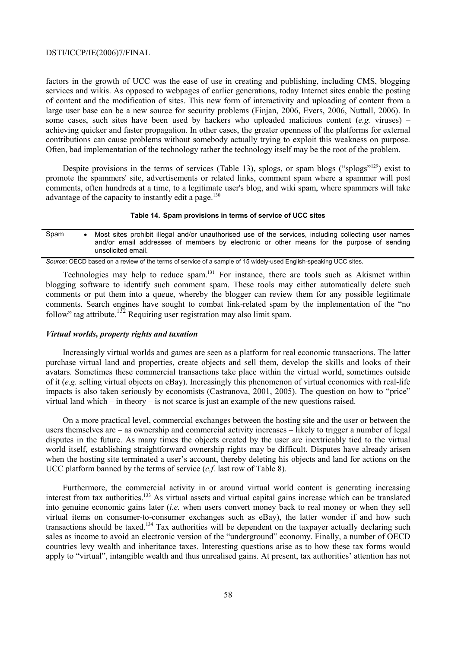factors in the growth of UCC was the ease of use in creating and publishing, including CMS, blogging services and wikis. As opposed to webpages of earlier generations, today Internet sites enable the posting of content and the modification of sites. This new form of interactivity and uploading of content from a large user base can be a new source for security problems (Finjan, 2006, Evers, 2006, Nuttall, 2006). In some cases, such sites have been used by hackers who uploaded malicious content  $(e.g.$  viruses) – achieving quicker and faster propagation. In other cases, the greater openness of the platforms for external contributions can cause problems without somebody actually trying to exploit this weakness on purpose. Often, bad implementation of the technology rather the technology itself may be the root of the problem.

Despite provisions in the terms of services (Table 13), splogs, or spam blogs ("splogs"<sup>129</sup>) exist to promote the spammers' site, advertisements or related links, comment spam where a spammer will post comments, often hundreds at a time, to a legitimate user's blog, and wiki spam, where spammers will take advantage of the capacity to instantly edit a page.<sup>130</sup>

#### **Table 14. Spam provisions in terms of service of UCC sites**

Spam • Most sites prohibit illegal and/or unauthorised use of the services, including collecting user names and/or email addresses of members by electronic or other means for the purpose of sending unsolicited email.

*Source*: OECD based on a review of the terms of service of a sample of 15 widely-used English-speaking UCC sites.

Technologies may help to reduce spam.<sup>131</sup> For instance, there are tools such as Akismet within blogging software to identify such comment spam. These tools may either automatically delete such comments or put them into a queue, whereby the blogger can review them for any possible legitimate comments. Search engines have sought to combat link-related spam by the implementation of the "no follow" tag attribute.<sup>132</sup> Requiring user registration may also limit spam.

# *Virtual worlds, property rights and taxation*

Increasingly virtual worlds and games are seen as a platform for real economic transactions. The latter purchase virtual land and properties, create objects and sell them, develop the skills and looks of their avatars. Sometimes these commercial transactions take place within the virtual world, sometimes outside of it (*e.g.* selling virtual objects on eBay). Increasingly this phenomenon of virtual economies with real-life impacts is also taken seriously by economists (Castranova, 2001, 2005). The question on how to "price" virtual land which  $-$  in theory  $-$  is not scarce is just an example of the new questions raised.

On a more practical level, commercial exchanges between the hosting site and the user or between the users themselves are  $-$  as ownership and commercial activity increases  $-$  likely to trigger a number of legal disputes in the future. As many times the objects created by the user are inextricably tied to the virtual world itself, establishing straightforward ownership rights may be difficult. Disputes have already arisen when the hosting site terminated a user's account, thereby deleting his objects and land for actions on the UCC platform banned by the terms of service (*c.f.* last row of Table 8).

Furthermore, the commercial activity in or around virtual world content is generating increasing interest from tax authorities.<sup>133</sup> As virtual assets and virtual capital gains increase which can be translated into genuine economic gains later (*i.e.* when users convert money back to real money or when they sell virtual items on consumer-to-consumer exchanges such as eBay), the latter wonder if and how such transactions should be taxed.<sup>134</sup> Tax authorities will be dependent on the taxpayer actually declaring such sales as income to avoid an electronic version of the "underground" economy. Finally, a number of OECD countries levy wealth and inheritance taxes. Interesting questions arise as to how these tax forms would apply to "virtual", intangible wealth and thus unrealised gains. At present, tax authorities' attention has not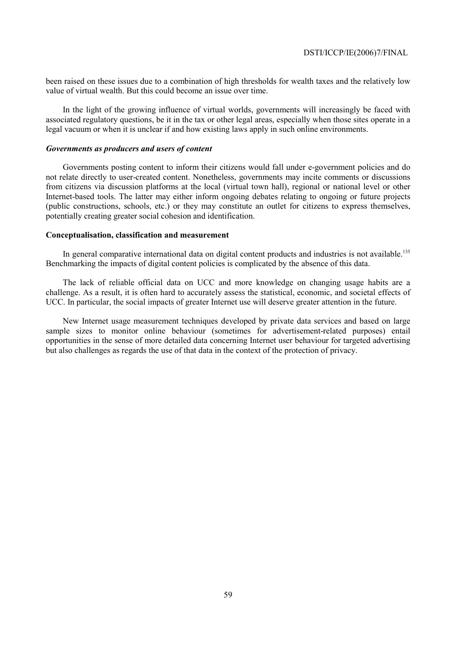been raised on these issues due to a combination of high thresholds for wealth taxes and the relatively low value of virtual wealth. But this could become an issue over time.

In the light of the growing influence of virtual worlds, governments will increasingly be faced with associated regulatory questions, be it in the tax or other legal areas, especially when those sites operate in a legal vacuum or when it is unclear if and how existing laws apply in such online environments.

## *Governments as producers and users of content*

Governments posting content to inform their citizens would fall under e-government policies and do not relate directly to user-created content. Nonetheless, governments may incite comments or discussions from citizens via discussion platforms at the local (virtual town hall), regional or national level or other Internet-based tools. The latter may either inform ongoing debates relating to ongoing or future projects (public constructions, schools, etc.) or they may constitute an outlet for citizens to express themselves, potentially creating greater social cohesion and identification.

### **Conceptualisation, classification and measurement**

In general comparative international data on digital content products and industries is not available.<sup>135</sup> Benchmarking the impacts of digital content policies is complicated by the absence of this data.

The lack of reliable official data on UCC and more knowledge on changing usage habits are a challenge. As a result, it is often hard to accurately assess the statistical, economic, and societal effects of UCC. In particular, the social impacts of greater Internet use will deserve greater attention in the future.

New Internet usage measurement techniques developed by private data services and based on large sample sizes to monitor online behaviour (sometimes for advertisement-related purposes) entail opportunities in the sense of more detailed data concerning Internet user behaviour for targeted advertising but also challenges as regards the use of that data in the context of the protection of privacy.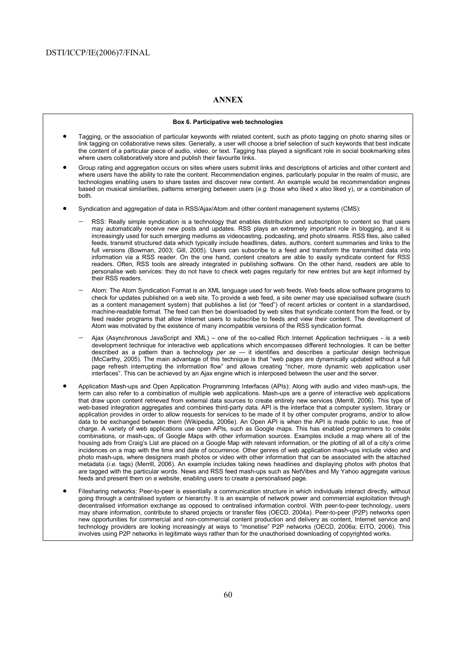# **ANNEX**

- Tagging, or the association of particular keywords with related content, such as photo tagging on photo sharing sites or link tagging on collaborative news sites. Generally, a user will choose a brief selection of such keywords that best indicate the content of a particular piece of audio, video, or text. Tagging has played a significant role in social bookmarking sites where users collaboratively store and publish their favourite links.
- Group rating and aggregation occurs on sites where users submit links and descriptions of articles and other content and where users have the ability to rate the content. Recommendation engines, particularly popular in the realm of music, are technologies enabling users to share tastes and discover new content. An example would be recommendation engines based on musical similarities, patterns emerging between users (*e.g.* those who liked x also liked y), or a combination of both.
- Syndication and aggregation of data in RSS/Ajax/Atom and other content management systems (CMS):
	- RSS: Really simple syndication is a technology that enables distribution and subscription to content so that users may automatically receive new posts and updates. RSS plays an extremely important role in blogging, and it is increasingly used for such emerging mediums as videocasting, podcasting, and photo streams. RSS files, also called feeds, transmit structured data which typically include headlines, dates, authors, content summaries and links to the full versions (Bowman, 2003; Gill, 2005). Users can subscribe to a feed and transform the transmitted data into information via a RSS reader. On the one hand, content creators are able to easily syndicate content for RSS readers. Often, RSS tools are already integrated in publishing software. On the other hand, readers are able to personalise web services: they do not have to check web pages regularly for new entries but are kept informed by their RSS readers.
	- − Atom: The Atom Syndication Format is an XML language used for web feeds. Web feeds allow software programs to check for updates published on a web site. To provide a web feed, a site owner may use specialised software (such as a content management system) that publishes a list (or "feed") of recent articles or content in a standardised, machine-readable format. The feed can then be downloaded by web sites that syndicate content from the feed, or by feed reader programs that allow Internet users to subscribe to feeds and view their content. The development of Atom was motivated by the existence of many incompatible versions of the RSS syndication format.
	- Ajax (Asynchronous JavaScript and XML) one of the so-called Rich Internet Application techniques is a web development technique for interactive web applications which encompasses different technologies. It can be better described as a pattern than a technology *per se* – it identifies and describes a particular design technique (McCarthy, 2005). The main advantage of this technique is that "web pages are dynamically updated without a full page refresh interrupting the information flow" and allows creating "richer, more dynamic web application user interfacesî. This can be achieved by an Ajax engine which is interposed between the user and the server.
- Application Mash-ups and Open Application Programming Interfaces (APIs): Along with audio and video mash-ups, the term can also refer to a combination of multiple web applications. Mash-ups are a genre of interactive web applications that draw upon content retrieved from external data sources to create entirely new services (Merrill, 2006). This type of web-based integration aggregates and combines third-party data. API is the interface that a computer system, library or application provides in order to allow requests for services to be made of it by other computer programs, and/or to allow data to be exchanged between them (Wikipedia, 2006e). An Open API is when the API is made public to use, free of charge. A variety of web applications use open APIs, such as Google maps. This has enabled programmers to create combinations, or mash-ups, of Google Maps with other information sources. Examples include a map where all of the housing ads from Craig's List are placed on a Google Map with relevant information, or the plotting of all of a city's crime incidences on a map with the time and date of occurrence. Other genres of web application mash-ups include video and photo mash-ups, where designers mash photos or video with other information that can be associated with the attached metadata (*i.e.* tags) (Merrill, 2006). An example includes taking news headlines and displaying photos with photos that are tagged with the particular words. News and RSS feed mash-ups such as NetVibes and My Yahoo aggregate various feeds and present them on a website, enabling users to create a personalised page.
- Filesharing networks: Peer-to-peer is essentially a communication structure in which individuals interact directly, without going through a centralised system or hierarchy. It is an example of network power and commercial exploitation through decentralised information exchange as opposed to centralised information control. With peer-to-peer technology, users may share information, contribute to shared projects or transfer files (OECD, 2004a). Peer-to-peer (P2P) networks open new opportunities for commercial and non-commercial content production and delivery as content, Internet service and technology providers are looking increasingly at ways to "monetise" P2P networks (OECD, 2006a; EITO, 2006). This involves using P2P networks in legitimate ways rather than for the unauthorised downloading of copyrighted works.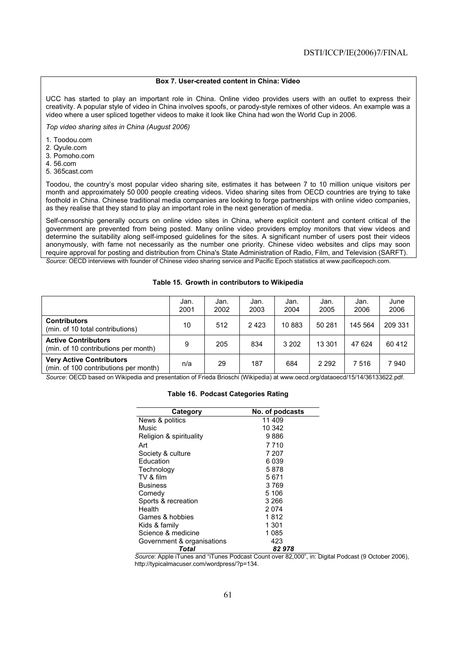## **Box 7. User-created content in China: Video**

UCC has started to play an important role in China. Online video provides users with an outlet to express their creativity. A popular style of video in China involves spoofs, or parody-style remixes of other videos. An example was a video where a user spliced together videos to make it look like China had won the World Cup in 2006.

*Top video sharing sites in China (August 2006)* 

- 1. Toodou.com
- 2. Qyule.com
- 3. Pomoho.com
- 4. 56.com
- 5. 365cast.com

Toodou, the countryís most popular video sharing site, estimates it has between 7 to 10 million unique visitors per month and approximately 50 000 people creating videos. Video sharing sites from OECD countries are trying to take foothold in China. Chinese traditional media companies are looking to forge partnerships with online video companies, as they realise that they stand to play an important role in the next generation of media.

Self-censorship generally occurs on online video sites in China, where explicit content and content critical of the government are prevented from being posted. Many online video providers employ monitors that view videos and determine the suitability along self-imposed guidelines for the sites. A significant number of users post their videos anonymously, with fame not necessarily as the number one priority. Chinese video websites and clips may soon require approval for posting and distribution from China's State Administration of Radio, Film, and Television (SARFT).

*Source*: OECD interviews with founder of Chinese video sharing service and Pacific Epoch statistics at www.pacificepoch.com.

### **Table 15. Growth in contributors to Wikipedia**

|                                                                          | Jan.<br>2001 | Jan.<br>2002 | Jan.<br>2003 | Jan.<br>2004 | Jan.<br>2005 | Jan.<br>2006 | June<br>2006 |
|--------------------------------------------------------------------------|--------------|--------------|--------------|--------------|--------------|--------------|--------------|
| <b>Contributors</b><br>(min. of 10 total contributions)                  | 10           | 512          | 2423         | 10883        | 50 281       | 145 564      | 209 331      |
| <b>Active Contributors</b><br>(min. of 10 contributions per month)       | 9            | 205          | 834          | 3 2 0 2      | 13 301       | 47 624       | 60 412       |
| <b>Very Active Contributors</b><br>(min. of 100 contributions per month) | n/a          | 29           | 187          | 684          | 2 2 9 2      | 7 516        | 7 940        |

*Source*: OECD based on Wikipedia and presentation of Frieda Brioschi (Wikipedia) at www.oecd.org/dataoecd/15/14/36133622.pdf.

## **Table 16. Podcast Categories Rating**

| Category                   | No. of podcasts |
|----------------------------|-----------------|
| News & politics            | 11 409          |
| Music                      | 10 342          |
| Religion & spirituality    | 9886            |
| Art                        | 7 7 1 0         |
| Society & culture          | 7 207           |
| <b>Education</b>           | 6 039           |
| Technology                 | 5878            |
| TV & film                  | 5 671           |
| <b>Business</b>            | 3769            |
| Comedy                     | 5 106           |
| Sports & recreation        | 3 266           |
| Health                     | 2 074           |
| Games & hobbies            | 1812            |
| Kids & family              | 1 301           |
| Science & medicine         | 1 085           |
| Government & organisations | 423             |
| Total                      | 82978           |

Source: Apple iTunes and "iTunes Podcast Count over 82,000", in: Digital Podcast (9 October 2006), http://typicalmacuser.com/wordpress/?p=134.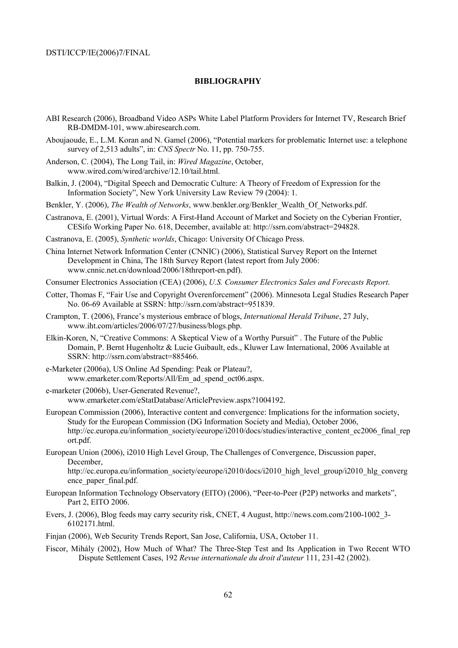# **BIBLIOGRAPHY**

- ABI Research (2006), Broadband Video ASPs White Label Platform Providers for Internet TV, Research Brief RB-DMDM-101, www.abiresearch.com.
- Aboujaoude, E., L.M. Koran and N. Gamel (2006), "Potential markers for problematic Internet use: a telephone survey of 2,513 adults", in: *CNS Spectr* No. 11, pp. 750-755.
- Anderson, C. (2004), The Long Tail, in: *Wired Magazine*, October, www.wired.com/wired/archive/12.10/tail.html.
- Balkin, J. (2004), "Digital Speech and Democratic Culture: A Theory of Freedom of Expression for the Information Society". New York University Law Review 79 (2004): 1.
- Benkler, Y. (2006), *The Wealth of Networks*, www.benkler.org/Benkler\_Wealth\_Of\_Networks.pdf.
- Castranova, E. (2001), Virtual Words: A First-Hand Account of Market and Society on the Cyberian Frontier, CESifo Working Paper No. 618, December, available at: http://ssrn.com/abstract=294828.
- Castranova, E. (2005), *Synthetic worlds*, Chicago: University Of Chicago Press.
- China Internet Network Information Center (CNNIC) (2006), Statistical Survey Report on the Internet Development in China, The 18th Survey Report (latest report from July 2006: www.cnnic.net.cn/download/2006/18threport-en.pdf).
- Consumer Electronics Association (CEA) (2006), *U.S. Consumer Electronics Sales and Forecasts Report*.
- Cotter, Thomas F, "Fair Use and Copyright Overenforcement" (2006). Minnesota Legal Studies Research Paper No. 06-69 Available at SSRN: http://ssrn.com/abstract=951839.
- Crampton, T. (2006), Franceís mysterious embrace of blogs, *International Herald Tribune*, 27 July, www.iht.com/articles/2006/07/27/business/blogs.php.
- Elkin-Koren, N, "Creative Commons: A Skeptical View of a Worthy Pursuit". The Future of the Public Domain, P. Bernt Hugenholtz & Lucie Guibault, eds., Kluwer Law International, 2006 Available at SSRN: http://ssrn.com/abstract=885466.
- e-Marketer (2006a), US Online Ad Spending: Peak or Plateau?, www.emarketer.com/Reports/All/Em\_ad\_spend\_oct06.aspx.
- e-marketer (2006b), User-Generated Revenue?, www.emarketer.com/eStatDatabase/ArticlePreview.aspx?1004192.
- European Commission (2006), Interactive content and convergence: Implications for the information society, Study for the European Commission (DG Information Society and Media), October 2006, http://ec.europa.eu/information\_society/eeurope/i2010/docs/studies/interactive\_content\_ec2006\_final\_rep ort.pdf.
- European Union (2006), i2010 High Level Group, The Challenges of Convergence, Discussion paper, December,

http://ec.europa.eu/information\_society/eeurope/i2010/docs/i2010\_high\_level\_group/i2010\_hlg\_converg ence\_paper\_final.pdf.

- European Information Technology Observatory (EITO) (2006), "Peer-to-Peer (P2P) networks and markets", Part 2, EITO 2006.
- Evers, J. (2006), Blog feeds may carry security risk, CNET, 4 August, http://news.com.com/2100-1002\_3- 6102171.html.

Finjan (2006), Web Security Trends Report, San Jose, California, USA, October 11.

Fiscor, Mihály (2002), How Much of What? The Three-Step Test and Its Application in Two Recent WTO Dispute Settlement Cases, 192 *Revue internationale du droit d'auteur* 111, 231-42 (2002).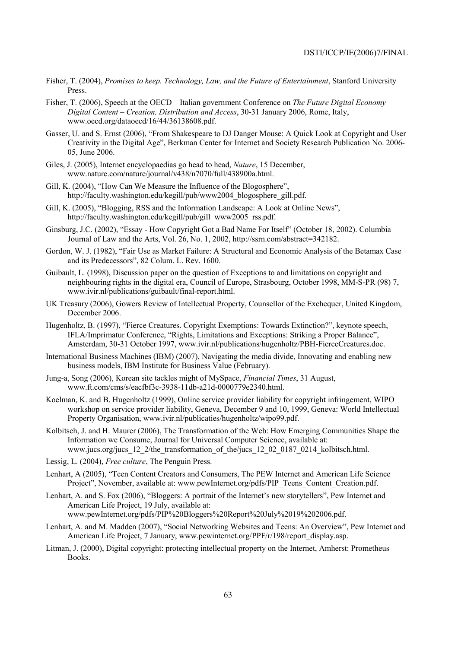- Fisher, T. (2004), *Promises to keep. Technology, Law, and the Future of Entertainment*, Stanford University Press.
- Fisher, T. (2006), Speech at the OECD Italian government Conference on *The Future Digital Economy Digital Content – Creation, Distribution and Access, 30-31 January 2006, Rome, Italy,* www.oecd.org/dataoecd/16/44/36138608.pdf.
- Gasser, U. and S. Ernst (2006), "From Shakespeare to DJ Danger Mouse: A Quick Look at Copyright and User Creativity in the Digital Ageî, Berkman Center for Internet and Society Research Publication No. 2006- 05, June 2006.
- Giles, J. (2005), Internet encyclopaedias go head to head, *Nature*, 15 December, www.nature.com/nature/journal/v438/n7070/full/438900a.html.
- Gill, K. (2004), "How Can We Measure the Influence of the Blogosphere". http://faculty.washington.edu/kegill/pub/www2004\_blogosphere\_gill.pdf.
- Gill, K. (2005), "Blogging, RSS and the Information Landscape: A Look at Online News". http://faculty.washington.edu/kegill/pub/gill\_www2005\_rss.pdf.
- Ginsburg, J.C. (2002), "Essay How Copyright Got a Bad Name For Itself" (October 18, 2002). Columbia Journal of Law and the Arts, Vol. 26, No. 1, 2002, http://ssrn.com/abstract=342182.
- Gordon, W. J. (1982), "Fair Use as Market Failure: A Structural and Economic Analysis of the Betamax Case and its Predecessors", 82 Colum. L. Rev. 1600.
- Guibault, L. (1998), Discussion paper on the question of Exceptions to and limitations on copyright and neighbouring rights in the digital era, Council of Europe, Strasbourg, October 1998, MM-S-PR (98) 7, www.ivir.nl/publications/guibault/final-report.html.
- UK Treasury (2006), Gowers Review of Intellectual Property, Counsellor of the Exchequer, United Kingdom, December 2006.
- Hugenholtz, B. (1997), "Fierce Creatures. Copyright Exemptions: Towards Extinction?", keynote speech, IFLA/Imprimatur Conference, "Rights, Limitations and Exceptions: Striking a Proper Balance", Amsterdam, 30-31 October 1997, www.ivir.nl/publications/hugenholtz/PBH-FierceCreatures.doc.
- International Business Machines (IBM) (2007), Navigating the media divide, Innovating and enabling new business models, IBM Institute for Business Value (February).
- Jung-a, Song (2006), Korean site tackles might of MySpace, *Financial Times*, 31 August, www.ft.com/cms/s/eacfbf3c-3938-11db-a21d-0000779e2340.html.
- Koelman, K. and B. Hugenholtz (1999), Online service provider liability for copyright infringement, WIPO workshop on service provider liability, Geneva, December 9 and 10, 1999, Geneva: World Intellectual Property Organisation, www.ivir.nl/publicaties/hugenholtz/wipo99.pdf.
- Kolbitsch, J. and H. Maurer (2006), The Transformation of the Web: How Emerging Communities Shape the Information we Consume, Journal for Universal Computer Science, available at: www.jucs.org/jucs 12 2/the transformation of the/jucs 12 02 0187 0214 kolbitsch.html.
- Lessig, L. (2004), *Free culture*, The Penguin Press.
- Lenhart, A (2005), "Teen Content Creators and Consumers, The PEW Internet and American Life Science Project", November, available at: www.pewInternet.org/pdfs/PIP\_Teens\_Content\_Creation.pdf.
- Lenhart, A. and S. Fox (2006), "Bloggers: A portrait of the Internet's new storytellers", Pew Internet and American Life Project, 19 July, available at:

www.pewInternet.org/pdfs/PIP%20Bloggers%20Report%20July%2019%202006.pdf.

- Lenhart, A. and M. Madden (2007), "Social Networking Websites and Teens: An Overview". Pew Internet and American Life Project, 7 January, www.pewinternet.org/PPF/r/198/report\_display.asp.
- Litman, J. (2000), Digital copyright: protecting intellectual property on the Internet, Amherst: Prometheus Books.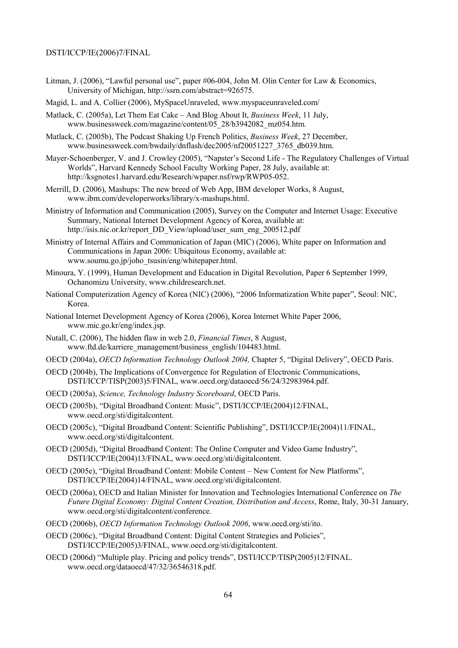- Litman, J. (2006), "Lawful personal use", paper #06-004, John M. Olin Center for Law & Economics, University of Michigan, http://ssrn.com/abstract=926575.
- Magid, L. and A. Collier (2006), MySpaceUnraveled, www.myspaceunraveled.com/
- Matlack, C. (2005a), Let Them Eat Cake And Blog About It, *Business Week*, 11 July, www.businessweek.com/magazine/content/05\_28/b3942082\_mz054.htm.
- Matlack, C. (2005b), The Podcast Shaking Up French Politics, *Business Week*, 27 December, www.businessweek.com/bwdaily/dnflash/dec2005/nf20051227\_3765\_db039.htm.
- Mayer-Schoenberger, V. and J. Crowley (2005), "Napster's Second Life The Regulatory Challenges of Virtual Worldsî, Harvard Kennedy School Faculty Working Paper, 28 July, available at: http://ksgnotes1.harvard.edu/Research/wpaper.nsf/rwp/RWP05-052.
- Merrill, D. (2006), Mashups: The new breed of Web App, IBM developer Works, 8 August, www.ibm.com/developerworks/library/x-mashups.html.
- Ministry of Information and Communication (2005), Survey on the Computer and Internet Usage: Executive Summary, National Internet Development Agency of Korea, available at: http://isis.nic.or.kr/report\_DD\_View/upload/user\_sum\_eng\_200512.pdf
- Ministry of Internal Affairs and Communication of Japan (MIC) (2006), White paper on Information and Communications in Japan 2006: Ubiquitous Economy, available at: www.soumu.go.jp/joho\_tsusin/eng/whitepaper.html.
- Minoura, Y. (1999), Human Development and Education in Digital Revolution, Paper 6 September 1999, Ochanomizu University, www.childresearch.net.
- National Computerization Agency of Korea (NIC) (2006), "2006 Informatization White paper", Seoul: NIC, Korea.
- National Internet Development Agency of Korea (2006), Korea Internet White Paper 2006, www.mic.go.kr/eng/index.jsp.
- Nutall, C. (2006), The hidden flaw in web 2.0, *Financial Times*, 8 August, www.ftd.de/karriere\_management/business\_english/104483.html.
- OECD (2004a), *OECD Information Technology Outlook 2004*, Chapter 5, "Digital Delivery", OECD Paris.
- OECD (2004b), The Implications of Convergence for Regulation of Electronic Communications, DSTI/ICCP/TISP(2003)5/FINAL, www.oecd.org/dataoecd/56/24/32983964.pdf.
- OECD (2005a), *Science, Technology Industry Scoreboard*, OECD Paris.
- OECD (2005b), "Digital Broadband Content: Music", DSTI/ICCP/IE(2004)12/FINAL, www.oecd.org/sti/digitalcontent.
- OECD (2005c), "Digital Broadband Content: Scientific Publishing", DSTI/ICCP/IE(2004)11/FINAL, www.oecd.org/sti/digitalcontent.
- OECD (2005d), "Digital Broadband Content: The Online Computer and Video Game Industry", DSTI/ICCP/IE(2004)13/FINAL, www.oecd.org/sti/digitalcontent.
- OECD (2005e), "Digital Broadband Content: Mobile Content New Content for New Platforms", DSTI/ICCP/IE(2004)14/FINAL, www.oecd.org/sti/digitalcontent.
- OECD (2006a), OECD and Italian Minister for Innovation and Technologies International Conference on *The Future Digital Economy: Digital Content Creation, Distribution and Access*, Rome, Italy, 30-31 January, www.oecd.org/sti/digitalcontent/conference.
- OECD (2006b), *OECD Information Technology Outlook 2006*, www.oecd.org/sti/ito.
- OECD (2006c), "Digital Broadband Content: Digital Content Strategies and Policies". DSTI/ICCP/IE(2005)3/FINAL, www.oecd.org/sti/digitalcontent.
- OECD (2006d) "Multiple play. Pricing and policy trends", DSTI/ICCP/TISP(2005)12/FINAL. www.oecd.org/dataoecd/47/32/36546318.pdf.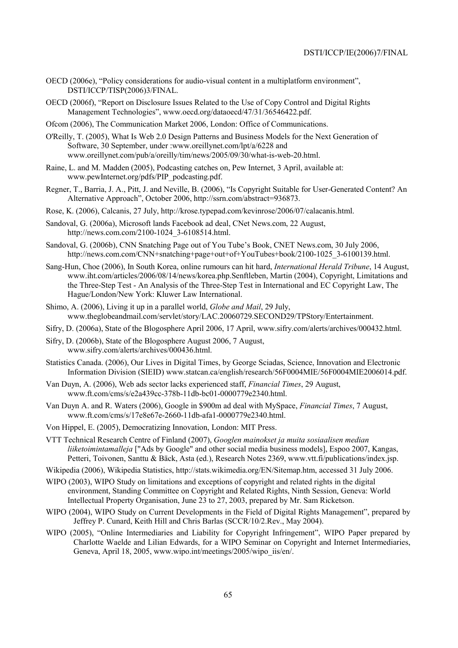- $OECD (2006e)$ , "Policy considerations for audio-visual content in a multiplatform environment", DSTI/ICCP/TISP(2006)3/FINAL.
- OECD (2006f), "Report on Disclosure Issues Related to the Use of Copy Control and Digital Rights Management Technologies", www.oecd.org/dataoecd/47/31/36546422.pdf.
- Ofcom (2006), The Communication Market 2006, London: Office of Communications.
- O'Reilly, T. (2005), What Is Web 2.0 Design Patterns and Business Models for the Next Generation of Software, 30 September, under :www.oreillynet.com/lpt/a/6228 and www.oreillynet.com/pub/a/oreilly/tim/news/2005/09/30/what-is-web-20.html.
- Raine, L. and M. Madden (2005), Podcasting catches on, Pew Internet, 3 April, available at: www.pewInternet.org/pdfs/PIP\_podcasting.pdf.
- Regner, T., Barria, J. A., Pitt, J. and Neville, B. (2006), "Is Copyright Suitable for User-Generated Content? An Alternative Approach", October 2006, http://ssrn.com/abstract=936873.
- Rose, K. (2006), Calcanis, 27 July, http://krose.typepad.com/kevinrose/2006/07/calacanis.html.
- Sandoval, G. (2006a), Microsoft lands Facebook ad deal, CNet News.com, 22 August, http://news.com.com/2100-1024\_3-6108514.html.
- Sandoval, G. (2006b), CNN Snatching Page out of You Tube's Book, CNET News.com, 30 July 2006, http://news.com.com/CNN+snatching+page+out+of+YouTubes+book/2100-1025\_3-6100139.html.
- Sang-Hun, Choe (2006), In South Korea, online rumours can hit hard, *International Herald Tribune*, 14 August, www.iht.com/articles/2006/08/14/news/korea.php.Senftleben, Martin (2004), Copyright, Limitations and the Three-Step Test - An Analysis of the Three-Step Test in International and EC Copyright Law, The Hague/London/New York: Kluwer Law International.
- Shimo, A. (2006), Living it up in a parallel world, *Globe and Mail*, 29 July, www.theglobeandmail.com/servlet/story/LAC.20060729.SECOND29/TPStory/Entertainment.
- Sifry, D. (2006a), State of the Blogosphere April 2006, 17 April, www.sifry.com/alerts/archives/000432.html.
- Sifry, D. (2006b), State of the Blogosphere August 2006, 7 August, www.sifry.com/alerts/archives/000436.html.
- Statistics Canada. (2006), Our Lives in Digital Times, by George Sciadas, Science, Innovation and Electronic Information Division (SIEID) www.statcan.ca/english/research/56F0004MIE/56F0004MIE2006014.pdf.
- Van Duyn, A. (2006), Web ads sector lacks experienced staff, *Financial Times*, 29 August, www.ft.com/cms/s/e2a439cc-378b-11db-bc01-0000779e2340.html.
- Van Duyn A. and R. Waters (2006), Google in \$900m ad deal with MySpace, *Financial Times*, 7 August, www.ft.com/cms/s/17e8e67e-2660-11db-afa1-0000779e2340.html.
- Von Hippel, E. (2005), Democratizing Innovation, London: MIT Press.
- VTT Technical Research Centre of Finland (2007), *Googlen mainokset ja muita sosiaalisen median liiketoimintamalleja* ["Ads by Google" and other social media business models], Espoo 2007, Kangas, Petteri, Toivonen, Santtu & Bäck, Asta (ed.), Research Notes 2369, www.vtt.fi/publications/index.jsp.
- Wikipedia (2006), Wikipedia Statistics, http://stats.wikimedia.org/EN/Sitemap.htm, accessed 31 July 2006.
- WIPO (2003), WIPO Study on limitations and exceptions of copyright and related rights in the digital environment, Standing Committee on Copyright and Related Rights, Ninth Session, Geneva: World Intellectual Property Organisation, June 23 to 27, 2003, prepared by Mr. Sam Ricketson.
- WIPO (2004), WIPO Study on Current Developments in the Field of Digital Rights Management", prepared by Jeffrey P. Cunard, Keith Hill and Chris Barlas (SCCR/10/2.Rev., May 2004).
- WIPO (2005), "Online Intermediaries and Liability for Copyright Infringement", WIPO Paper prepared by Charlotte Waelde and Lilian Edwards, for a WIPO Seminar on Copyright and Internet Intermediaries, Geneva, April 18, 2005, www.wipo.int/meetings/2005/wipo\_iis/en/.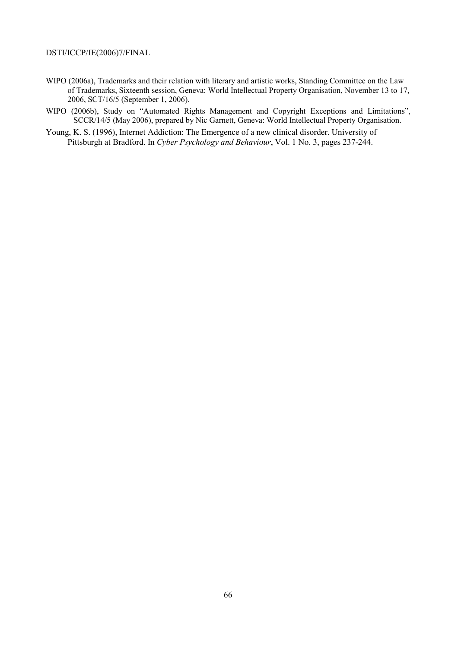- WIPO (2006a), Trademarks and their relation with literary and artistic works, Standing Committee on the Law of Trademarks, Sixteenth session, Geneva: World Intellectual Property Organisation, November 13 to 17, 2006, SCT/16/5 (September 1, 2006).
- WIPO (2006b), Study on "Automated Rights Management and Copyright Exceptions and Limitations", SCCR/14/5 (May 2006), prepared by Nic Garnett, Geneva: World Intellectual Property Organisation.
- Young, K. S. (1996), Internet Addiction: The Emergence of a new clinical disorder. University of Pittsburgh at Bradford. In *Cyber Psychology and Behaviour*, Vol. 1 No. 3, pages 237-244.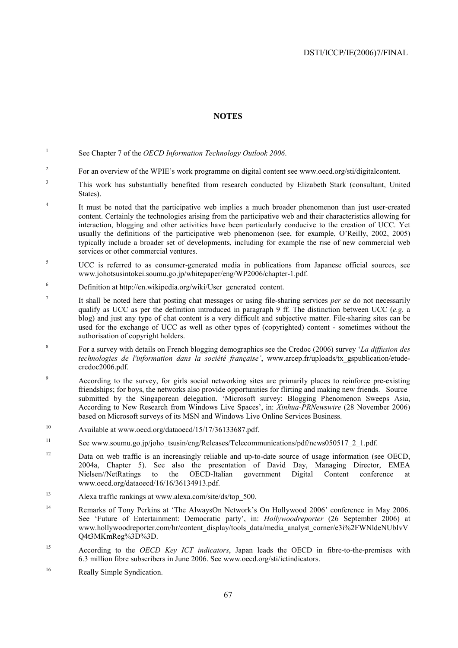## **NOTES**

1 See Chapter 7 of the *OECD Information Technology Outlook 2006*.

- $\overline{2}$ For an overview of the WPIE's work programme on digital content see www.oecd.org/sti/digitalcontent.
- 3 This work has substantially benefited from research conducted by Elizabeth Stark (consultant, United States).
- 4 It must be noted that the participative web implies a much broader phenomenon than just user-created content. Certainly the technologies arising from the participative web and their characteristics allowing for interaction, blogging and other activities have been particularly conducive to the creation of UCC. Yet usually the definitions of the participative web phenomenon (see, for example, O'Reilly, 2002, 2005) typically include a broader set of developments, including for example the rise of new commercial web services or other commercial ventures.
- 5 UCC is referred to as consumer-generated media in publications from Japanese official sources, see www.johotsusintokei.soumu.go.jp/whitepaper/eng/WP2006/chapter-1.pdf.
- <sup>6</sup> Definition at http://en.wikipedia.org/wiki/User\_generated\_content.
- 7 It shall be noted here that posting chat messages or using file-sharing services *per se* do not necessarily qualify as UCC as per the definition introduced in paragraph 9 ff. The distinction between UCC (*e.g.* a blog) and just any type of chat content is a very difficult and subjective matter. File-sharing sites can be used for the exchange of UCC as well as other types of (copyrighted) content - sometimes without the authorisation of copyright holders.
- 8 For a survey with details on French blogging demographics see the Credoc (2006) survey ë*La diffusion des technologies de l'information dans la société française'*, www.arcep.fr/uploads/tx\_gspublication/etudecredoc2006.pdf.
- 9 According to the survey, for girls social networking sites are primarily places to reinforce pre-existing friendships; for boys, the networks also provide opportunities for flirting and making new friends. Source submitted by the Singaporean delegation. 'Microsoft survey: Blogging Phenomenon Sweeps Asia, According to New Research from Windows Live Spaces', in: *Xinhua-PRNewswire* (28 November 2006) based on Microsoft surveys of its MSN and Windows Live Online Services Business.
- 10 Available at www.oecd.org/dataoecd/15/17/36133687.pdf.
- <sup>11</sup> See www.soumu.go.jp/joho\_tsusin/eng/Releases/Telecommunications/pdf/news050517\_2\_1.pdf.
- <sup>12</sup> Data on web traffic is an increasingly reliable and up-to-date source of usage information (see OECD, 2004a, Chapter 5). See also the presentation of David Day, Managing Director, EMEA Nielsen//NetRatings to the OECD-Italian government Digital Content conference at www.oecd.org/dataoecd/16/16/36134913.pdf.
- 13 Alexa traffic rankings at www.alexa.com/site/ds/top\_500.
- <sup>14</sup> Remarks of Tony Perkins at 'The AlwaysOn Network's On Hollywood 2006' conference in May 2006. See ëFuture of Entertainment: Democratic partyí, in: *Hollywoodreporter* (26 September 2006) at www.hollywoodreporter.com/hr/content\_display/tools\_data/media\_analyst\_corner/e3i%2FWNldeNUbIvV Q4t3MKmReg%3D%3D.
- 15 According to the *OECD Key ICT indicators*, Japan leads the OECD in fibre-to-the-premises with 6.3 million fibre subscribers in June 2006. See www.oecd.org/sti/ictindicators.
- <sup>16</sup> Really Simple Syndication.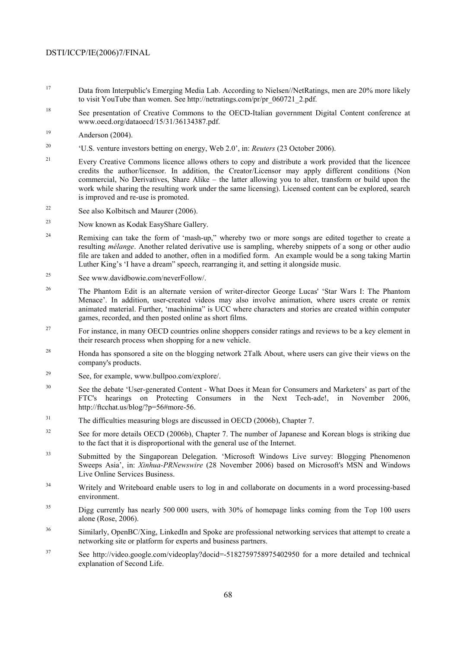- 17 Data from Interpublic's Emerging Media Lab. According to Nielsen//NetRatings, men are 20% more likely to visit YouTube than women. See http://netratings.com/pr/pr\_060721\_2.pdf.
- 18 See presentation of Creative Commons to the OECD-Italian government Digital Content conference at www.oecd.org/dataoecd/15/31/36134387.pdf.
- <sup>19</sup> Anderson  $(2004)$ .
- <sup>20</sup> <sup>eU.S.</sup> venture investors betting on energy, Web 2.0<sup>'</sup>, in: *Reuters* (23 October 2006).
- <sup>21</sup> Every Creative Commons licence allows others to copy and distribute a work provided that the licencee credits the author/licensor. In addition, the Creator/Licensor may apply different conditions (Non commercial, No Derivatives, Share Alike – the latter allowing you to alter, transform or build upon the work while sharing the resulting work under the same licensing). Licensed content can be explored, search is improved and re-use is promoted.
- $22$  See also Kolbitsch and Maurer (2006).
- 23 Now known as Kodak EasyShare Gallery.
- <sup>24</sup> Remixing can take the form of 'mash-up," whereby two or more songs are edited together to create a resulting *mÈlange*. Another related derivative use is sampling, whereby snippets of a song or other audio file are taken and added to another, often in a modified form. An example would be a song taking Martin Luther King's 'I have a dream" speech, rearranging it, and setting it alongside music.
- 25 See www.davidbowie.com/neverFollow/.
- <sup>26</sup> The Phantom Edit is an alternate version of writer-director George Lucas' 'Star Wars I: The Phantom Menace<sup>2</sup>. In addition, user-created videos may also involve animation, where users create or remix animated material. Further, ëmachinimaî is UCC where characters and stories are created within computer games, recorded, and then posted online as short films.
- <sup>27</sup> For instance, in many OECD countries online shoppers consider ratings and reviews to be a key element in their research process when shopping for a new vehicle.
- <sup>28</sup> Honda has sponsored a site on the blogging network 2Talk About, where users can give their views on the company's products.
- 29 See, for example, www.bullpoo.com/explore/.
- <sup>30</sup> See the debate 'User-generated Content What Does it Mean for Consumers and Marketers' as part of the FTC's hearings on Protecting Consumers in the Next Tech-ade!, in November 2006, http://ftcchat.us/blog/?p=56#more-56.
- <sup>31</sup> The difficulties measuring blogs are discussed in OECD (2006b), Chapter 7.
- <sup>32</sup> See for more details OECD (2006b), Chapter 7. The number of Japanese and Korean blogs is striking due to the fact that it is disproportional with the general use of the Internet.
- <sup>33</sup> Submitted by the Singaporean Delegation. 'Microsoft Windows Live survey: Blogging Phenomenon Sweeps Asiaí, in: *Xinhua-PRNewswire* (28 November 2006) based on Microsoft's MSN and Windows Live Online Services Business.
- <sup>34</sup> Writely and Writeboard enable users to log in and collaborate on documents in a word processing-based environment.
- <sup>35</sup> Digg currently has nearly 500 000 users, with 30% of homepage links coming from the Top 100 users alone (Rose, 2006).
- <sup>36</sup> Similarly, OpenBC/Xing, LinkedIn and Spoke are professional networking services that attempt to create a networking site or platform for experts and business partners.
- 37 See http://video.google.com/videoplay?docid=-5182759758975402950 for a more detailed and technical explanation of Second Life.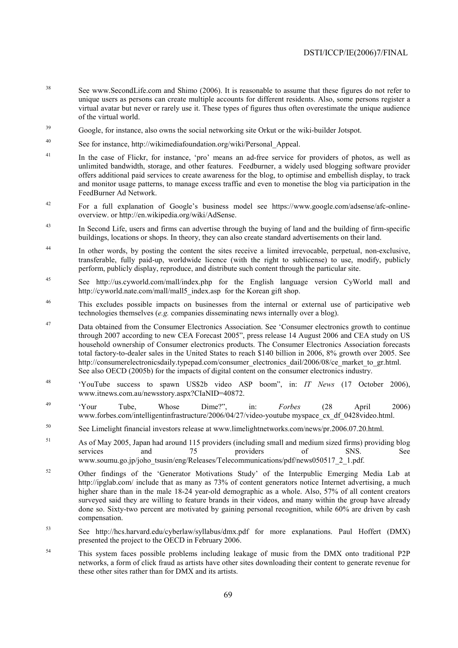- <sup>38</sup> See www.SecondLife.com and Shimo (2006). It is reasonable to assume that these figures do not refer to unique users as persons can create multiple accounts for different residents. Also, some persons register a virtual avatar but never or rarely use it. These types of figures thus often overestimate the unique audience of the virtual world.
- 39 Google, for instance, also owns the social networking site Orkut or the wiki-builder Jotspot.
- <sup>40</sup> See for instance, http://wikimediafoundation.org/wiki/Personal\_Appeal.
- <sup>41</sup> In the case of Flickr, for instance, 'pro' means an ad-free service for providers of photos, as well as unlimited bandwidth, storage, and other features. Feedburner, a widely used blogging software provider offers additional paid services to create awareness for the blog, to optimise and embellish display, to track and monitor usage patterns, to manage excess traffic and even to monetise the blog via participation in the FeedBurner Ad Network.
- <sup>42</sup> For a full explanation of Google's business model see https://www.google.com/adsense/afc-onlineoverview. or http://en.wikipedia.org/wiki/AdSense.
- <sup>43</sup> In Second Life, users and firms can advertise through the buying of land and the building of firm-specific buildings, locations or shops. In theory, they can also create standard advertisements on their land.
- <sup>44</sup> In other words, by posting the content the sites receive a limited irrevocable, perpetual, non-exclusive, transferable, fully paid-up, worldwide licence (with the right to sublicense) to use, modify, publicly perform, publicly display, reproduce, and distribute such content through the particular site.
- 45 See http://us.cyworld.com/mall/index.php for the English language version CyWorld mall and http://cyworld.nate.com/mall/mall5\_index.asp for the Korean gift shop.
- <sup>46</sup> This excludes possible impacts on businesses from the internal or external use of participative web technologies themselves (*e.g.* companies disseminating news internally over a blog).
- <sup>47</sup> Data obtained from the Consumer Electronics Association. See 'Consumer electronics growth to continue through 2007 according to new CEA Forecast 2005", press release 14 August 2006 and CEA study on US household ownership of Consumer electronics products. The Consumer Electronics Association forecasts total factory-to-dealer sales in the United States to reach \$140 billion in 2006, 8% growth over 2005. See http://consumerelectronicsdaily.typepad.com/consumer\_electronics\_dail/2006/08/ce\_market\_to\_gr.html. See also OECD (2005b) for the impacts of digital content on the consumer electronics industry.
- 48 ëYouTube success to spawn US\$2b video ASP boomî, in: *IT News* (17 October 2006), www.itnews.com.au/newsstory.aspx?CIaNID=40872.
- <sup>49</sup> *i* Your Tube, Whose Dime?", in: *Forbes* (28 April 2006) www.forbes.com/intelligentinfrastructure/2006/04/27/video-youtube myspace\_cx\_df\_0428video.html.
- 50 See Limelight financial investors release at www.limelightnetworks.com/news/pr.2006.07.20.html.
- 51 As of May 2005, Japan had around 115 providers (including small and medium sized firms) providing blog services and 75 providers of SNS. See www.soumu.go.jp/joho\_tsusin/eng/Releases/Telecommunications/pdf/news050517\_2\_1.pdf.
- <sup>52</sup> Other findings of the 'Generator Motivations Study' of the Interpublic Emerging Media Lab at http://ipglab.com/ include that as many as 73% of content generators notice Internet advertising, a much higher share than in the male 18-24 year-old demographic as a whole. Also, 57% of all content creators surveyed said they are willing to feature brands in their videos, and many within the group have already done so. Sixty-two percent are motivated by gaining personal recognition, while 60% are driven by cash compensation.
- 53 See http://hcs.harvard.edu/cyberlaw/syllabus/dmx.pdf for more explanations. Paul Hoffert (DMX) presented the project to the OECD in February 2006.
- 54 This system faces possible problems including leakage of music from the DMX onto traditional P2P networks, a form of click fraud as artists have other sites downloading their content to generate revenue for these other sites rather than for DMX and its artists.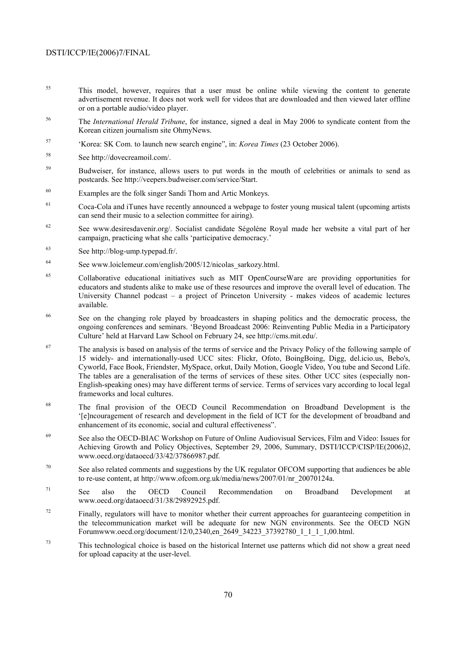- 55 This model, however, requires that a user must be online while viewing the content to generate advertisement revenue. It does not work well for videos that are downloaded and then viewed later offline or on a portable audio/video player.
- 56 The *International Herald Tribune*, for instance, signed a deal in May 2006 to syndicate content from the Korean citizen journalism site OhmyNews.
- <sup>57</sup> *Korea: SK Com. to launch new search engine*", in: *Korea Times* (23 October 2006).
- 58 See http://dovecreamoil.com/.
- <sup>59</sup> Budweiser, for instance, allows users to put words in the mouth of celebrities or animals to send as postcards. See http://veepers.budweiser.com/service/Start.
- 60 Examples are the folk singer Sandi Thom and Artic Monkeys.
- 61 Coca-Cola and iTunes have recently announced a webpage to foster young musical talent (upcoming artists can send their music to a selection committee for airing).
- <sup>62</sup> See www.desiresdavenir.org/. Socialist candidate Ségolène Royal made her website a vital part of her campaign, practicing what she calls 'participative democracy.'
- 63 See http://blog-ump.typepad.fr/.
- 64 See www.loiclemeur.com/english/2005/12/nicolas\_sarkozy.html.
- 65 Collaborative educational initiatives such as MIT OpenCourseWare are providing opportunities for educators and students alike to make use of these resources and improve the overall level of education. The University Channel podcast  $-$  a project of Princeton University - makes videos of academic lectures available.
- 66 See on the changing role played by broadcasters in shaping politics and the democratic process, the ongoing conferences and seminars. ëBeyond Broadcast 2006: Reinventing Public Media in a Participatory Culture' held at Harvard Law School on February 24, see http://cms.mit.edu/.
- <sup>67</sup> The analysis is based on analysis of the terms of service and the Privacy Policy of the following sample of 15 widely- and internationally-used UCC sites: Flickr, Ofoto, BoingBoing, Digg, del.icio.us, Bebo's, Cyworld, Face Book, Friendster, MySpace, orkut, Daily Motion, Google Video, You tube and Second Life. The tables are a generalisation of the terms of services of these sites. Other UCC sites (especially non-English-speaking ones) may have different terms of service. Terms of services vary according to local legal frameworks and local cultures.
- 68 The final provision of the OECD Council Recommendation on Broadband Development is the ë[e]ncouragement of research and development in the field of ICT for the development of broadband and enhancement of its economic, social and cultural effectiveness".
- 69 See also the OECD-BIAC Workshop on Future of Online Audiovisual Services, Film and Video: Issues for Achieving Growth and Policy Objectives, September 29, 2006, Summary, DSTI/ICCP/CISP/IE(2006)2, www.oecd.org/dataoecd/33/42/37866987.pdf.
- 70 See also related comments and suggestions by the UK regulator OFCOM supporting that audiences be able to re-use content, at http://www.ofcom.org.uk/media/news/2007/01/nr\_20070124a.
- 71 See also the OECD Council Recommendation on Broadband Development at www.oecd.org/dataoecd/31/38/29892925.pdf.
- $72$  Finally, regulators will have to monitor whether their current approaches for guaranteeing competition in the telecommunication market will be adequate for new NGN environments. See the OECD NGN Forumwww.oecd.org/document/12/0,2340,en\_2649\_34223\_37392780\_1\_1\_1\_1,00.html.
- 73 This technological choice is based on the historical Internet use patterns which did not show a great need for upload capacity at the user-level.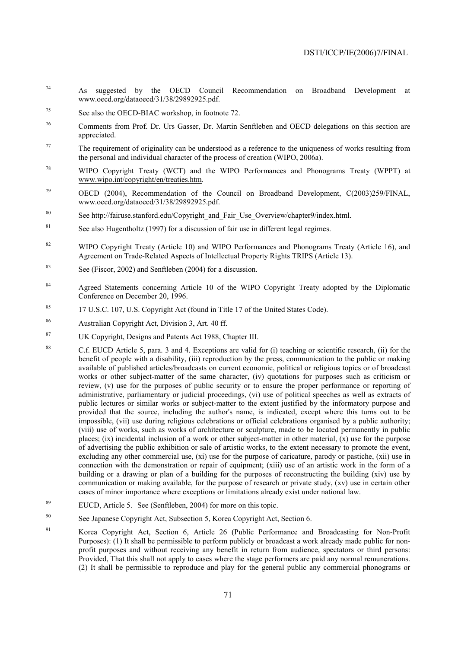- 74 As suggested by the OECD Council Recommendation on Broadband Development at www.oecd.org/dataoecd/31/38/29892925.pdf.
- 75 See also the OECD-BIAC workshop, in footnote 72.
- 76 Comments from Prof. Dr. Urs Gasser, Dr. Martin Senftleben and OECD delegations on this section are appreciated.
- <sup>77</sup> The requirement of originality can be understood as a reference to the uniqueness of works resulting from the personal and individual character of the process of creation (WIPO, 2006a).
- 78 WIPO Copyright Treaty (WCT) and the WIPO Performances and Phonograms Treaty (WPPT) at www.wipo.int/copyright/en/treaties.htm.
- 79 OECD (2004), Recommendation of the Council on Broadband Development, C(2003)259/FINAL, www.oecd.org/dataoecd/31/38/29892925.pdf.
- 80 See http://fairuse.stanford.edu/Copyright\_and\_Fair\_Use\_Overview/chapter9/index.html.
- <sup>81</sup> See also Hugentholtz (1997) for a discussion of fair use in different legal regimes.
- <sup>82</sup> WIPO Copyright Treaty (Article 10) and WIPO Performances and Phonograms Treaty (Article 16), and Agreement on Trade-Related Aspects of Intellectual Property Rights TRIPS (Article 13).
- 83 See (Fiscor, 2002) and Senftleben (2004) for a discussion.
- 84 Agreed Statements concerning Article 10 of the WIPO Copyright Treaty adopted by the Diplomatic Conference on December 20, 1996.
- 85 17 U.S.C. 107, U.S. Copyright Act (found in Title 17 of the United States Code).
- 86 Australian Copyright Act, Division 3, Art. 40 ff.
- 87 UK Copyright, Designs and Patents Act 1988, Chapter III.
- 88 C.f. EUCD Article 5, para. 3 and 4. Exceptions are valid for (i) teaching or scientific research, (ii) for the benefit of people with a disability, (iii) reproduction by the press, communication to the public or making available of published articles/broadcasts on current economic, political or religious topics or of broadcast works or other subject-matter of the same character, (iv) quotations for purposes such as criticism or review, (v) use for the purposes of public security or to ensure the proper performance or reporting of administrative, parliamentary or judicial proceedings, (vi) use of political speeches as well as extracts of public lectures or similar works or subject-matter to the extent justified by the informatory purpose and provided that the source, including the author's name, is indicated, except where this turns out to be impossible, (vii) use during religious celebrations or official celebrations organised by a public authority; (viii) use of works, such as works of architecture or sculpture, made to be located permanently in public places; (ix) incidental inclusion of a work or other subject-matter in other material, (x) use for the purpose of advertising the public exhibition or sale of artistic works, to the extent necessary to promote the event, excluding any other commercial use, (xi) use for the purpose of caricature, parody or pastiche, (xii) use in connection with the demonstration or repair of equipment; (xiii) use of an artistic work in the form of a building or a drawing or plan of a building for the purposes of reconstructing the building (xiv) use by communication or making available, for the purpose of research or private study, (xv) use in certain other cases of minor importance where exceptions or limitations already exist under national law.
- 89 EUCD, Article 5. See (Senftleben, 2004) for more on this topic.
- 90 See Japanese Copyright Act, Subsection 5, Korea Copyright Act, Section 6.
- 91 Korea Copyright Act, Section 6, Article 26 (Public Performance and Broadcasting for Non-Profit Purposes): (1) It shall be permissible to perform publicly or broadcast a work already made public for nonprofit purposes and without receiving any benefit in return from audience, spectators or third persons: Provided, That this shall not apply to cases where the stage performers are paid any normal remunerations. (2) It shall be permissible to reproduce and play for the general public any commercial phonograms or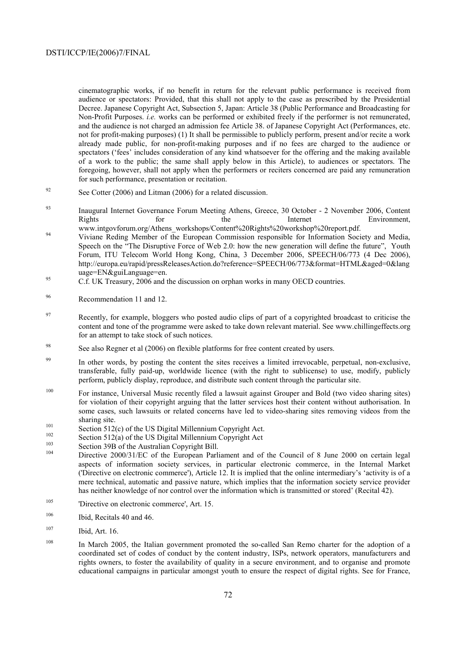cinematographic works, if no benefit in return for the relevant public performance is received from audience or spectators: Provided, that this shall not apply to the case as prescribed by the Presidential Decree. Japanese Copyright Act, Subsection 5, Japan: Article 38 (Public Performance and Broadcasting for Non-Profit Purposes. *i.e.* works can be performed or exhibited freely if the performer is not remunerated, and the audience is not charged an admission fee Article 38. of Japanese Copyright Act (Performances, etc. not for profit-making purposes) (1) It shall be permissible to publicly perform, present and/or recite a work already made public, for non-profit-making purposes and if no fees are charged to the audience or spectators ('fees' includes consideration of any kind whatsoever for the offering and the making available of a work to the public; the same shall apply below in this Article), to audiences or spectators. The foregoing, however, shall not apply when the performers or reciters concerned are paid any remuneration for such performance, presentation or recitation.

- 92 See Cotter (2006) and Litman (2006) for a related discussion.
- 93 Inaugural Internet Governance Forum Meeting Athens, Greece, 30 October 2 November 2006, Content Rights for the Internet Environment,
- www.intgovforum.org/Athens\_workshops/Content%20Rights%20workshop%20report.pdf.<br>Viviane Reding Member of the European Commission responsible for Information Society and Media, Speech on the "The Disruptive Force of Web 2.0: how the new generation will define the future", Youth Forum, ITU Telecom World Hong Kong, China, 3 December 2006, SPEECH/06/773 (4 Dec 2006), http://europa.eu/rapid/pressReleasesAction.do?reference=SPEECH/06/773&format=HTML&aged=0&lang uage=EN&guiLanguage=en.<br>
0.f. UK Treasury, 2006 and the discussion on orphan works in many OECD countries.
- 
- 96 Recommendation 11 and 12.
- 97 Recently, for example, bloggers who posted audio clips of part of a copyrighted broadcast to criticise the content and tone of the programme were asked to take down relevant material. See www.chillingeffects.org for an attempt to take stock of such notices.
- <sup>98</sup> See also Regner et al (2006) on flexible platforms for free content created by users.
- <sup>99</sup> In other words, by posting the content the sites receives a limited irrevocable, perpetual, non-exclusive, transferable, fully paid-up, worldwide licence (with the right to sublicense) to use, modify, publicly perform, publicly display, reproduce, and distribute such content through the particular site.
- 100 For instance, Universal Music recently filed a lawsuit against Grouper and Bold (two video sharing sites) for violation of their copyright arguing that the latter services host their content without authorisation. In some cases, such lawsuits or related concerns have led to video-sharing sites removing videos from the
- 
- 
- 
- sharing site.<br>
Section 512(c) of the US Digital Millennium Copyright Act.<br>
102<br>
Section 512(a) of the US Digital Millennium Copyright Act<br>
103<br>
104<br>
Directive 2000/31/EC of the European Parliament and of the Council of 8 J aspects of information society services, in particular electronic commerce, in the Internal Market ('Directive on electronic commerce'), Article 12. It is implied that the online intermediaryís ëactivity is of a mere technical, automatic and passive nature, which implies that the information society service provider has neither knowledge of nor control over the information which is transmitted or stored' (Recital 42).
- <sup>105</sup> 'Directive on electronic commerce', Art. 15.
- $106$  Ibid, Recitals 40 and 46.
- 107 Ibid, Art. 16.
- 108 In March 2005, the Italian government promoted the so-called San Remo charter for the adoption of a coordinated set of codes of conduct by the content industry, ISPs, network operators, manufacturers and rights owners, to foster the availability of quality in a secure environment, and to organise and promote educational campaigns in particular amongst youth to ensure the respect of digital rights. See for France,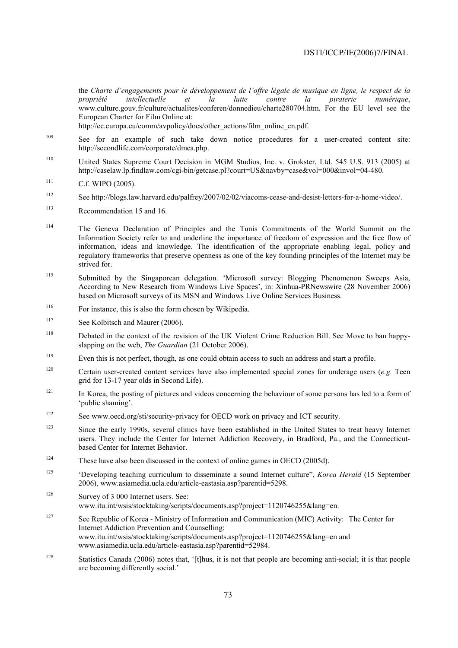the *Charte díengagements pour le dÈveloppement de líoffre lÈgale de musique en ligne, le respect de la propriÈtÈ intellectuelle et la lutte contre la piraterie numÈrique*, www.culture.gouv.fr/culture/actualites/conferen/donnedieu/charte280704.htm. For the EU level see the European Charter for Film Online at:

http://ec.europa.eu/comm/avpolicy/docs/other\_actions/film\_online\_en.pdf.

- <sup>109</sup> See for an example of such take down notice procedures for a user-created content site: http://secondlife.com/corporate/dmca.php.
- 110 United States Supreme Court Decision in MGM Studios, Inc. v. Grokster, Ltd. 545 U.S. 913 (2005) at http://caselaw.lp.findlaw.com/cgi-bin/getcase.pl?court=US&navby=case&vol=000&invol=04-480.
- $111$  C.f. WIPO (2005).
- 112 See http://blogs.law.harvard.edu/palfrey/2007/02/02/viacoms-cease-and-desist-letters-for-a-home-video/.
- 113 Recommendation 15 and 16.
- 114 The Geneva Declaration of Principles and the Tunis Commitments of the World Summit on the Information Society refer to and underline the importance of freedom of expression and the free flow of information, ideas and knowledge. The identification of the appropriate enabling legal, policy and regulatory frameworks that preserve openness as one of the key founding principles of the Internet may be strived for.
- 115 Submitted by the Singaporean delegation. ëMicrosoft survey: Blogging Phenomenon Sweeps Asia, According to New Research from Windows Live Spacesí, in: Xinhua-PRNewswire (28 November 2006) based on Microsoft surveys of its MSN and Windows Live Online Services Business.
- 116 For instance, this is also the form chosen by Wikipedia.
- <sup>117</sup> See Kolbitsch and Maurer (2006).
- 118 Debated in the context of the revision of the UK Violent Crime Reduction Bill. See Move to ban happyslapping on the web, *The Guardian* (21 October 2006).
- 119 Even this is not perfect, though, as one could obtain access to such an address and start a profile.
- 120 Certain user-created content services have also implemented special zones for underage users (*e.g.* Teen grid for 13-17 year olds in Second Life).
- <sup>121</sup> In Korea, the posting of pictures and videos concerning the behaviour of some persons has led to a form of 'public shaming'.
- 122 See www.oecd.org/sti/security-privacy for OECD work on privacy and ICT security.
- <sup>123</sup> Since the early 1990s, several clinics have been established in the United States to treat heavy Internet users. They include the Center for Internet Addiction Recovery, in Bradford, Pa., and the Connecticutbased Center for Internet Behavior.
- <sup>124</sup> These have also been discussed in the context of online games in OECD (2005d).
- <sup>125</sup> "Developing teaching curriculum to disseminate a sound Internet culture", *Korea Herald* (15 September 2006), www.asiamedia.ucla.edu/article-eastasia.asp?parentid=5298.
- <sup>126</sup> Survey of 3 000 Internet users. See: www.itu.int/wsis/stocktaking/scripts/documents.asp?project=1120746255&lang=en.
- 127 See Republic of Korea Ministry of Information and Communication (MIC) Activity: The Center for Internet Addiction Prevention and Counselling: www.itu.int/wsis/stocktaking/scripts/documents.asp?project=1120746255&lang=en and www.asiamedia.ucla.edu/article-eastasia.asp?parentid=52984.
- <sup>128</sup> Statistics Canada (2006) notes that, '[t]hus, it is not that people are becoming anti-social; it is that people are becoming differently social.<sup>7</sup>